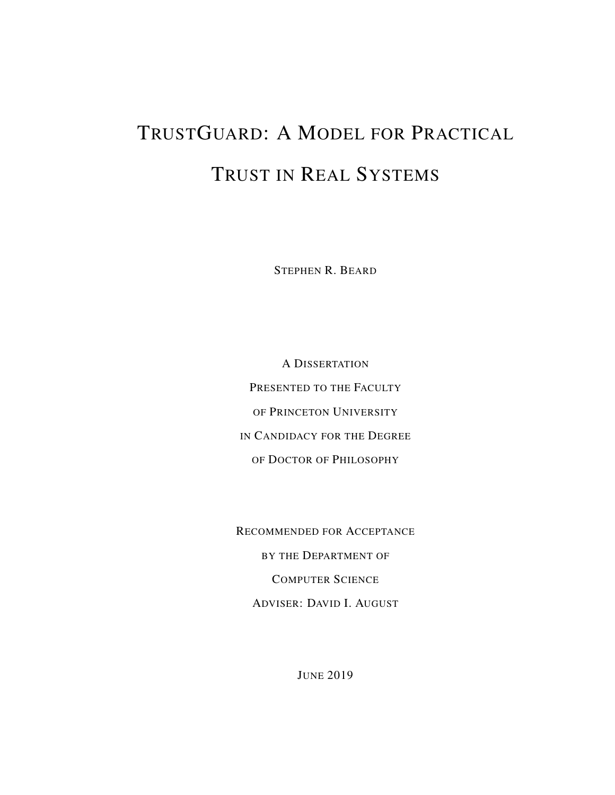# TRUSTGUARD: A MODEL FOR PRACTICAL TRUST IN REAL SYSTEMS

STEPHEN R. BEARD

A DISSERTATION PRESENTED TO THE FACULTY OF PRINCETON UNIVERSITY IN CANDIDACY FOR THE DEGREE OF DOCTOR OF PHILOSOPHY

RECOMMENDED FOR ACCEPTANCE BY THE DEPARTMENT OF COMPUTER SCIENCE ADVISER: DAVID I. AUGUST

JUNE 2019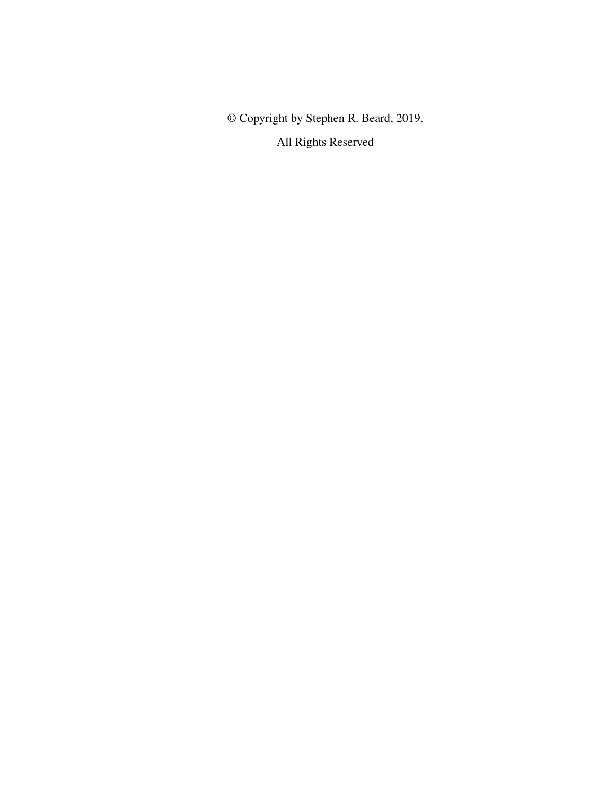© Copyright by Stephen R. Beard, 2019. All Rights Reserved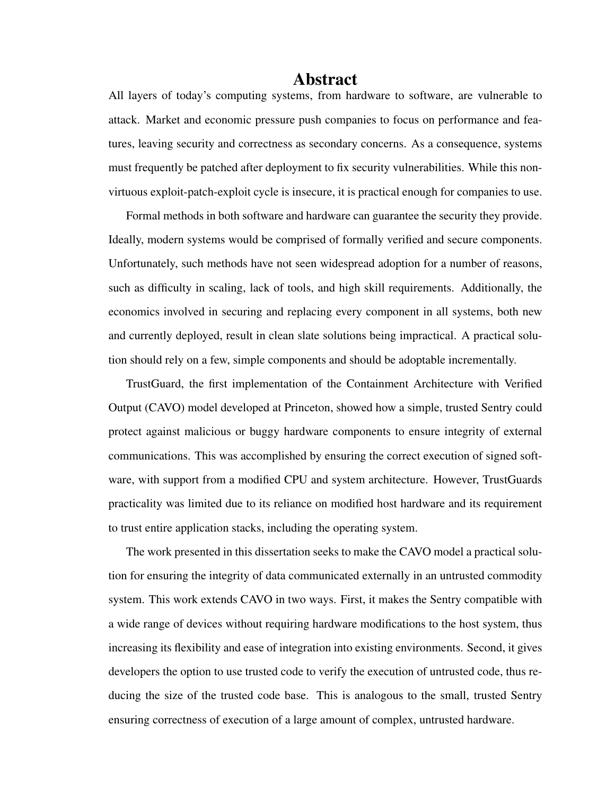#### **Abstract**

All layers of today's computing systems, from hardware to software, are vulnerable to attack. Market and economic pressure push companies to focus on performance and features, leaving security and correctness as secondary concerns. As a consequence, systems must frequently be patched after deployment to fix security vulnerabilities. While this nonvirtuous exploit-patch-exploit cycle is insecure, it is practical enough for companies to use.

Formal methods in both software and hardware can guarantee the security they provide. Ideally, modern systems would be comprised of formally verified and secure components. Unfortunately, such methods have not seen widespread adoption for a number of reasons, such as difficulty in scaling, lack of tools, and high skill requirements. Additionally, the economics involved in securing and replacing every component in all systems, both new and currently deployed, result in clean slate solutions being impractical. A practical solution should rely on a few, simple components and should be adoptable incrementally.

TrustGuard, the first implementation of the Containment Architecture with Verified Output (CAVO) model developed at Princeton, showed how a simple, trusted Sentry could protect against malicious or buggy hardware components to ensure integrity of external communications. This was accomplished by ensuring the correct execution of signed software, with support from a modified CPU and system architecture. However, TrustGuards practicality was limited due to its reliance on modified host hardware and its requirement to trust entire application stacks, including the operating system.

The work presented in this dissertation seeks to make the CAVO model a practical solution for ensuring the integrity of data communicated externally in an untrusted commodity system. This work extends CAVO in two ways. First, it makes the Sentry compatible with a wide range of devices without requiring hardware modifications to the host system, thus increasing its flexibility and ease of integration into existing environments. Second, it gives developers the option to use trusted code to verify the execution of untrusted code, thus reducing the size of the trusted code base. This is analogous to the small, trusted Sentry ensuring correctness of execution of a large amount of complex, untrusted hardware.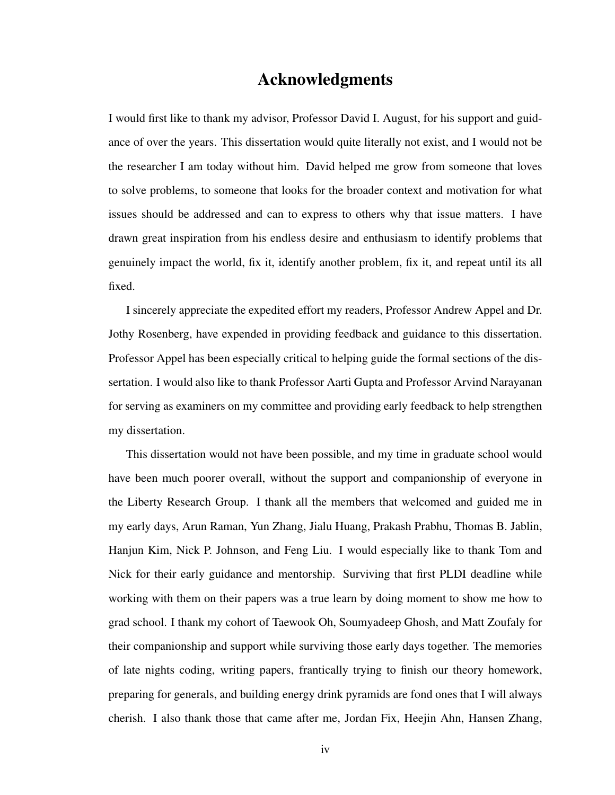#### Acknowledgments

I would first like to thank my advisor, Professor David I. August, for his support and guidance of over the years. This dissertation would quite literally not exist, and I would not be the researcher I am today without him. David helped me grow from someone that loves to solve problems, to someone that looks for the broader context and motivation for what issues should be addressed and can to express to others why that issue matters. I have drawn great inspiration from his endless desire and enthusiasm to identify problems that genuinely impact the world, fix it, identify another problem, fix it, and repeat until its all fixed.

I sincerely appreciate the expedited effort my readers, Professor Andrew Appel and Dr. Jothy Rosenberg, have expended in providing feedback and guidance to this dissertation. Professor Appel has been especially critical to helping guide the formal sections of the dissertation. I would also like to thank Professor Aarti Gupta and Professor Arvind Narayanan for serving as examiners on my committee and providing early feedback to help strengthen my dissertation.

This dissertation would not have been possible, and my time in graduate school would have been much poorer overall, without the support and companionship of everyone in the Liberty Research Group. I thank all the members that welcomed and guided me in my early days, Arun Raman, Yun Zhang, Jialu Huang, Prakash Prabhu, Thomas B. Jablin, Hanjun Kim, Nick P. Johnson, and Feng Liu. I would especially like to thank Tom and Nick for their early guidance and mentorship. Surviving that first PLDI deadline while working with them on their papers was a true learn by doing moment to show me how to grad school. I thank my cohort of Taewook Oh, Soumyadeep Ghosh, and Matt Zoufaly for their companionship and support while surviving those early days together. The memories of late nights coding, writing papers, frantically trying to finish our theory homework, preparing for generals, and building energy drink pyramids are fond ones that I will always cherish. I also thank those that came after me, Jordan Fix, Heejin Ahn, Hansen Zhang,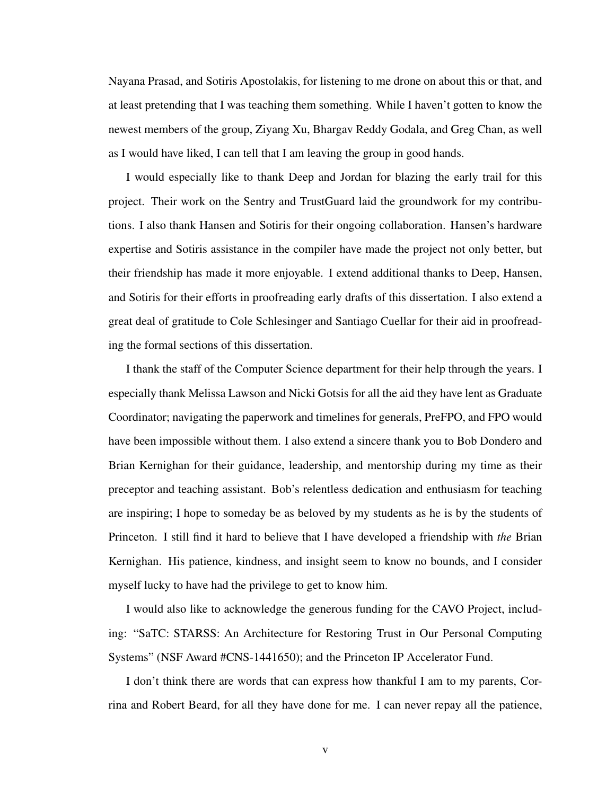Nayana Prasad, and Sotiris Apostolakis, for listening to me drone on about this or that, and at least pretending that I was teaching them something. While I haven't gotten to know the newest members of the group, Ziyang Xu, Bhargav Reddy Godala, and Greg Chan, as well as I would have liked, I can tell that I am leaving the group in good hands.

I would especially like to thank Deep and Jordan for blazing the early trail for this project. Their work on the Sentry and TrustGuard laid the groundwork for my contributions. I also thank Hansen and Sotiris for their ongoing collaboration. Hansen's hardware expertise and Sotiris assistance in the compiler have made the project not only better, but their friendship has made it more enjoyable. I extend additional thanks to Deep, Hansen, and Sotiris for their efforts in proofreading early drafts of this dissertation. I also extend a great deal of gratitude to Cole Schlesinger and Santiago Cuellar for their aid in proofreading the formal sections of this dissertation.

I thank the staff of the Computer Science department for their help through the years. I especially thank Melissa Lawson and Nicki Gotsis for all the aid they have lent as Graduate Coordinator; navigating the paperwork and timelines for generals, PreFPO, and FPO would have been impossible without them. I also extend a sincere thank you to Bob Dondero and Brian Kernighan for their guidance, leadership, and mentorship during my time as their preceptor and teaching assistant. Bob's relentless dedication and enthusiasm for teaching are inspiring; I hope to someday be as beloved by my students as he is by the students of Princeton. I still find it hard to believe that I have developed a friendship with *the* Brian Kernighan. His patience, kindness, and insight seem to know no bounds, and I consider myself lucky to have had the privilege to get to know him.

I would also like to acknowledge the generous funding for the CAVO Project, including: "SaTC: STARSS: An Architecture for Restoring Trust in Our Personal Computing Systems" (NSF Award #CNS-1441650); and the Princeton IP Accelerator Fund.

I don't think there are words that can express how thankful I am to my parents, Corrina and Robert Beard, for all they have done for me. I can never repay all the patience,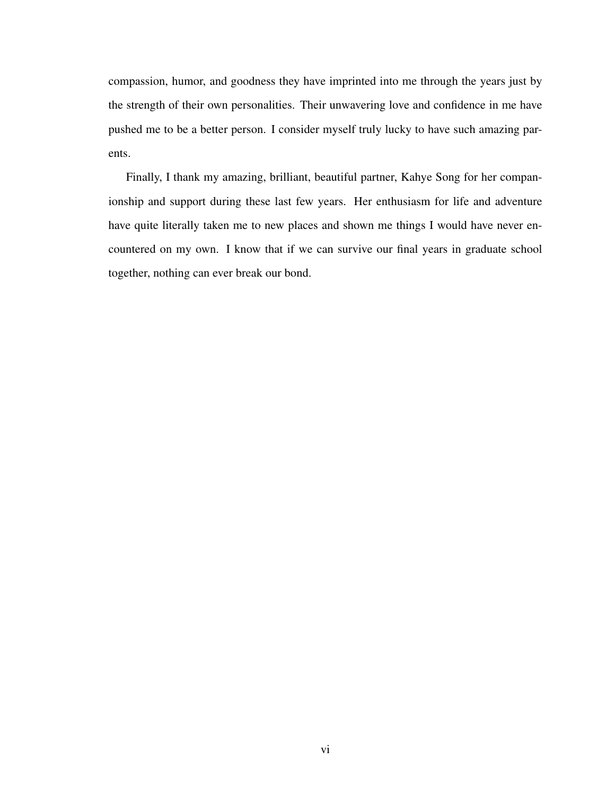compassion, humor, and goodness they have imprinted into me through the years just by the strength of their own personalities. Their unwavering love and confidence in me have pushed me to be a better person. I consider myself truly lucky to have such amazing parents.

Finally, I thank my amazing, brilliant, beautiful partner, Kahye Song for her companionship and support during these last few years. Her enthusiasm for life and adventure have quite literally taken me to new places and shown me things I would have never encountered on my own. I know that if we can survive our final years in graduate school together, nothing can ever break our bond.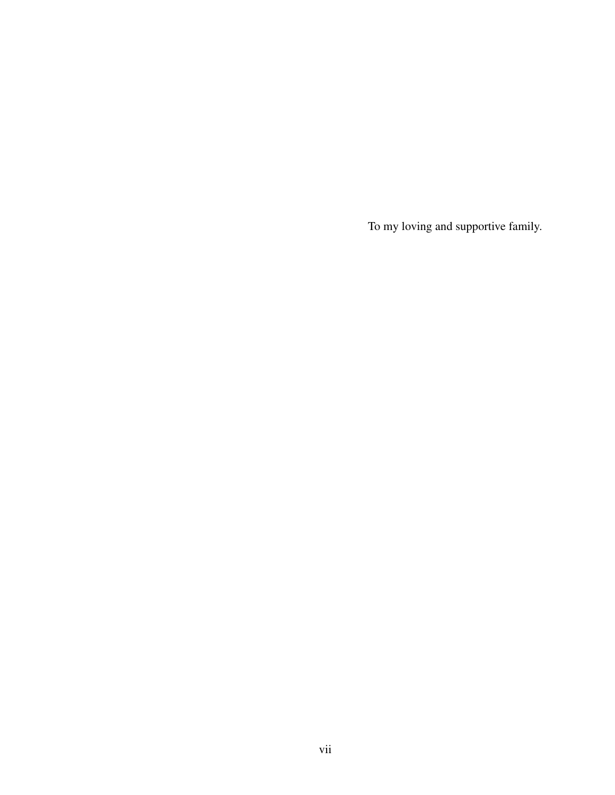To my loving and supportive family.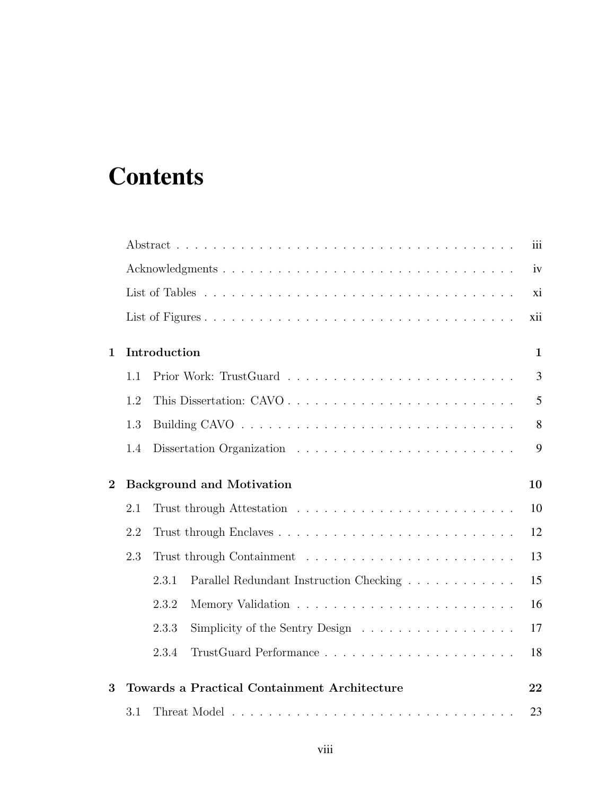## <span id="page-7-0"></span>**Contents**

|                |     |                                                                                | iii          |
|----------------|-----|--------------------------------------------------------------------------------|--------------|
|                |     |                                                                                | iv           |
|                |     |                                                                                | xi           |
|                |     |                                                                                | xii          |
| $\mathbf 1$    |     | Introduction                                                                   | $\mathbf{1}$ |
|                | 1.1 |                                                                                | 3            |
|                | 1.2 | This Dissertation: CAVO                                                        | 5            |
|                | 1.3 |                                                                                | 8            |
|                | 1.4 |                                                                                | 9            |
| $\overline{2}$ |     | <b>Background and Motivation</b>                                               | 10           |
|                | 2.1 |                                                                                | 10           |
|                | 2.2 |                                                                                | 12           |
|                | 2.3 |                                                                                | 13           |
|                |     | 2.3.1<br>Parallel Redundant Instruction Checking                               | 15           |
|                |     | 2.3.2                                                                          | 16           |
|                |     | 2.3.3<br>Simplicity of the Sentry Design $\dots \dots \dots \dots \dots \dots$ | 17           |
|                |     | 2.3.4                                                                          | 18           |
| 3              |     | <b>Towards a Practical Containment Architecture</b>                            | 22           |
|                | 3.1 |                                                                                | 23           |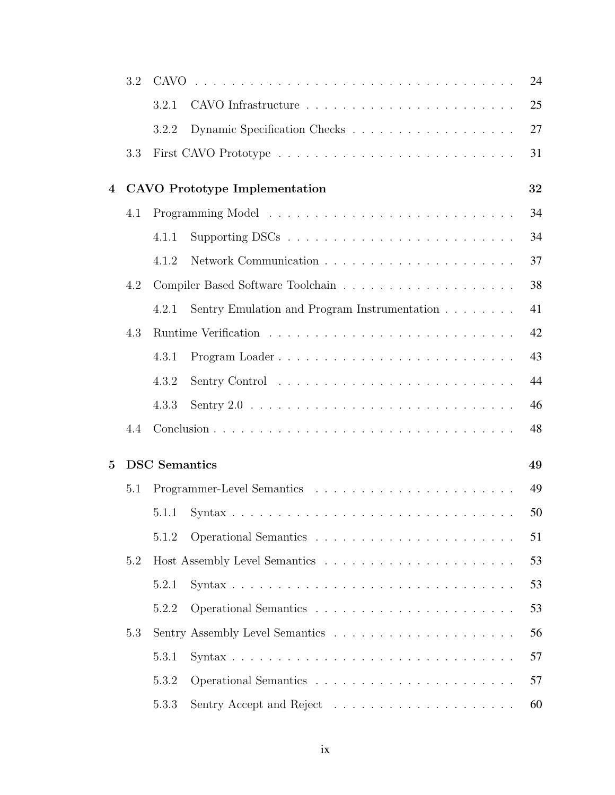|              | 3.2 |                      |                                                                                                                                                                                                                                | 24 |
|--------------|-----|----------------------|--------------------------------------------------------------------------------------------------------------------------------------------------------------------------------------------------------------------------------|----|
|              |     | 3.2.1                |                                                                                                                                                                                                                                | 25 |
|              |     | 3.2.2                |                                                                                                                                                                                                                                | 27 |
|              | 3.3 |                      |                                                                                                                                                                                                                                | 31 |
| 4            |     |                      | <b>CAVO</b> Prototype Implementation                                                                                                                                                                                           | 32 |
|              | 4.1 |                      |                                                                                                                                                                                                                                | 34 |
|              |     | 4.1.1                |                                                                                                                                                                                                                                | 34 |
|              |     | 4.1.2                |                                                                                                                                                                                                                                | 37 |
|              | 4.2 |                      |                                                                                                                                                                                                                                | 38 |
|              |     | 4.2.1                | Sentry Emulation and Program Instrumentation                                                                                                                                                                                   | 41 |
|              | 4.3 |                      |                                                                                                                                                                                                                                | 42 |
|              |     | 4.3.1                |                                                                                                                                                                                                                                | 43 |
|              |     | 4.3.2                | Sentry Control (a) and a series and a series of the series of the series of the series of the series of the series of the series of the series of the series of the series of the series of the series of the series of the se | 44 |
|              |     | 4.3.3                |                                                                                                                                                                                                                                | 46 |
|              | 4.4 |                      |                                                                                                                                                                                                                                | 48 |
| $\mathbf{5}$ |     | <b>DSC</b> Semantics |                                                                                                                                                                                                                                | 49 |
|              | 5.1 |                      |                                                                                                                                                                                                                                | 49 |
|              |     | 5.1.1                |                                                                                                                                                                                                                                | 50 |
|              |     | 5.1.2                |                                                                                                                                                                                                                                | 51 |
|              | 5.2 |                      |                                                                                                                                                                                                                                | 53 |
|              |     | 5.2.1                |                                                                                                                                                                                                                                | 53 |
|              |     | 5.2.2                |                                                                                                                                                                                                                                | 53 |
|              | 5.3 |                      |                                                                                                                                                                                                                                | 56 |
|              |     | 5.3.1                |                                                                                                                                                                                                                                | 57 |
|              |     | 5.3.2                |                                                                                                                                                                                                                                | 57 |
|              |     | 5.3.3                |                                                                                                                                                                                                                                | 60 |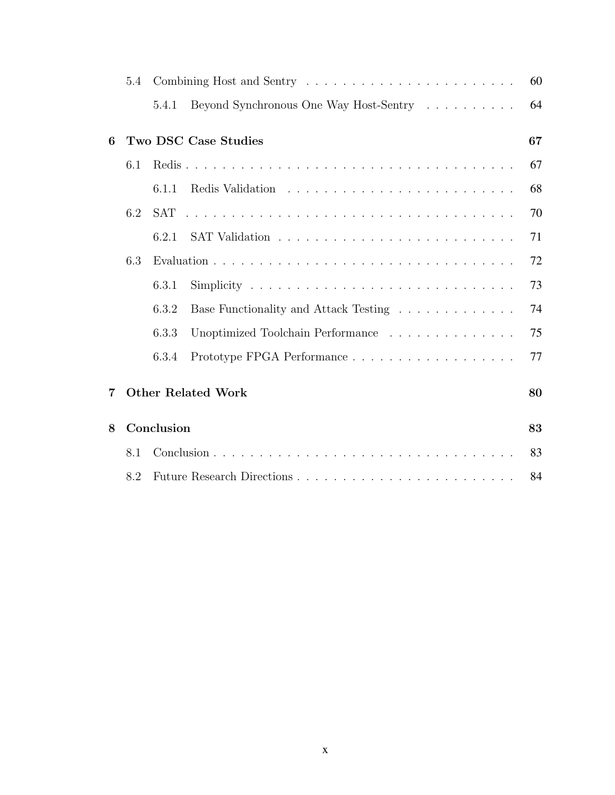|   | 5.4 |            |                                                                                                                       | 60 |
|---|-----|------------|-----------------------------------------------------------------------------------------------------------------------|----|
|   |     | 5.4.1      | Beyond Synchronous One Way Host-Sentry                                                                                | 64 |
| 6 |     |            | Two DSC Case Studies                                                                                                  | 67 |
|   | 6.1 |            |                                                                                                                       | 67 |
|   |     | 6.1.1      |                                                                                                                       | 68 |
|   | 6.2 | <b>SAT</b> | <u>. A series and a series and a series and a series and a series and a series and a series and a series and a se</u> | 70 |
|   |     | 6.2.1      |                                                                                                                       | 71 |
|   | 6.3 |            |                                                                                                                       | 72 |
|   |     | 6.3.1      |                                                                                                                       | 73 |
|   |     | 6.3.2      | Base Functionality and Attack Testing                                                                                 | 74 |
|   |     | 6.3.3      | Unoptimized Toolchain Performance                                                                                     | 75 |
|   |     | 6.3.4      |                                                                                                                       | 77 |
| 7 |     |            | <b>Other Related Work</b>                                                                                             | 80 |
| 8 |     | Conclusion |                                                                                                                       | 83 |
|   | 8.1 |            |                                                                                                                       | 83 |
|   | 8.2 |            | Future Research Directions                                                                                            | 84 |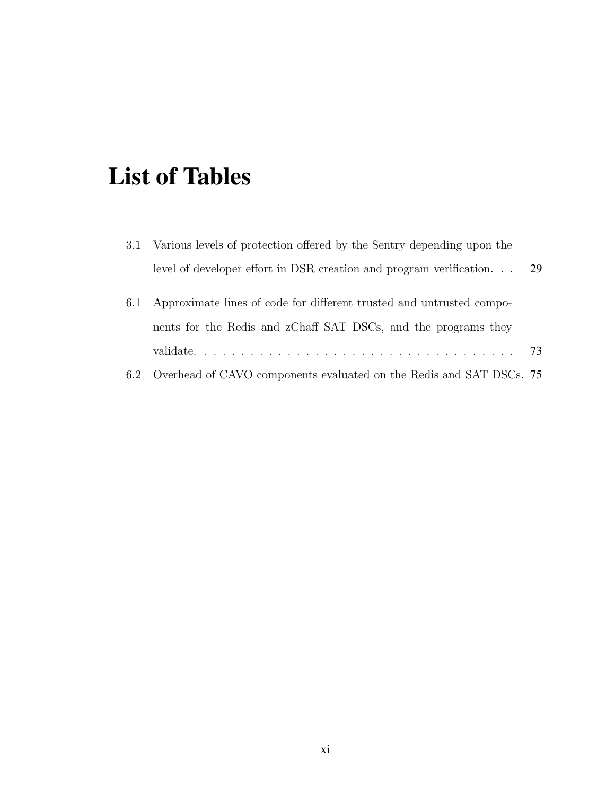### <span id="page-10-0"></span>List of Tables

|     | 3.1 Various levels of protection offered by the Sentry depending upon the |     |
|-----|---------------------------------------------------------------------------|-----|
|     | level of developer effort in DSR creation and program verification        | -29 |
| 6.1 | Approximate lines of code for different trusted and untrusted compo-      |     |
|     | nents for the Redis and zChaff SAT DSCs, and the programs they            |     |
|     |                                                                           | 73  |
| 6.2 | Overhead of CAVO components evaluated on the Redis and SAT DSCs. 75       |     |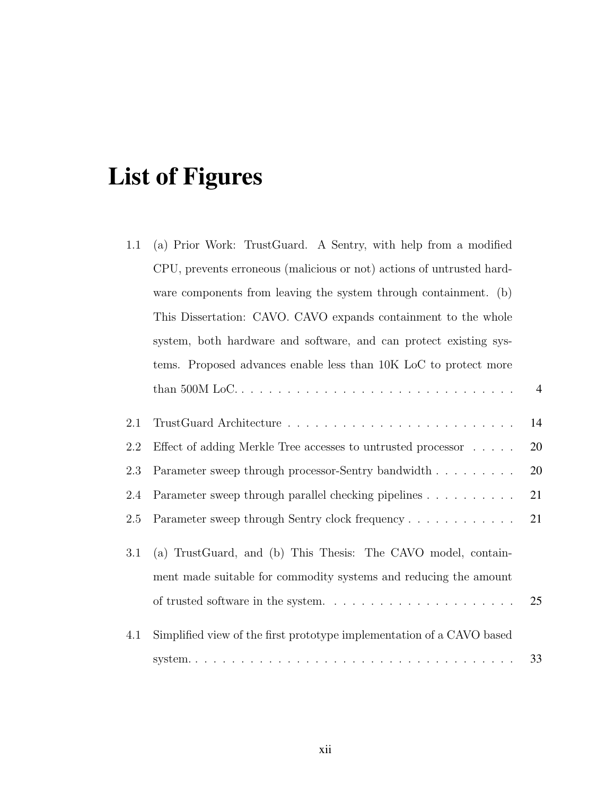# List of Figures

| 1.1 | (a) Prior Work: TrustGuard. A Sentry, with help from a modified       |                |
|-----|-----------------------------------------------------------------------|----------------|
|     | CPU, prevents erroneous (malicious or not) actions of untrusted hard- |                |
|     | ware components from leaving the system through containment. (b)      |                |
|     | This Dissertation: CAVO. CAVO expands containment to the whole        |                |
|     | system, both hardware and software, and can protect existing sys-     |                |
|     | tems. Proposed advances enable less than 10K LoC to protect more      |                |
|     |                                                                       | $\overline{4}$ |
| 2.1 |                                                                       | 14             |
| 2.2 | Effect of adding Merkle Tree accesses to untrusted processor          | 20             |
| 2.3 | Parameter sweep through processor-Sentry bandwidth                    | 20             |
| 2.4 | Parameter sweep through parallel checking pipelines                   | 21             |
| 2.5 |                                                                       | 21             |
| 3.1 | (a) TrustGuard, and (b) This Thesis: The CAVO model, contain-         |                |
|     | ment made suitable for commodity systems and reducing the amount      |                |
|     |                                                                       | 25             |
| 4.1 | Simplified view of the first prototype implementation of a CAVO based |                |
|     |                                                                       | 33             |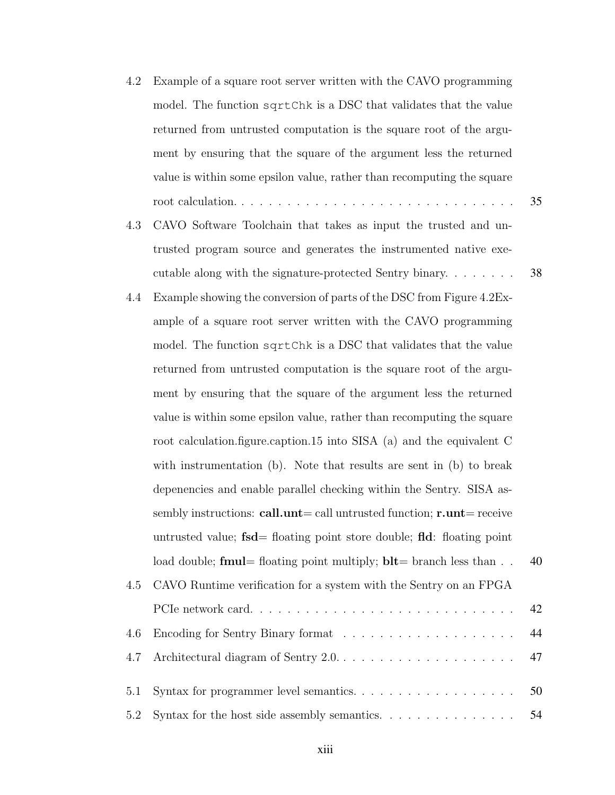- [4.2 Example of a square root server written with the CAVO programming](#page-48-0) model. The function sqrtChk [is a DSC that validates that the value](#page-48-0) [returned from untrusted computation is the square root of the argu](#page-48-0)[ment by ensuring that the square of the argument less the returned](#page-48-0) [value is within some epsilon value, rather than recomputing the square](#page-48-0) [root calculation.](#page-48-0) . . . . . . . . . . . . . . . . . . . . . . . . . . . . . . 35
- [4.3 CAVO Software Toolchain that takes as input the trusted and un](#page-51-1)[trusted program source and generates the instrumented native exe](#page-51-1)[cutable along with the signature-protected Sentry binary.](#page-51-1) . . . . . . . 38
- [4.4 Example showing the conversion of parts of the DSC from Figure 4.2Ex](#page-53-0)[ample of a square root server written with the CAVO programming](#page-53-0) model. The function sqrtChk [is a DSC that validates that the value](#page-53-0) [returned from untrusted computation is the square root of the argu](#page-53-0)[ment by ensuring that the square of the argument less the returned](#page-53-0) [value is within some epsilon value, rather than recomputing the square](#page-53-0) [root calculation.figure.caption.15 into SISA \(a\) and the equivalent C](#page-53-0) [with instrumentation \(b\). Note that results are sent in \(b\) to break](#page-53-0) [depenencies and enable parallel checking within the Sentry. SISA as-](#page-53-0)sembly instructions: call.unt[= call untrusted function;](#page-53-0)  $r$ .unt= receive untrusted value;  $f_{sd}$ [= floating point store double;](#page-53-0)  $f_{ld}$ : floating point load double; **fmul**[= floating point multiply;](#page-53-0)  $blt=$  branch less than  $\ldots$  40 [4.5 CAVO Runtime verification for a system with the Sentry on an FPGA](#page-55-1) [PCIe network card.](#page-55-1) . . . . . . . . . . . . . . . . . . . . . . . . . . . . 42 [4.6 Encoding for Sentry Binary format](#page-57-1) . . . . . . . . . . . . . . . . . . . 44 [4.7 Architectural diagram of Sentry 2.0.](#page-60-0) . . . . . . . . . . . . . . . . . . . 47
- [5.1 Syntax for programmer level semantics.](#page-63-1) . . . . . . . . . . . . . . . . . 50 [5.2 Syntax for the host side assembly semantics.](#page-67-0) . . . . . . . . . . . . . . . . 54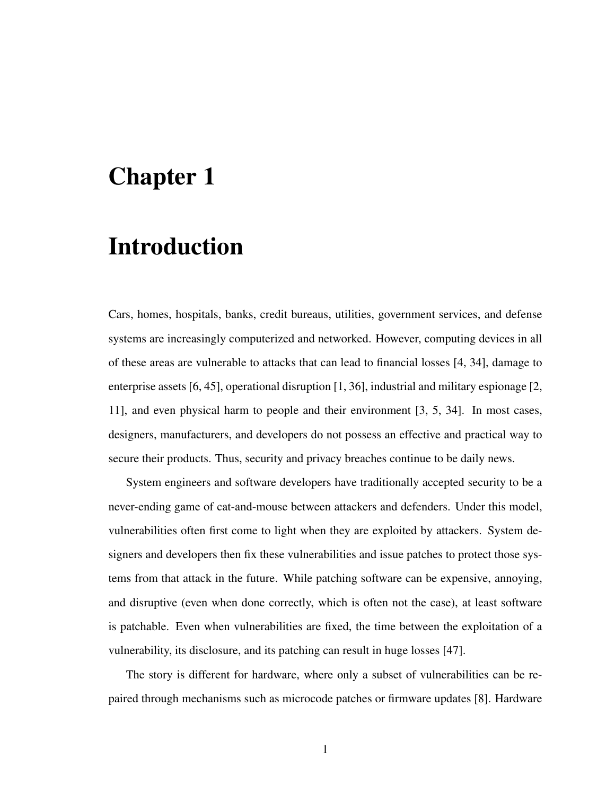### <span id="page-14-0"></span>Chapter 1

### Introduction

Cars, homes, hospitals, banks, credit bureaus, utilities, government services, and defense systems are increasingly computerized and networked. However, computing devices in all of these areas are vulnerable to attacks that can lead to financial losses [\[4,](#page-100-0) [34\]](#page-104-0), damage to enterprise assets [\[6,](#page-100-1) [45\]](#page-105-0), operational disruption [\[1,](#page-100-2) [36\]](#page-104-1), industrial and military espionage [\[2,](#page-100-3) [11\]](#page-101-0), and even physical harm to people and their environment [\[3,](#page-100-4) [5,](#page-100-5) [34\]](#page-104-0). In most cases, designers, manufacturers, and developers do not possess an effective and practical way to secure their products. Thus, security and privacy breaches continue to be daily news.

System engineers and software developers have traditionally accepted security to be a never-ending game of cat-and-mouse between attackers and defenders. Under this model, vulnerabilities often first come to light when they are exploited by attackers. System designers and developers then fix these vulnerabilities and issue patches to protect those systems from that attack in the future. While patching software can be expensive, annoying, and disruptive (even when done correctly, which is often not the case), at least software is patchable. Even when vulnerabilities are fixed, the time between the exploitation of a vulnerability, its disclosure, and its patching can result in huge losses [\[47\]](#page-105-1).

The story is different for hardware, where only a subset of vulnerabilities can be repaired through mechanisms such as microcode patches or firmware updates [\[8\]](#page-101-1). Hardware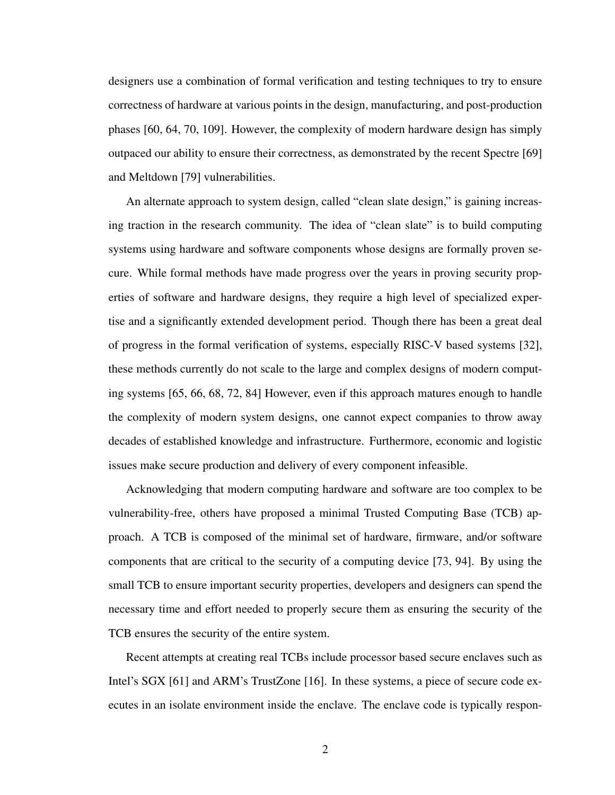designers use a combination of formal verification and testing techniques to try to ensure correctness of hardware at various points in the design, manufacturing, and post-production phases [\[60,](#page-107-0) [64,](#page-107-1) [70,](#page-108-0) [109\]](#page-113-0). However, the complexity of modern hardware design has simply outpaced our ability to ensure their correctness, as demonstrated by the recent Spectre [\[69\]](#page-108-1) and Meltdown [\[79\]](#page-109-0) vulnerabilities.

An alternate approach to system design, called "clean slate design," is gaining increasing traction in the research community. The idea of "clean slate" is to build computing systems using hardware and software components whose designs are formally proven secure. While formal methods have made progress over the years in proving security properties of software and hardware designs, they require a high level of specialized expertise and a significantly extended development period. Though there has been a great deal of progress in the formal verification of systems, especially RISC-V based systems [\[32\]](#page-103-0), these methods currently do not scale to the large and complex designs of modern computing systems [\[65,](#page-108-2) [66,](#page-108-3) [68,](#page-108-4) [72,](#page-109-1) [84\]](#page-110-0) However, even if this approach matures enough to handle the complexity of modern system designs, one cannot expect companies to throw away decades of established knowledge and infrastructure. Furthermore, economic and logistic issues make secure production and delivery of every component infeasible.

Acknowledging that modern computing hardware and software are too complex to be vulnerability-free, others have proposed a minimal Trusted Computing Base (TCB) approach. A TCB is composed of the minimal set of hardware, firmware, and/or software components that are critical to the security of a computing device [\[73,](#page-109-2) [94\]](#page-111-0). By using the small TCB to ensure important security properties, developers and designers can spend the necessary time and effort needed to properly secure them as ensuring the security of the TCB ensures the security of the entire system.

Recent attempts at creating real TCBs include processor based secure enclaves such as Intel's SGX [\[61\]](#page-107-2) and ARM's TrustZone [\[16\]](#page-101-2). In these systems, a piece of secure code executes in an isolate environment inside the enclave. The enclave code is typically respon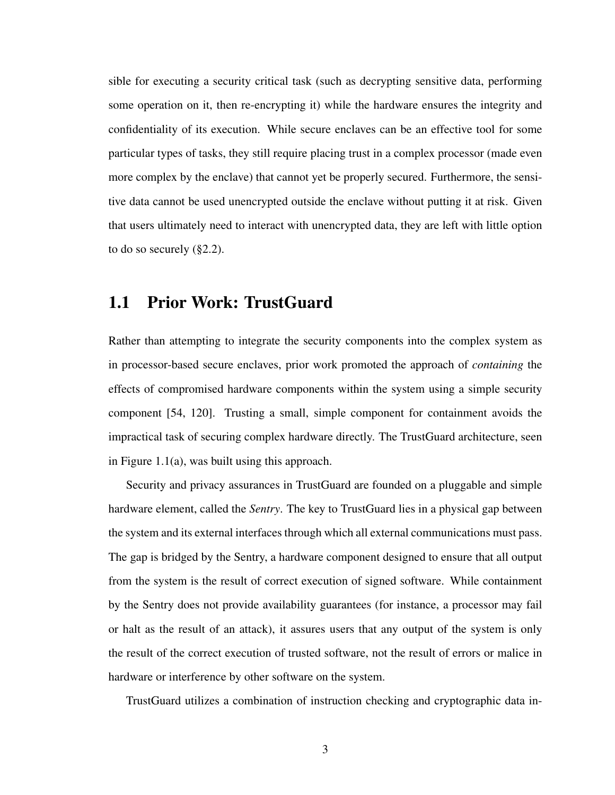sible for executing a security critical task (such as decrypting sensitive data, performing some operation on it, then re-encrypting it) while the hardware ensures the integrity and confidentiality of its execution. While secure enclaves can be an effective tool for some particular types of tasks, they still require placing trust in a complex processor (made even more complex by the enclave) that cannot yet be properly secured. Furthermore, the sensitive data cannot be used unencrypted outside the enclave without putting it at risk. Given that users ultimately need to interact with unencrypted data, they are left with little option to do so securely ([§2.2\)](#page-25-0).

### <span id="page-16-0"></span>1.1 Prior Work: TrustGuard

Rather than attempting to integrate the security components into the complex system as in processor-based secure enclaves, prior work promoted the approach of *containing* the effects of compromised hardware components within the system using a simple security component [\[54,](#page-106-0) [120\]](#page-115-0). Trusting a small, simple component for containment avoids the impractical task of securing complex hardware directly. The TrustGuard architecture, seen in Figure [1.1\(](#page-17-0)a), was built using this approach.

Security and privacy assurances in TrustGuard are founded on a pluggable and simple hardware element, called the *Sentry*. The key to TrustGuard lies in a physical gap between the system and its external interfaces through which all external communications must pass. The gap is bridged by the Sentry, a hardware component designed to ensure that all output from the system is the result of correct execution of signed software. While containment by the Sentry does not provide availability guarantees (for instance, a processor may fail or halt as the result of an attack), it assures users that any output of the system is only the result of the correct execution of trusted software, not the result of errors or malice in hardware or interference by other software on the system.

TrustGuard utilizes a combination of instruction checking and cryptographic data in-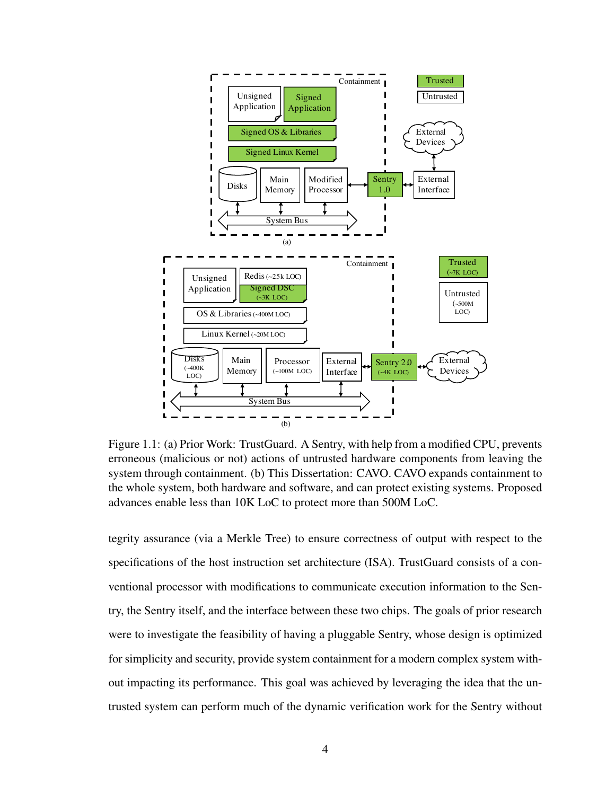<span id="page-17-0"></span>

Figure 1.1: (a) Prior Work: TrustGuard. A Sentry, with help from a modified CPU, prevents erroneous (malicious or not) actions of untrusted hardware components from leaving the system through containment. (b) This Dissertation: CAVO. CAVO expands containment to the whole system, both hardware and software, and can protect existing systems. Proposed advances enable less than 10K LoC to protect more than 500M LoC.

tegrity assurance (via a Merkle Tree) to ensure correctness of output with respect to the specifications of the host instruction set architecture (ISA). TrustGuard consists of a conventional processor with modifications to communicate execution information to the Sentry, the Sentry itself, and the interface between these two chips. The goals of prior research were to investigate the feasibility of having a pluggable Sentry, whose design is optimized for simplicity and security, provide system containment for a modern complex system without impacting its performance. This goal was achieved by leveraging the idea that the untrusted system can perform much of the dynamic verification work for the Sentry without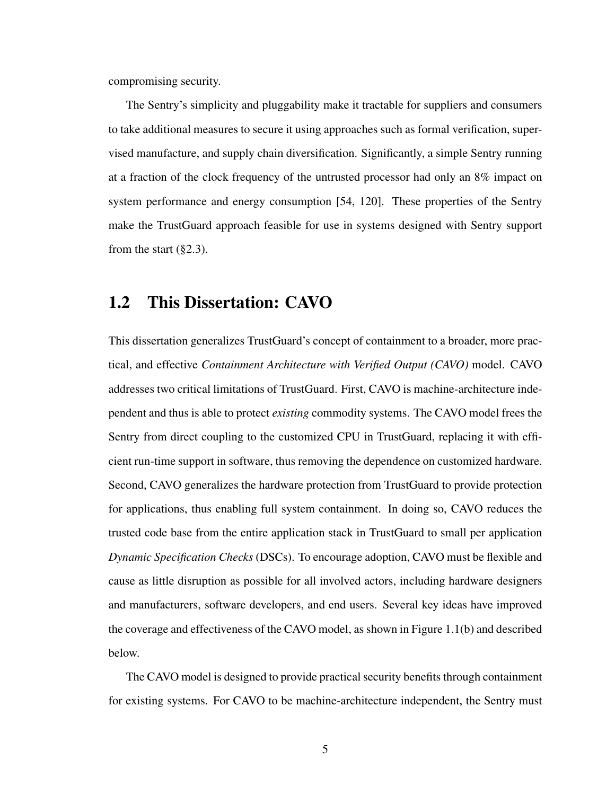compromising security.

The Sentry's simplicity and pluggability make it tractable for suppliers and consumers to take additional measures to secure it using approaches such as formal verification, supervised manufacture, and supply chain diversification. Significantly, a simple Sentry running at a fraction of the clock frequency of the untrusted processor had only an 8% impact on system performance and energy consumption [\[54,](#page-106-0) [120\]](#page-115-0). These properties of the Sentry make the TrustGuard approach feasible for use in systems designed with Sentry support from the start  $(\S2.3)$ .

### <span id="page-18-0"></span>1.2 This Dissertation: CAVO

This dissertation generalizes TrustGuard's concept of containment to a broader, more practical, and effective *Containment Architecture with Verified Output (CAVO)* model. CAVO addresses two critical limitations of TrustGuard. First, CAVO is machine-architecture independent and thus is able to protect *existing* commodity systems. The CAVO model frees the Sentry from direct coupling to the customized CPU in TrustGuard, replacing it with efficient run-time support in software, thus removing the dependence on customized hardware. Second, CAVO generalizes the hardware protection from TrustGuard to provide protection for applications, thus enabling full system containment. In doing so, CAVO reduces the trusted code base from the entire application stack in TrustGuard to small per application *Dynamic Specification Checks* (DSCs). To encourage adoption, CAVO must be flexible and cause as little disruption as possible for all involved actors, including hardware designers and manufacturers, software developers, and end users. Several key ideas have improved the coverage and effectiveness of the CAVO model, as shown in Figure [1.1\(](#page-17-0)b) and described below.

The CAVO model is designed to provide practical security benefits through containment for existing systems. For CAVO to be machine-architecture independent, the Sentry must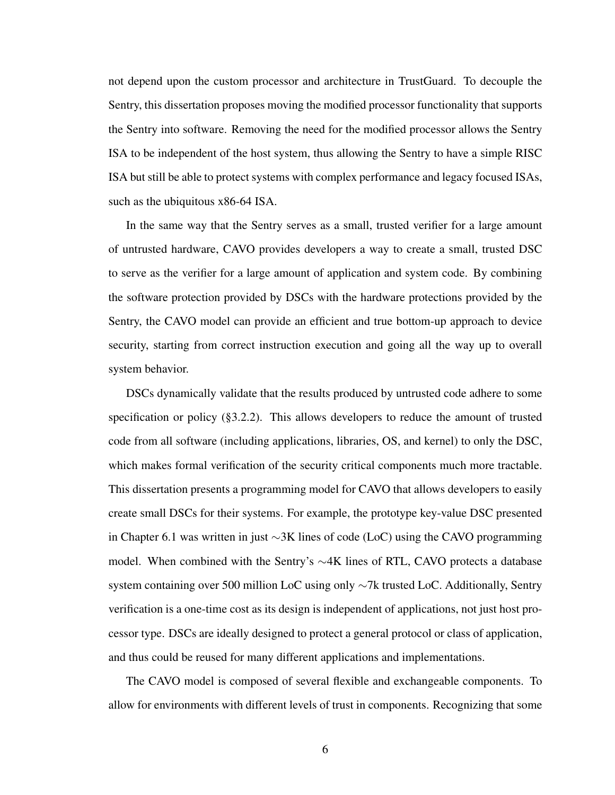not depend upon the custom processor and architecture in TrustGuard. To decouple the Sentry, this dissertation proposes moving the modified processor functionality that supports the Sentry into software. Removing the need for the modified processor allows the Sentry ISA to be independent of the host system, thus allowing the Sentry to have a simple RISC ISA but still be able to protect systems with complex performance and legacy focused ISAs, such as the ubiquitous x86-64 ISA.

In the same way that the Sentry serves as a small, trusted verifier for a large amount of untrusted hardware, CAVO provides developers a way to create a small, trusted DSC to serve as the verifier for a large amount of application and system code. By combining the software protection provided by DSCs with the hardware protections provided by the Sentry, the CAVO model can provide an efficient and true bottom-up approach to device security, starting from correct instruction execution and going all the way up to overall system behavior.

DSCs dynamically validate that the results produced by untrusted code adhere to some specification or policy ([§3.2.2\)](#page-40-0). This allows developers to reduce the amount of trusted code from all software (including applications, libraries, OS, and kernel) to only the DSC, which makes formal verification of the security critical components much more tractable. This dissertation presents a programming model for CAVO that allows developers to easily create small DSCs for their systems. For example, the prototype key-value DSC presented in Chapter [6.1](#page-80-1) was written in just ∼3K lines of code (LoC) using the CAVO programming model. When combined with the Sentry's  $\sim$ 4K lines of RTL, CAVO protects a database system containing over 500 million LoC using only ∼7k trusted LoC. Additionally, Sentry verification is a one-time cost as its design is independent of applications, not just host processor type. DSCs are ideally designed to protect a general protocol or class of application, and thus could be reused for many different applications and implementations.

The CAVO model is composed of several flexible and exchangeable components. To allow for environments with different levels of trust in components. Recognizing that some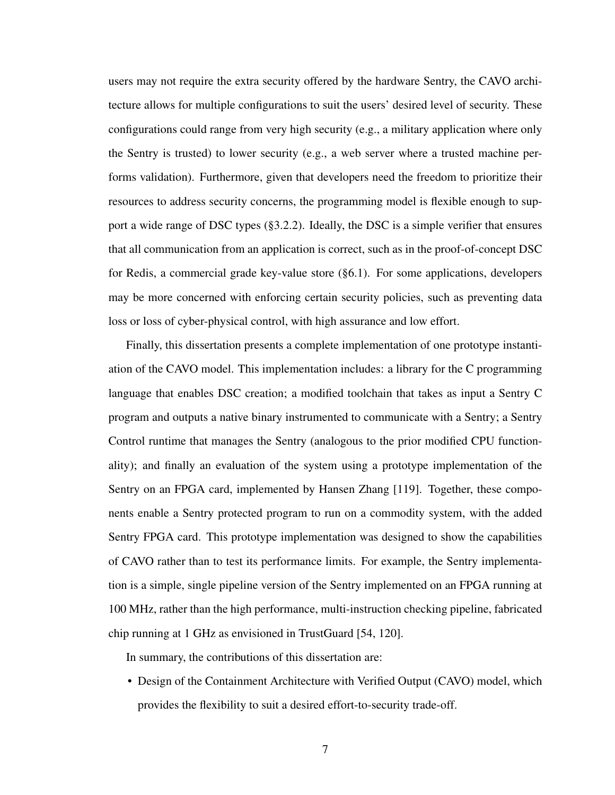users may not require the extra security offered by the hardware Sentry, the CAVO architecture allows for multiple configurations to suit the users' desired level of security. These configurations could range from very high security (e.g., a military application where only the Sentry is trusted) to lower security (e.g., a web server where a trusted machine performs validation). Furthermore, given that developers need the freedom to prioritize their resources to address security concerns, the programming model is flexible enough to support a wide range of DSC types ([§3.2.2\)](#page-40-0). Ideally, the DSC is a simple verifier that ensures that all communication from an application is correct, such as in the proof-of-concept DSC for Redis, a commercial grade key-value store ([§6.1\)](#page-80-1). For some applications, developers may be more concerned with enforcing certain security policies, such as preventing data loss or loss of cyber-physical control, with high assurance and low effort.

Finally, this dissertation presents a complete implementation of one prototype instantiation of the CAVO model. This implementation includes: a library for the C programming language that enables DSC creation; a modified toolchain that takes as input a Sentry C program and outputs a native binary instrumented to communicate with a Sentry; a Sentry Control runtime that manages the Sentry (analogous to the prior modified CPU functionality); and finally an evaluation of the system using a prototype implementation of the Sentry on an FPGA card, implemented by Hansen Zhang [\[119\]](#page-114-0). Together, these components enable a Sentry protected program to run on a commodity system, with the added Sentry FPGA card. This prototype implementation was designed to show the capabilities of CAVO rather than to test its performance limits. For example, the Sentry implementation is a simple, single pipeline version of the Sentry implemented on an FPGA running at 100 MHz, rather than the high performance, multi-instruction checking pipeline, fabricated chip running at 1 GHz as envisioned in TrustGuard [\[54,](#page-106-0) [120\]](#page-115-0).

In summary, the contributions of this dissertation are:

• Design of the Containment Architecture with Verified Output (CAVO) model, which provides the flexibility to suit a desired effort-to-security trade-off.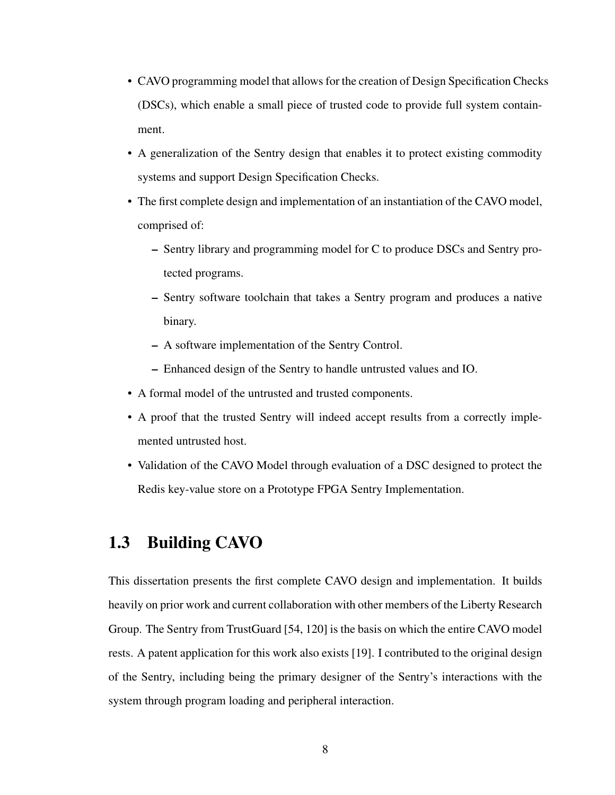- CAVO programming model that allows for the creation of Design Specification Checks (DSCs), which enable a small piece of trusted code to provide full system containment.
- A generalization of the Sentry design that enables it to protect existing commodity systems and support Design Specification Checks.
- The first complete design and implementation of an instantiation of the CAVO model, comprised of:
	- Sentry library and programming model for C to produce DSCs and Sentry protected programs.
	- Sentry software toolchain that takes a Sentry program and produces a native binary.
	- A software implementation of the Sentry Control.
	- Enhanced design of the Sentry to handle untrusted values and IO.
- A formal model of the untrusted and trusted components.
- A proof that the trusted Sentry will indeed accept results from a correctly implemented untrusted host.
- Validation of the CAVO Model through evaluation of a DSC designed to protect the Redis key-value store on a Prototype FPGA Sentry Implementation.

### <span id="page-21-0"></span>1.3 Building CAVO

This dissertation presents the first complete CAVO design and implementation. It builds heavily on prior work and current collaboration with other members of the Liberty Research Group. The Sentry from TrustGuard [\[54,](#page-106-0) [120\]](#page-115-0) is the basis on which the entire CAVO model rests. A patent application for this work also exists [\[19\]](#page-102-0). I contributed to the original design of the Sentry, including being the primary designer of the Sentry's interactions with the system through program loading and peripheral interaction.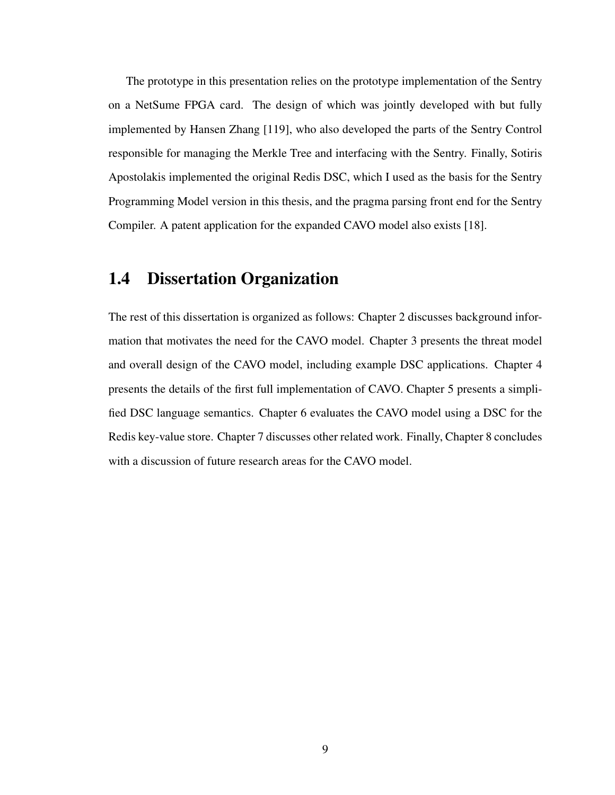The prototype in this presentation relies on the prototype implementation of the Sentry on a NetSume FPGA card. The design of which was jointly developed with but fully implemented by Hansen Zhang [\[119\]](#page-114-0), who also developed the parts of the Sentry Control responsible for managing the Merkle Tree and interfacing with the Sentry. Finally, Sotiris Apostolakis implemented the original Redis DSC, which I used as the basis for the Sentry Programming Model version in this thesis, and the pragma parsing front end for the Sentry Compiler. A patent application for the expanded CAVO model also exists [\[18\]](#page-102-1).

### <span id="page-22-0"></span>1.4 Dissertation Organization

The rest of this dissertation is organized as follows: Chapter 2 discusses background information that motivates the need for the CAVO model. Chapter 3 presents the threat model and overall design of the CAVO model, including example DSC applications. Chapter 4 presents the details of the first full implementation of CAVO. Chapter 5 presents a simplified DSC language semantics. Chapter 6 evaluates the CAVO model using a DSC for the Redis key-value store. Chapter 7 discusses other related work. Finally, Chapter 8 concludes with a discussion of future research areas for the CAVO model.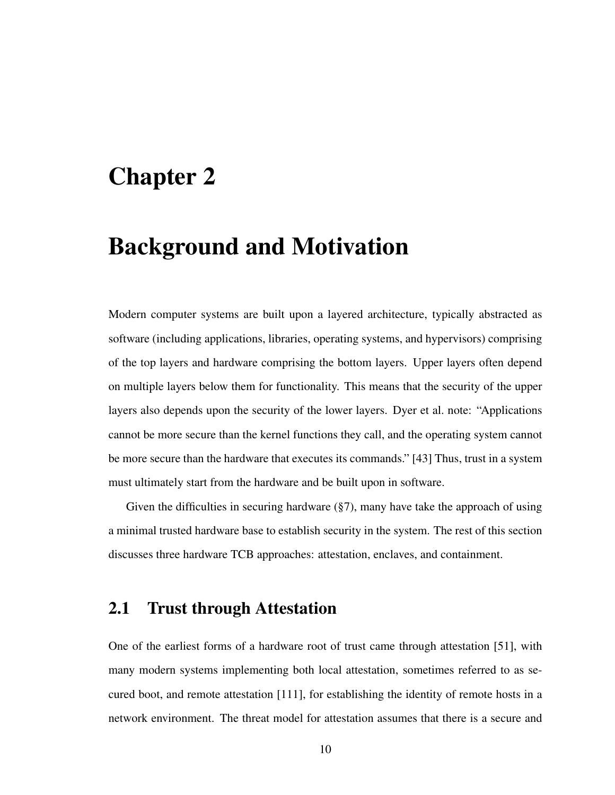### <span id="page-23-0"></span>Chapter 2

### Background and Motivation

Modern computer systems are built upon a layered architecture, typically abstracted as software (including applications, libraries, operating systems, and hypervisors) comprising of the top layers and hardware comprising the bottom layers. Upper layers often depend on multiple layers below them for functionality. This means that the security of the upper layers also depends upon the security of the lower layers. Dyer et al. note: "Applications cannot be more secure than the kernel functions they call, and the operating system cannot be more secure than the hardware that executes its commands." [\[43\]](#page-105-2) Thus, trust in a system must ultimately start from the hardware and be built upon in software.

Given the difficulties in securing hardware  $(\S 7)$ , many have take the approach of using a minimal trusted hardware base to establish security in the system. The rest of this section discusses three hardware TCB approaches: attestation, enclaves, and containment.

### <span id="page-23-1"></span>2.1 Trust through Attestation

One of the earliest forms of a hardware root of trust came through attestation [\[51\]](#page-106-1), with many modern systems implementing both local attestation, sometimes referred to as secured boot, and remote attestation [\[111\]](#page-113-1), for establishing the identity of remote hosts in a network environment. The threat model for attestation assumes that there is a secure and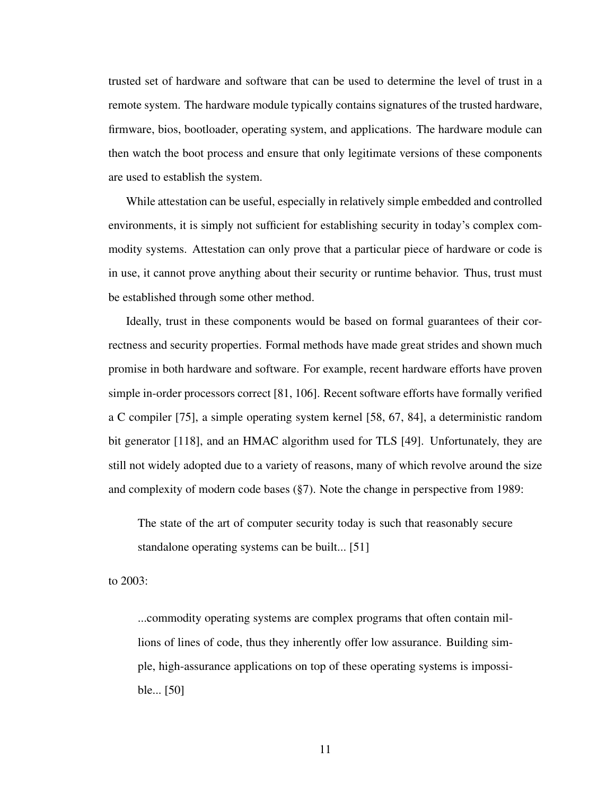trusted set of hardware and software that can be used to determine the level of trust in a remote system. The hardware module typically contains signatures of the trusted hardware, firmware, bios, bootloader, operating system, and applications. The hardware module can then watch the boot process and ensure that only legitimate versions of these components are used to establish the system.

While attestation can be useful, especially in relatively simple embedded and controlled environments, it is simply not sufficient for establishing security in today's complex commodity systems. Attestation can only prove that a particular piece of hardware or code is in use, it cannot prove anything about their security or runtime behavior. Thus, trust must be established through some other method.

Ideally, trust in these components would be based on formal guarantees of their correctness and security properties. Formal methods have made great strides and shown much promise in both hardware and software. For example, recent hardware efforts have proven simple in-order processors correct [\[81,](#page-110-1) [106\]](#page-113-2). Recent software efforts have formally verified a C compiler [\[75\]](#page-109-3), a simple operating system kernel [\[58,](#page-107-3) [67,](#page-108-5) [84\]](#page-110-0), a deterministic random bit generator [\[118\]](#page-114-1), and an HMAC algorithm used for TLS [\[49\]](#page-106-2). Unfortunately, they are still not widely adopted due to a variety of reasons, many of which revolve around the size and complexity of modern code bases ([§7\)](#page-93-0). Note the change in perspective from 1989:

The state of the art of computer security today is such that reasonably secure standalone operating systems can be built... [\[51\]](#page-106-1)

to 2003:

...commodity operating systems are complex programs that often contain millions of lines of code, thus they inherently offer low assurance. Building simple, high-assurance applications on top of these operating systems is impossible... [\[50\]](#page-106-3)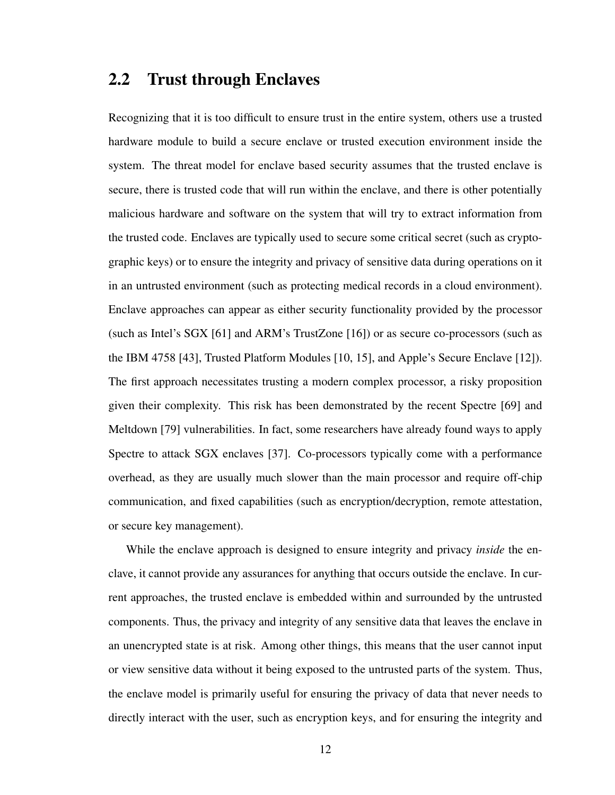### <span id="page-25-0"></span>2.2 Trust through Enclaves

Recognizing that it is too difficult to ensure trust in the entire system, others use a trusted hardware module to build a secure enclave or trusted execution environment inside the system. The threat model for enclave based security assumes that the trusted enclave is secure, there is trusted code that will run within the enclave, and there is other potentially malicious hardware and software on the system that will try to extract information from the trusted code. Enclaves are typically used to secure some critical secret (such as cryptographic keys) or to ensure the integrity and privacy of sensitive data during operations on it in an untrusted environment (such as protecting medical records in a cloud environment). Enclave approaches can appear as either security functionality provided by the processor (such as Intel's SGX [\[61\]](#page-107-2) and ARM's TrustZone [\[16\]](#page-101-2)) or as secure co-processors (such as the IBM 4758 [\[43\]](#page-105-2), Trusted Platform Modules [\[10,](#page-101-3) [15\]](#page-101-4), and Apple's Secure Enclave [\[12\]](#page-101-5)). The first approach necessitates trusting a modern complex processor, a risky proposition given their complexity. This risk has been demonstrated by the recent Spectre [\[69\]](#page-108-1) and Meltdown [\[79\]](#page-109-0) vulnerabilities. In fact, some researchers have already found ways to apply Spectre to attack SGX enclaves [\[37\]](#page-104-2). Co-processors typically come with a performance overhead, as they are usually much slower than the main processor and require off-chip communication, and fixed capabilities (such as encryption/decryption, remote attestation, or secure key management).

While the enclave approach is designed to ensure integrity and privacy *inside* the enclave, it cannot provide any assurances for anything that occurs outside the enclave. In current approaches, the trusted enclave is embedded within and surrounded by the untrusted components. Thus, the privacy and integrity of any sensitive data that leaves the enclave in an unencrypted state is at risk. Among other things, this means that the user cannot input or view sensitive data without it being exposed to the untrusted parts of the system. Thus, the enclave model is primarily useful for ensuring the privacy of data that never needs to directly interact with the user, such as encryption keys, and for ensuring the integrity and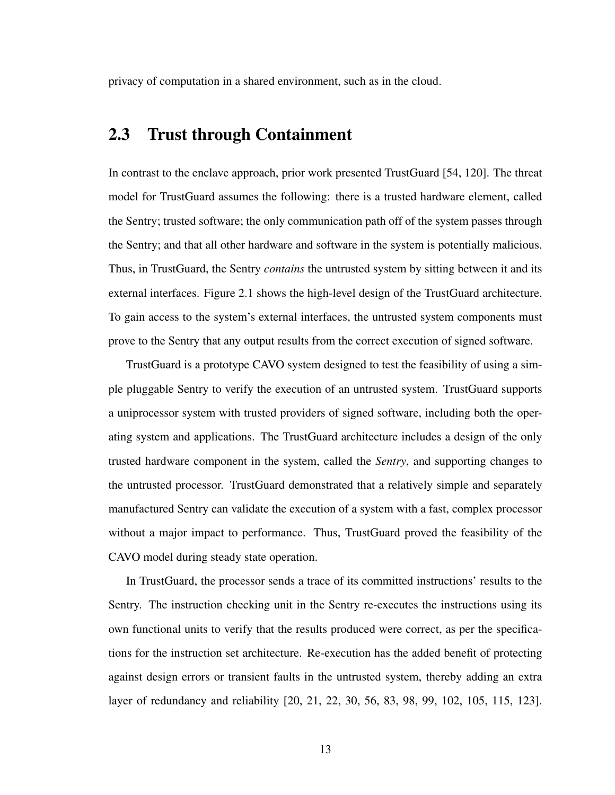privacy of computation in a shared environment, such as in the cloud.

### <span id="page-26-0"></span>2.3 Trust through Containment

In contrast to the enclave approach, prior work presented TrustGuard [\[54,](#page-106-0) [120\]](#page-115-0). The threat model for TrustGuard assumes the following: there is a trusted hardware element, called the Sentry; trusted software; the only communication path off of the system passes through the Sentry; and that all other hardware and software in the system is potentially malicious. Thus, in TrustGuard, the Sentry *contains* the untrusted system by sitting between it and its external interfaces. Figure [2.1](#page-27-0) shows the high-level design of the TrustGuard architecture. To gain access to the system's external interfaces, the untrusted system components must prove to the Sentry that any output results from the correct execution of signed software.

TrustGuard is a prototype CAVO system designed to test the feasibility of using a simple pluggable Sentry to verify the execution of an untrusted system. TrustGuard supports a uniprocessor system with trusted providers of signed software, including both the operating system and applications. The TrustGuard architecture includes a design of the only trusted hardware component in the system, called the *Sentry*, and supporting changes to the untrusted processor. TrustGuard demonstrated that a relatively simple and separately manufactured Sentry can validate the execution of a system with a fast, complex processor without a major impact to performance. Thus, TrustGuard proved the feasibility of the CAVO model during steady state operation.

In TrustGuard, the processor sends a trace of its committed instructions' results to the Sentry. The instruction checking unit in the Sentry re-executes the instructions using its own functional units to verify that the results produced were correct, as per the specifications for the instruction set architecture. Re-execution has the added benefit of protecting against design errors or transient faults in the untrusted system, thereby adding an extra layer of redundancy and reliability [\[20,](#page-102-2) [21,](#page-102-3) [22,](#page-102-4) [30,](#page-103-1) [56,](#page-106-4) [83,](#page-110-2) [98,](#page-112-0) [99,](#page-112-1) [102,](#page-112-2) [105,](#page-113-3) [115,](#page-114-2) [123\]](#page-115-1).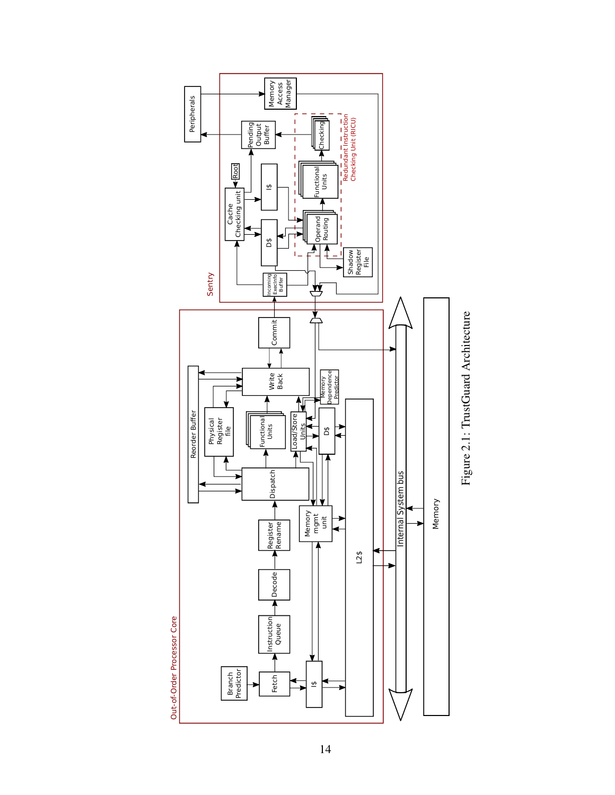<span id="page-27-0"></span>

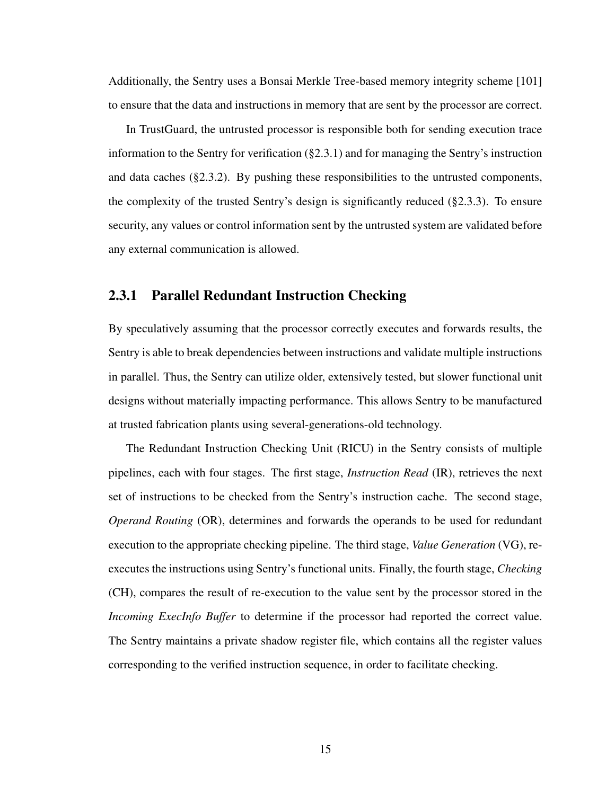Additionally, the Sentry uses a Bonsai Merkle Tree-based memory integrity scheme [\[101\]](#page-112-3) to ensure that the data and instructions in memory that are sent by the processor are correct.

In TrustGuard, the untrusted processor is responsible both for sending execution trace information to the Sentry for verification ([§2.3.1\)](#page-28-0) and for managing the Sentry's instruction and data caches ([§2.3.2\)](#page-29-0). By pushing these responsibilities to the untrusted components, the complexity of the trusted Sentry's design is significantly reduced ([§2.3.3\)](#page-30-0). To ensure security, any values or control information sent by the untrusted system are validated before any external communication is allowed.

#### <span id="page-28-0"></span>2.3.1 Parallel Redundant Instruction Checking

By speculatively assuming that the processor correctly executes and forwards results, the Sentry is able to break dependencies between instructions and validate multiple instructions in parallel. Thus, the Sentry can utilize older, extensively tested, but slower functional unit designs without materially impacting performance. This allows Sentry to be manufactured at trusted fabrication plants using several-generations-old technology.

The Redundant Instruction Checking Unit (RICU) in the Sentry consists of multiple pipelines, each with four stages. The first stage, *Instruction Read* (IR), retrieves the next set of instructions to be checked from the Sentry's instruction cache. The second stage, *Operand Routing* (OR), determines and forwards the operands to be used for redundant execution to the appropriate checking pipeline. The third stage, *Value Generation* (VG), reexecutes the instructions using Sentry's functional units. Finally, the fourth stage, *Checking* (CH), compares the result of re-execution to the value sent by the processor stored in the *Incoming ExecInfo Buffer* to determine if the processor had reported the correct value. The Sentry maintains a private shadow register file, which contains all the register values corresponding to the verified instruction sequence, in order to facilitate checking.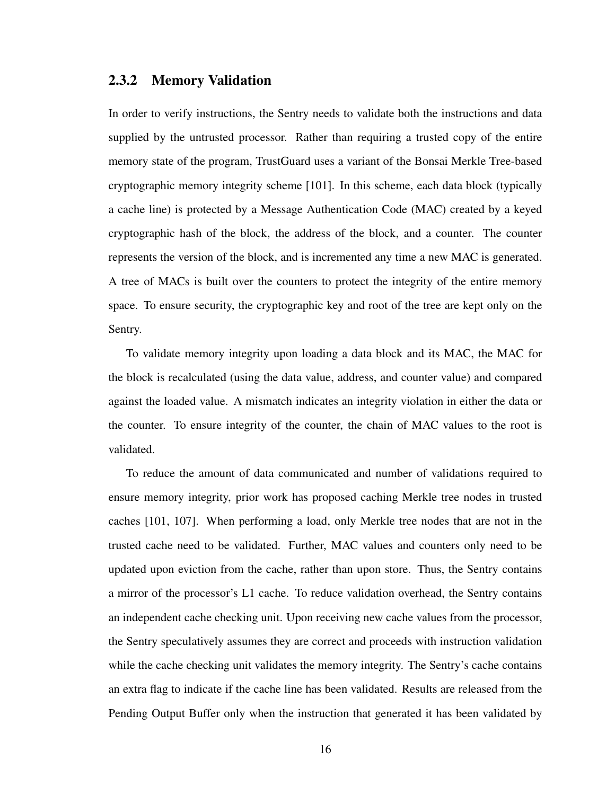#### <span id="page-29-0"></span>2.3.2 Memory Validation

In order to verify instructions, the Sentry needs to validate both the instructions and data supplied by the untrusted processor. Rather than requiring a trusted copy of the entire memory state of the program, TrustGuard uses a variant of the Bonsai Merkle Tree-based cryptographic memory integrity scheme [\[101\]](#page-112-3). In this scheme, each data block (typically a cache line) is protected by a Message Authentication Code (MAC) created by a keyed cryptographic hash of the block, the address of the block, and a counter. The counter represents the version of the block, and is incremented any time a new MAC is generated. A tree of MACs is built over the counters to protect the integrity of the entire memory space. To ensure security, the cryptographic key and root of the tree are kept only on the Sentry.

To validate memory integrity upon loading a data block and its MAC, the MAC for the block is recalculated (using the data value, address, and counter value) and compared against the loaded value. A mismatch indicates an integrity violation in either the data or the counter. To ensure integrity of the counter, the chain of MAC values to the root is validated.

To reduce the amount of data communicated and number of validations required to ensure memory integrity, prior work has proposed caching Merkle tree nodes in trusted caches [\[101,](#page-112-3) [107\]](#page-113-4). When performing a load, only Merkle tree nodes that are not in the trusted cache need to be validated. Further, MAC values and counters only need to be updated upon eviction from the cache, rather than upon store. Thus, the Sentry contains a mirror of the processor's L1 cache. To reduce validation overhead, the Sentry contains an independent cache checking unit. Upon receiving new cache values from the processor, the Sentry speculatively assumes they are correct and proceeds with instruction validation while the cache checking unit validates the memory integrity. The Sentry's cache contains an extra flag to indicate if the cache line has been validated. Results are released from the Pending Output Buffer only when the instruction that generated it has been validated by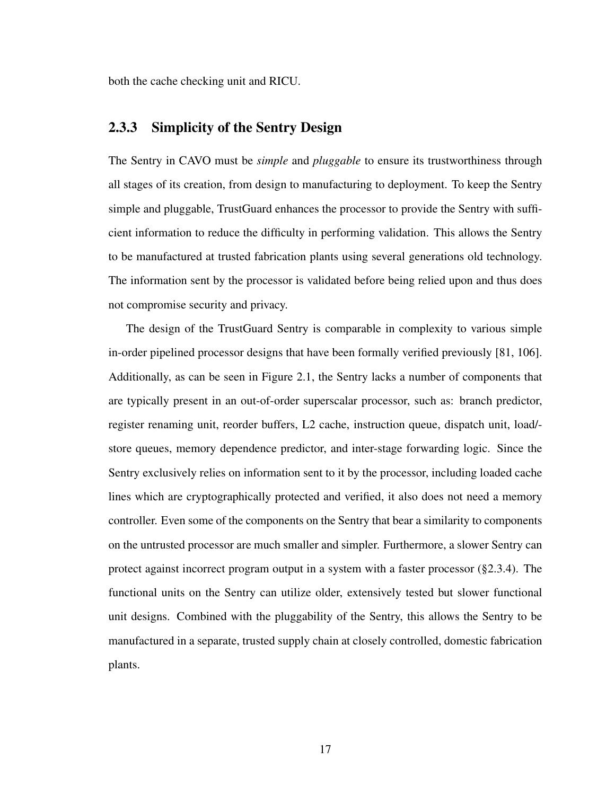both the cache checking unit and RICU.

#### <span id="page-30-0"></span>2.3.3 Simplicity of the Sentry Design

The Sentry in CAVO must be *simple* and *pluggable* to ensure its trustworthiness through all stages of its creation, from design to manufacturing to deployment. To keep the Sentry simple and pluggable, TrustGuard enhances the processor to provide the Sentry with sufficient information to reduce the difficulty in performing validation. This allows the Sentry to be manufactured at trusted fabrication plants using several generations old technology. The information sent by the processor is validated before being relied upon and thus does not compromise security and privacy.

The design of the TrustGuard Sentry is comparable in complexity to various simple in-order pipelined processor designs that have been formally verified previously [\[81,](#page-110-1) [106\]](#page-113-2). Additionally, as can be seen in Figure [2.1,](#page-27-0) the Sentry lacks a number of components that are typically present in an out-of-order superscalar processor, such as: branch predictor, register renaming unit, reorder buffers, L2 cache, instruction queue, dispatch unit, load/ store queues, memory dependence predictor, and inter-stage forwarding logic. Since the Sentry exclusively relies on information sent to it by the processor, including loaded cache lines which are cryptographically protected and verified, it also does not need a memory controller. Even some of the components on the Sentry that bear a similarity to components on the untrusted processor are much smaller and simpler. Furthermore, a slower Sentry can protect against incorrect program output in a system with a faster processor ([§2.3.4\)](#page-31-0). The functional units on the Sentry can utilize older, extensively tested but slower functional unit designs. Combined with the pluggability of the Sentry, this allows the Sentry to be manufactured in a separate, trusted supply chain at closely controlled, domestic fabrication plants.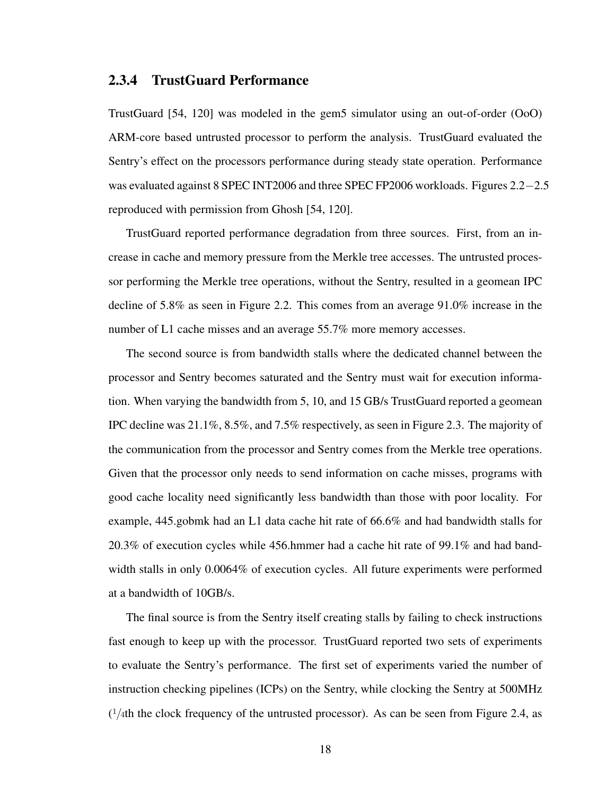#### <span id="page-31-0"></span>2.3.4 TrustGuard Performance

TrustGuard [\[54,](#page-106-0) [120\]](#page-115-0) was modeled in the gem5 simulator using an out-of-order (OoO) ARM-core based untrusted processor to perform the analysis. TrustGuard evaluated the Sentry's effect on the processors performance during steady state operation. Performance was evaluated against 8 SPEC INT2006 and three SPEC FP2006 workloads. Figures [2.2](#page-33-0)−[2.5](#page-34-0) reproduced with permission from Ghosh [\[54,](#page-106-0) [120\]](#page-115-0).

TrustGuard reported performance degradation from three sources. First, from an increase in cache and memory pressure from the Merkle tree accesses. The untrusted processor performing the Merkle tree operations, without the Sentry, resulted in a geomean IPC decline of 5.8% as seen in Figure [2.2.](#page-33-0) This comes from an average 91.0% increase in the number of L1 cache misses and an average 55.7% more memory accesses.

The second source is from bandwidth stalls where the dedicated channel between the processor and Sentry becomes saturated and the Sentry must wait for execution information. When varying the bandwidth from 5, 10, and 15 GB/s TrustGuard reported a geomean IPC decline was 21.1%, 8.5%, and 7.5% respectively, as seen in Figure [2.3.](#page-33-0) The majority of the communication from the processor and Sentry comes from the Merkle tree operations. Given that the processor only needs to send information on cache misses, programs with good cache locality need significantly less bandwidth than those with poor locality. For example, 445.gobmk had an L1 data cache hit rate of 66.6% and had bandwidth stalls for 20.3% of execution cycles while 456.hmmer had a cache hit rate of 99.1% and had bandwidth stalls in only 0.0064% of execution cycles. All future experiments were performed at a bandwidth of 10GB/s.

The final source is from the Sentry itself creating stalls by failing to check instructions fast enough to keep up with the processor. TrustGuard reported two sets of experiments to evaluate the Sentry's performance. The first set of experiments varied the number of instruction checking pipelines (ICPs) on the Sentry, while clocking the Sentry at 500MHz  $(1/4th$  the clock frequency of the untrusted processor). As can be seen from Figure [2.4,](#page-34-0) as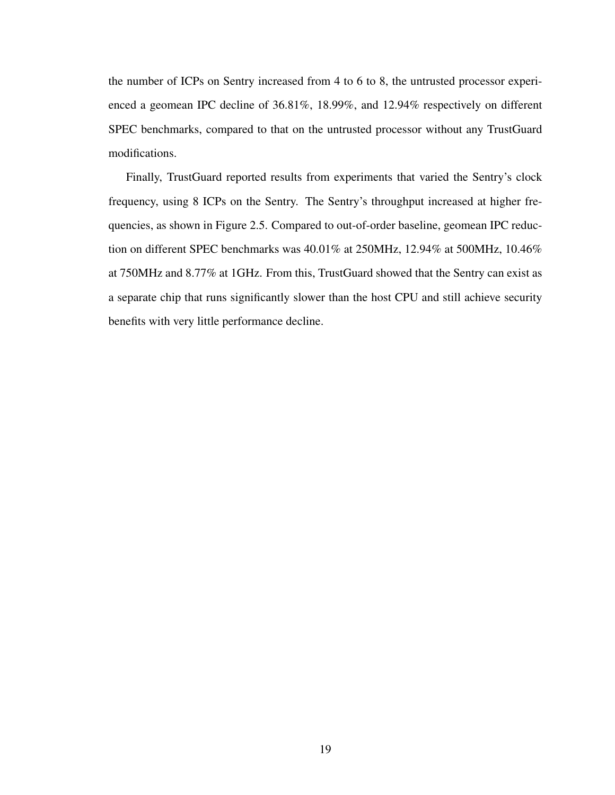the number of ICPs on Sentry increased from 4 to 6 to 8, the untrusted processor experienced a geomean IPC decline of 36.81%, 18.99%, and 12.94% respectively on different SPEC benchmarks, compared to that on the untrusted processor without any TrustGuard modifications.

Finally, TrustGuard reported results from experiments that varied the Sentry's clock frequency, using 8 ICPs on the Sentry. The Sentry's throughput increased at higher frequencies, as shown in Figure [2.5.](#page-34-0) Compared to out-of-order baseline, geomean IPC reduction on different SPEC benchmarks was 40.01% at 250MHz, 12.94% at 500MHz, 10.46% at 750MHz and 8.77% at 1GHz. From this, TrustGuard showed that the Sentry can exist as a separate chip that runs significantly slower than the host CPU and still achieve security benefits with very little performance decline.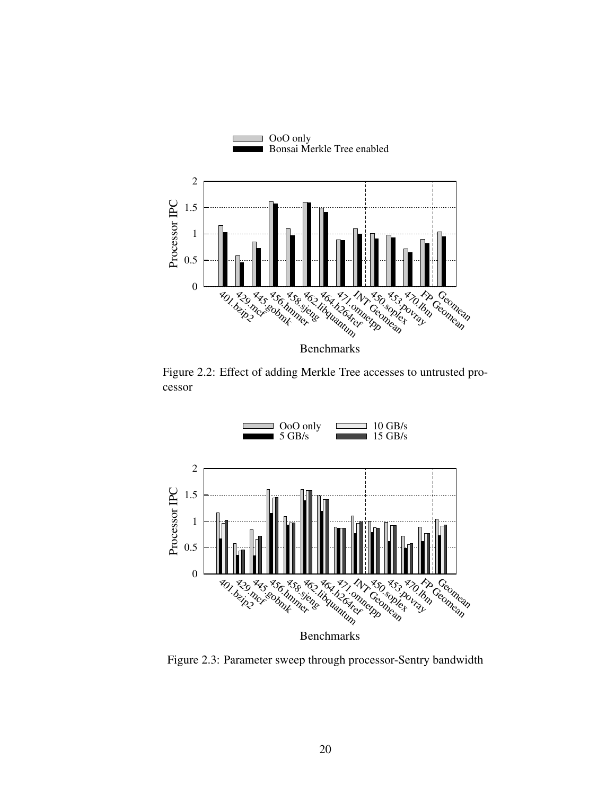<span id="page-33-0"></span>

Figure 2.2: Effect of adding Merkle Tree accesses to untrusted processor



Figure 2.3: Parameter sweep through processor-Sentry bandwidth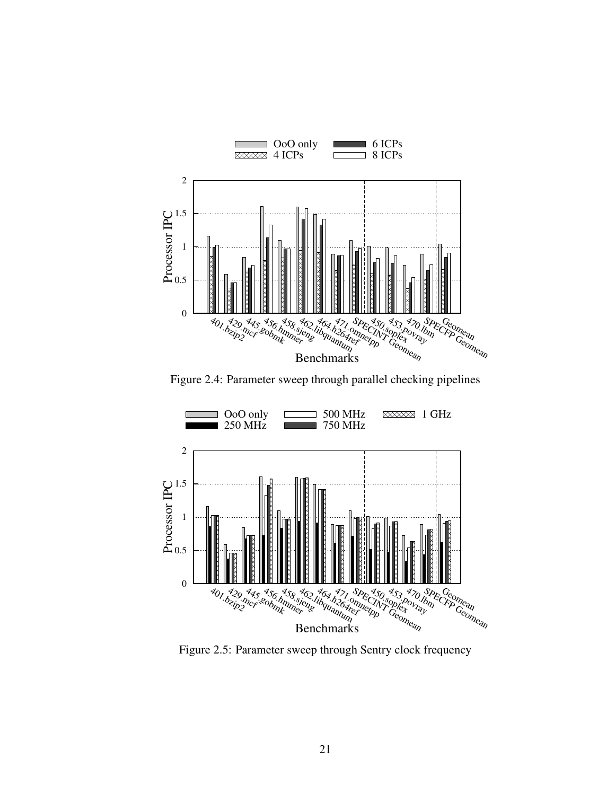<span id="page-34-0"></span>

Figure 2.4: Parameter sweep through parallel checking pipelines



Figure 2.5: Parameter sweep through Sentry clock frequency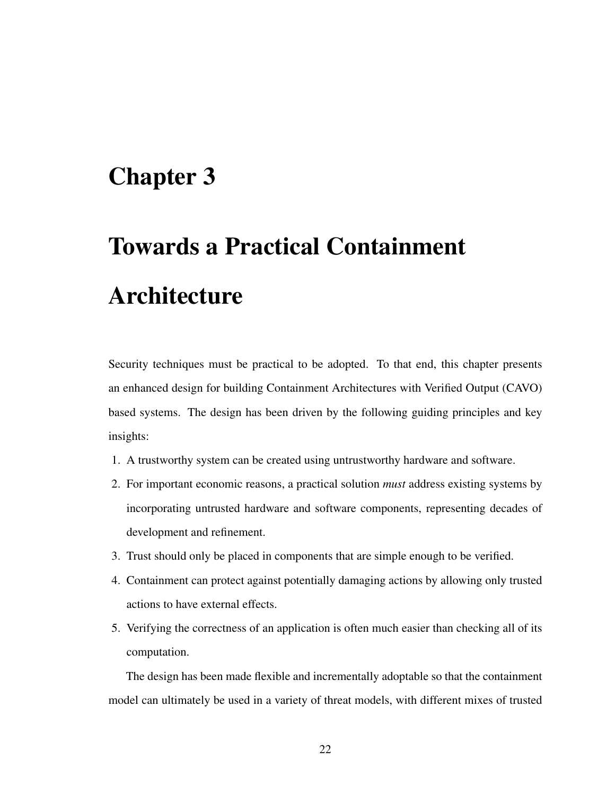### <span id="page-35-0"></span>Chapter 3

# Towards a Practical Containment Architecture

Security techniques must be practical to be adopted. To that end, this chapter presents an enhanced design for building Containment Architectures with Verified Output (CAVO) based systems. The design has been driven by the following guiding principles and key insights:

- 1. A trustworthy system can be created using untrustworthy hardware and software.
- 2. For important economic reasons, a practical solution *must* address existing systems by incorporating untrusted hardware and software components, representing decades of development and refinement.
- 3. Trust should only be placed in components that are simple enough to be verified.
- 4. Containment can protect against potentially damaging actions by allowing only trusted actions to have external effects.
- 5. Verifying the correctness of an application is often much easier than checking all of its computation.

The design has been made flexible and incrementally adoptable so that the containment model can ultimately be used in a variety of threat models, with different mixes of trusted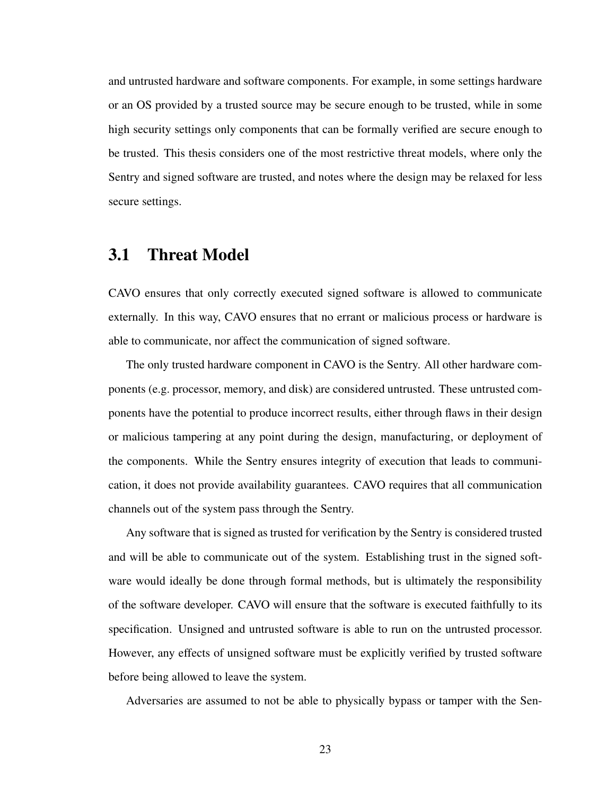and untrusted hardware and software components. For example, in some settings hardware or an OS provided by a trusted source may be secure enough to be trusted, while in some high security settings only components that can be formally verified are secure enough to be trusted. This thesis considers one of the most restrictive threat models, where only the Sentry and signed software are trusted, and notes where the design may be relaxed for less secure settings.

### 3.1 Threat Model

CAVO ensures that only correctly executed signed software is allowed to communicate externally. In this way, CAVO ensures that no errant or malicious process or hardware is able to communicate, nor affect the communication of signed software.

The only trusted hardware component in CAVO is the Sentry. All other hardware components (e.g. processor, memory, and disk) are considered untrusted. These untrusted components have the potential to produce incorrect results, either through flaws in their design or malicious tampering at any point during the design, manufacturing, or deployment of the components. While the Sentry ensures integrity of execution that leads to communication, it does not provide availability guarantees. CAVO requires that all communication channels out of the system pass through the Sentry.

Any software that is signed as trusted for verification by the Sentry is considered trusted and will be able to communicate out of the system. Establishing trust in the signed software would ideally be done through formal methods, but is ultimately the responsibility of the software developer. CAVO will ensure that the software is executed faithfully to its specification. Unsigned and untrusted software is able to run on the untrusted processor. However, any effects of unsigned software must be explicitly verified by trusted software before being allowed to leave the system.

Adversaries are assumed to not be able to physically bypass or tamper with the Sen-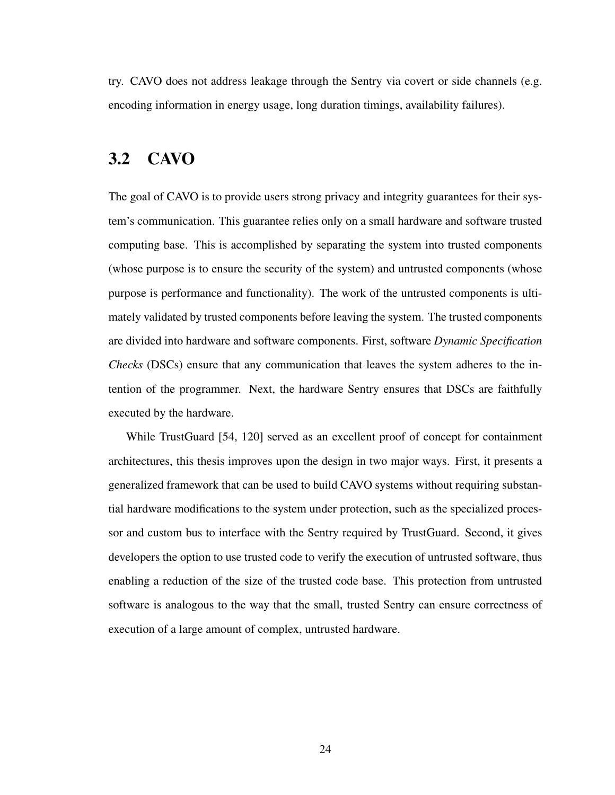try. CAVO does not address leakage through the Sentry via covert or side channels (e.g. encoding information in energy usage, long duration timings, availability failures).

## 3.2 CAVO

The goal of CAVO is to provide users strong privacy and integrity guarantees for their system's communication. This guarantee relies only on a small hardware and software trusted computing base. This is accomplished by separating the system into trusted components (whose purpose is to ensure the security of the system) and untrusted components (whose purpose is performance and functionality). The work of the untrusted components is ultimately validated by trusted components before leaving the system. The trusted components are divided into hardware and software components. First, software *Dynamic Specification Checks* (DSCs) ensure that any communication that leaves the system adheres to the intention of the programmer. Next, the hardware Sentry ensures that DSCs are faithfully executed by the hardware.

While TrustGuard [\[54,](#page-106-0) [120\]](#page-115-0) served as an excellent proof of concept for containment architectures, this thesis improves upon the design in two major ways. First, it presents a generalized framework that can be used to build CAVO systems without requiring substantial hardware modifications to the system under protection, such as the specialized processor and custom bus to interface with the Sentry required by TrustGuard. Second, it gives developers the option to use trusted code to verify the execution of untrusted software, thus enabling a reduction of the size of the trusted code base. This protection from untrusted software is analogous to the way that the small, trusted Sentry can ensure correctness of execution of a large amount of complex, untrusted hardware.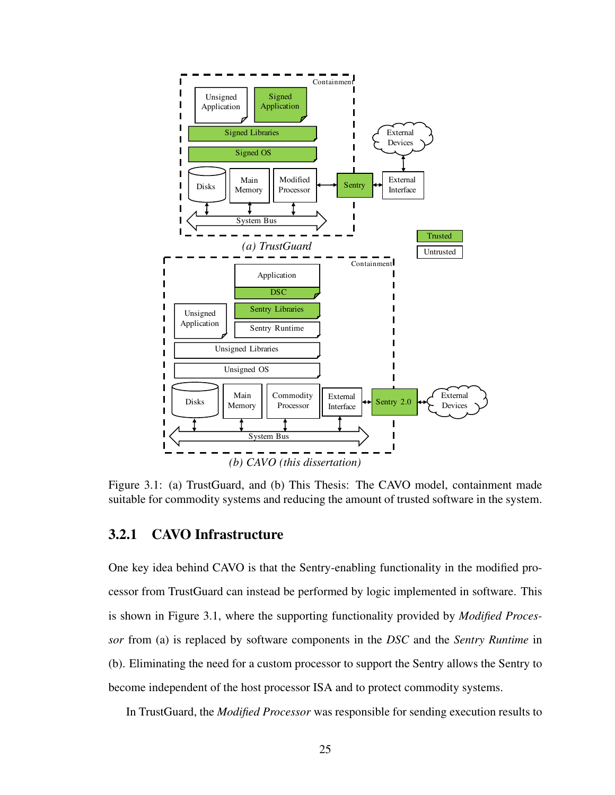<span id="page-38-0"></span>

Figure 3.1: (a) TrustGuard, and (b) This Thesis: The CAVO model, containment made suitable for commodity systems and reducing the amount of trusted software in the system.

### 3.2.1 CAVO Infrastructure

One key idea behind CAVO is that the Sentry-enabling functionality in the modified processor from TrustGuard can instead be performed by logic implemented in software. This is shown in Figure [3.1,](#page-38-0) where the supporting functionality provided by *Modified Processor* from (a) is replaced by software components in the *DSC* and the *Sentry Runtime* in (b). Eliminating the need for a custom processor to support the Sentry allows the Sentry to become independent of the host processor ISA and to protect commodity systems.

In TrustGuard, the *Modified Processor* was responsible for sending execution results to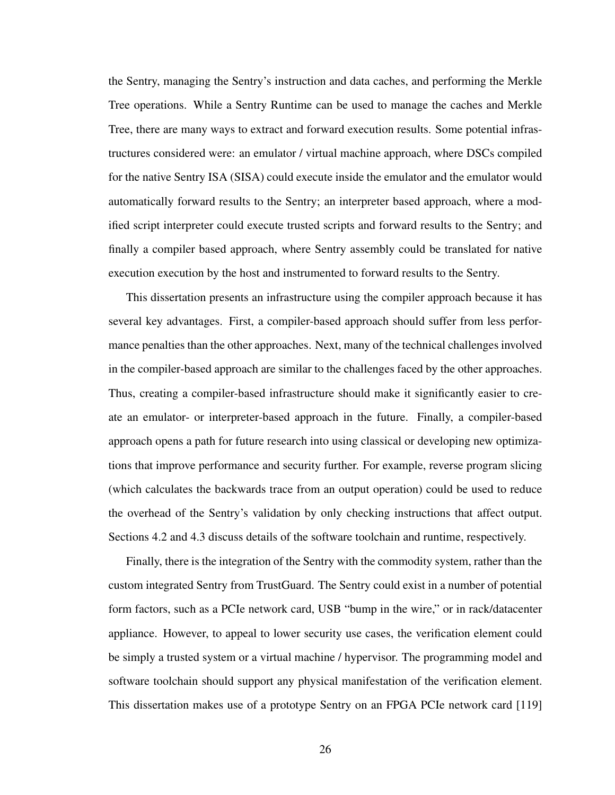the Sentry, managing the Sentry's instruction and data caches, and performing the Merkle Tree operations. While a Sentry Runtime can be used to manage the caches and Merkle Tree, there are many ways to extract and forward execution results. Some potential infrastructures considered were: an emulator / virtual machine approach, where DSCs compiled for the native Sentry ISA (SISA) could execute inside the emulator and the emulator would automatically forward results to the Sentry; an interpreter based approach, where a modified script interpreter could execute trusted scripts and forward results to the Sentry; and finally a compiler based approach, where Sentry assembly could be translated for native execution execution by the host and instrumented to forward results to the Sentry.

This dissertation presents an infrastructure using the compiler approach because it has several key advantages. First, a compiler-based approach should suffer from less performance penalties than the other approaches. Next, many of the technical challenges involved in the compiler-based approach are similar to the challenges faced by the other approaches. Thus, creating a compiler-based infrastructure should make it significantly easier to create an emulator- or interpreter-based approach in the future. Finally, a compiler-based approach opens a path for future research into using classical or developing new optimizations that improve performance and security further. For example, reverse program slicing (which calculates the backwards trace from an output operation) could be used to reduce the overhead of the Sentry's validation by only checking instructions that affect output. Sections [4.2](#page-51-0) and [4.3](#page-55-0) discuss details of the software toolchain and runtime, respectively.

Finally, there is the integration of the Sentry with the commodity system, rather than the custom integrated Sentry from TrustGuard. The Sentry could exist in a number of potential form factors, such as a PCIe network card, USB "bump in the wire," or in rack/datacenter appliance. However, to appeal to lower security use cases, the verification element could be simply a trusted system or a virtual machine / hypervisor. The programming model and software toolchain should support any physical manifestation of the verification element. This dissertation makes use of a prototype Sentry on an FPGA PCIe network card [\[119\]](#page-114-0)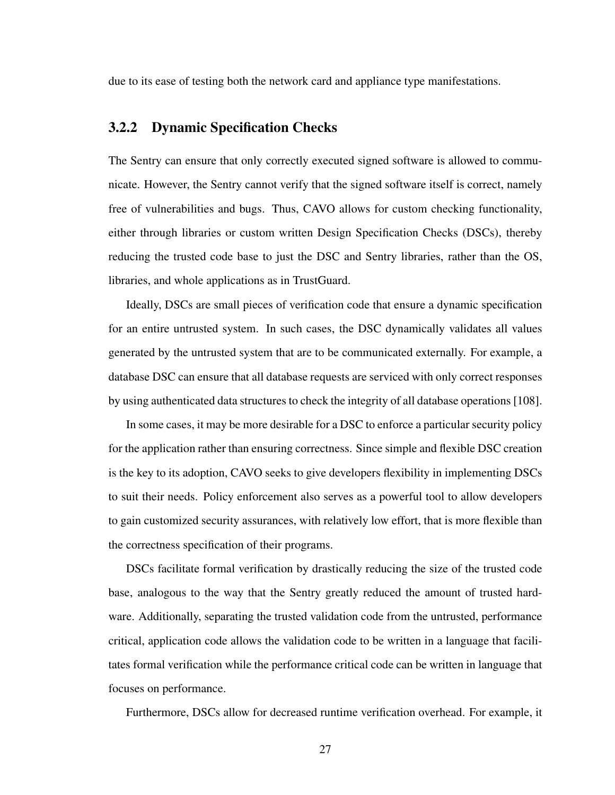due to its ease of testing both the network card and appliance type manifestations.

### <span id="page-40-0"></span>3.2.2 Dynamic Specification Checks

The Sentry can ensure that only correctly executed signed software is allowed to communicate. However, the Sentry cannot verify that the signed software itself is correct, namely free of vulnerabilities and bugs. Thus, CAVO allows for custom checking functionality, either through libraries or custom written Design Specification Checks (DSCs), thereby reducing the trusted code base to just the DSC and Sentry libraries, rather than the OS, libraries, and whole applications as in TrustGuard.

Ideally, DSCs are small pieces of verification code that ensure a dynamic specification for an entire untrusted system. In such cases, the DSC dynamically validates all values generated by the untrusted system that are to be communicated externally. For example, a database DSC can ensure that all database requests are serviced with only correct responses by using authenticated data structures to check the integrity of all database operations [\[108\]](#page-113-0).

In some cases, it may be more desirable for a DSC to enforce a particular security policy for the application rather than ensuring correctness. Since simple and flexible DSC creation is the key to its adoption, CAVO seeks to give developers flexibility in implementing DSCs to suit their needs. Policy enforcement also serves as a powerful tool to allow developers to gain customized security assurances, with relatively low effort, that is more flexible than the correctness specification of their programs.

DSCs facilitate formal verification by drastically reducing the size of the trusted code base, analogous to the way that the Sentry greatly reduced the amount of trusted hardware. Additionally, separating the trusted validation code from the untrusted, performance critical, application code allows the validation code to be written in a language that facilitates formal verification while the performance critical code can be written in language that focuses on performance.

Furthermore, DSCs allow for decreased runtime verification overhead. For example, it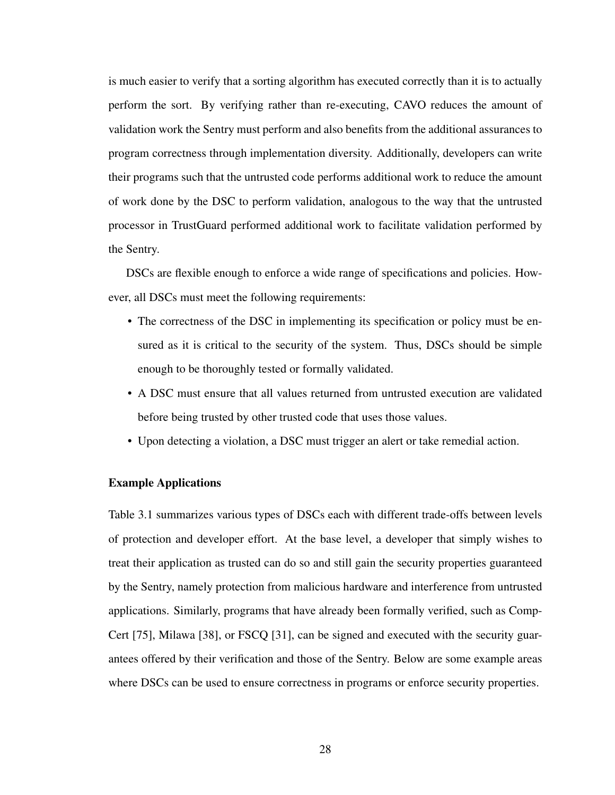is much easier to verify that a sorting algorithm has executed correctly than it is to actually perform the sort. By verifying rather than re-executing, CAVO reduces the amount of validation work the Sentry must perform and also benefits from the additional assurances to program correctness through implementation diversity. Additionally, developers can write their programs such that the untrusted code performs additional work to reduce the amount of work done by the DSC to perform validation, analogous to the way that the untrusted processor in TrustGuard performed additional work to facilitate validation performed by the Sentry.

DSCs are flexible enough to enforce a wide range of specifications and policies. However, all DSCs must meet the following requirements:

- The correctness of the DSC in implementing its specification or policy must be ensured as it is critical to the security of the system. Thus, DSCs should be simple enough to be thoroughly tested or formally validated.
- A DSC must ensure that all values returned from untrusted execution are validated before being trusted by other trusted code that uses those values.
- Upon detecting a violation, a DSC must trigger an alert or take remedial action.

#### Example Applications

Table [3.1](#page-42-0) summarizes various types of DSCs each with different trade-offs between levels of protection and developer effort. At the base level, a developer that simply wishes to treat their application as trusted can do so and still gain the security properties guaranteed by the Sentry, namely protection from malicious hardware and interference from untrusted applications. Similarly, programs that have already been formally verified, such as Comp-Cert [\[75\]](#page-109-0), Milawa [\[38\]](#page-104-0), or FSCQ [\[31\]](#page-103-0), can be signed and executed with the security guarantees offered by their verification and those of the Sentry. Below are some example areas where DSCs can be used to ensure correctness in programs or enforce security properties.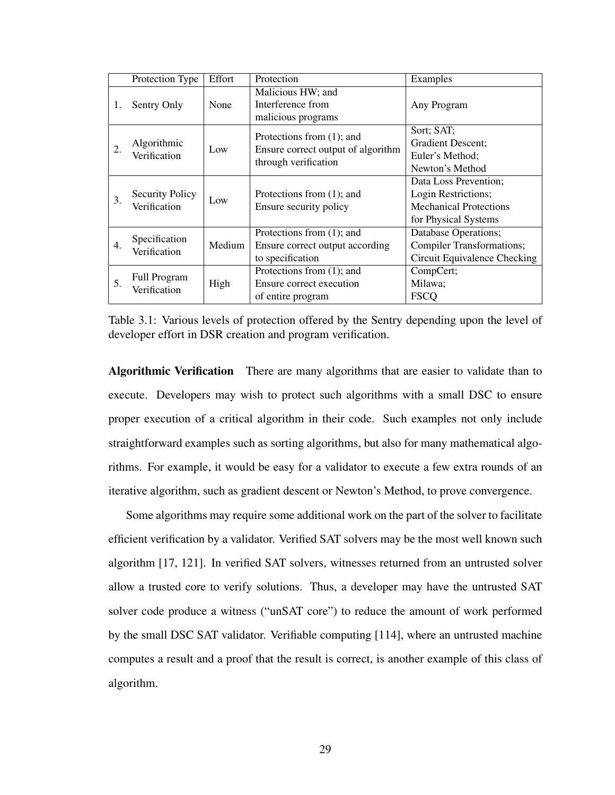<span id="page-42-0"></span>

|    | Protection Type                        | Effort | Protection                         | Examples                         |  |  |
|----|----------------------------------------|--------|------------------------------------|----------------------------------|--|--|
| 1. | Sentry Only                            | None   | Malicious HW; and                  |                                  |  |  |
|    |                                        |        | Interference from                  | Any Program                      |  |  |
|    |                                        |        | malicious programs                 |                                  |  |  |
| 2. | Algorithmic<br>Verification            | Low    | Protections from $(1)$ ; and       | Sort; SAT;                       |  |  |
|    |                                        |        | Ensure correct output of algorithm | <b>Gradient Descent:</b>         |  |  |
|    |                                        |        | through verification               | Euler's Method;                  |  |  |
|    |                                        |        |                                    | Newton's Method                  |  |  |
| 3. | <b>Security Policy</b><br>Verification | Low    |                                    | Data Loss Prevention;            |  |  |
|    |                                        |        | Protections from $(1)$ ; and       | Login Restrictions;              |  |  |
|    |                                        |        | Ensure security policy             | <b>Mechanical Protections</b>    |  |  |
|    |                                        |        |                                    | for Physical Systems             |  |  |
| 4. | Specification<br>Verification          | Medium | Protections from $(1)$ ; and       | Database Operations;             |  |  |
|    |                                        |        | Ensure correct output according    | <b>Compiler Transformations;</b> |  |  |
|    |                                        |        | to specification                   | Circuit Equivalence Checking     |  |  |
| 5. | <b>Full Program</b><br>Verification    | High   | Protections from $(1)$ ; and       | CompCert;                        |  |  |
|    |                                        |        | Ensure correct execution           | Milawa;                          |  |  |
|    |                                        |        | of entire program                  | <b>FSCO</b>                      |  |  |

Table 3.1: Various levels of protection offered by the Sentry depending upon the level of developer effort in DSR creation and program verification.

Algorithmic Verification There are many algorithms that are easier to validate than to execute. Developers may wish to protect such algorithms with a small DSC to ensure proper execution of a critical algorithm in their code. Such examples not only include straightforward examples such as sorting algorithms, but also for many mathematical algorithms. For example, it would be easy for a validator to execute a few extra rounds of an iterative algorithm, such as gradient descent or Newton's Method, to prove convergence.

Some algorithms may require some additional work on the part of the solver to facilitate efficient verification by a validator. Verified SAT solvers may be the most well known such algorithm [\[17,](#page-101-0) [121\]](#page-115-1). In verified SAT solvers, witnesses returned from an untrusted solver allow a trusted core to verify solutions. Thus, a developer may have the untrusted SAT solver code produce a witness ("unSAT core") to reduce the amount of work performed by the small DSC SAT validator. Verifiable computing [\[114\]](#page-114-1), where an untrusted machine computes a result and a proof that the result is correct, is another example of this class of algorithm.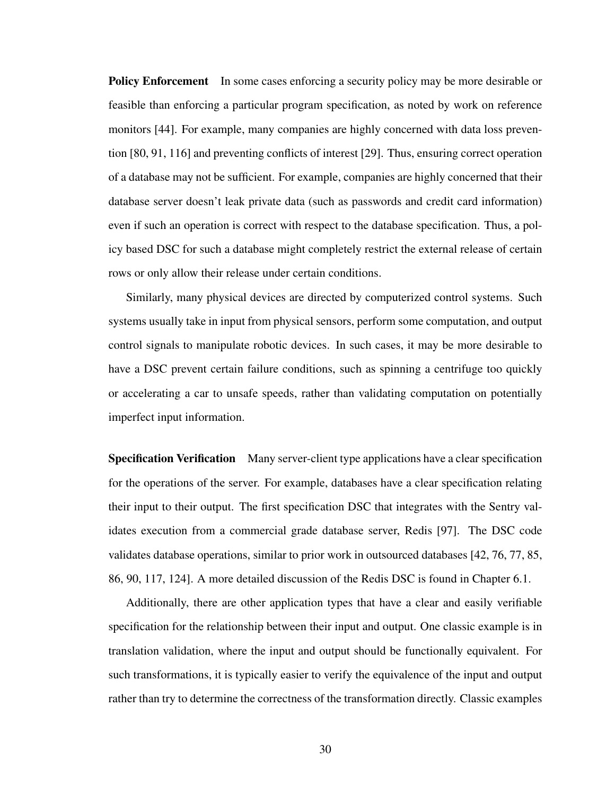**Policy Enforcement** In some cases enforcing a security policy may be more desirable or feasible than enforcing a particular program specification, as noted by work on reference monitors [\[44\]](#page-105-0). For example, many companies are highly concerned with data loss prevention [\[80,](#page-110-0) [91,](#page-111-0) [116\]](#page-114-2) and preventing conflicts of interest [\[29\]](#page-103-1). Thus, ensuring correct operation of a database may not be sufficient. For example, companies are highly concerned that their database server doesn't leak private data (such as passwords and credit card information) even if such an operation is correct with respect to the database specification. Thus, a policy based DSC for such a database might completely restrict the external release of certain rows or only allow their release under certain conditions.

Similarly, many physical devices are directed by computerized control systems. Such systems usually take in input from physical sensors, perform some computation, and output control signals to manipulate robotic devices. In such cases, it may be more desirable to have a DSC prevent certain failure conditions, such as spinning a centrifuge too quickly or accelerating a car to unsafe speeds, rather than validating computation on potentially imperfect input information.

Specification Verification Many server-client type applications have a clear specification for the operations of the server. For example, databases have a clear specification relating their input to their output. The first specification DSC that integrates with the Sentry validates execution from a commercial grade database server, Redis [\[97\]](#page-112-0). The DSC code validates database operations, similar to prior work in outsourced databases [\[42,](#page-105-1) [76,](#page-109-1) [77,](#page-109-2) [85,](#page-110-1) [86,](#page-110-2) [90,](#page-111-1) [117,](#page-114-3) [124\]](#page-115-2). A more detailed discussion of the Redis DSC is found in Chapter [6.1.](#page-80-0)

Additionally, there are other application types that have a clear and easily verifiable specification for the relationship between their input and output. One classic example is in translation validation, where the input and output should be functionally equivalent. For such transformations, it is typically easier to verify the equivalence of the input and output rather than try to determine the correctness of the transformation directly. Classic examples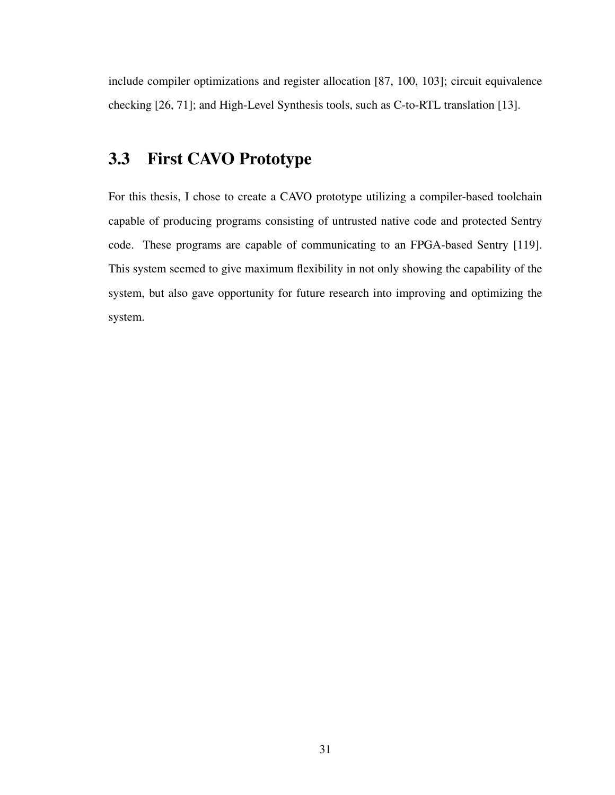include compiler optimizations and register allocation [\[87,](#page-110-3) [100,](#page-112-1) [103\]](#page-112-2); circuit equivalence checking [\[26,](#page-103-2) [71\]](#page-108-0); and High-Level Synthesis tools, such as C-to-RTL translation [\[13\]](#page-101-1).

# 3.3 First CAVO Prototype

For this thesis, I chose to create a CAVO prototype utilizing a compiler-based toolchain capable of producing programs consisting of untrusted native code and protected Sentry code. These programs are capable of communicating to an FPGA-based Sentry [\[119\]](#page-114-0). This system seemed to give maximum flexibility in not only showing the capability of the system, but also gave opportunity for future research into improving and optimizing the system.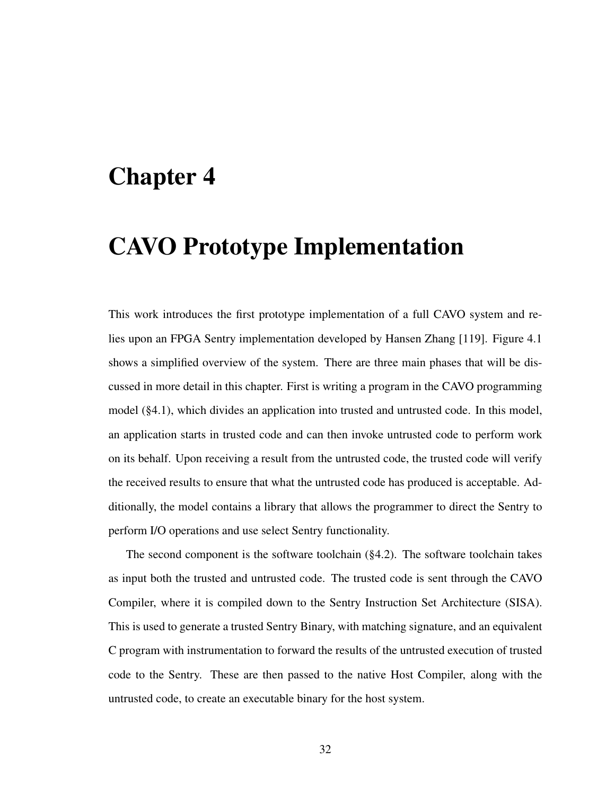# <span id="page-45-0"></span>Chapter 4

# CAVO Prototype Implementation

This work introduces the first prototype implementation of a full CAVO system and relies upon an FPGA Sentry implementation developed by Hansen Zhang [\[119\]](#page-114-0). Figure [4.1](#page-46-0) shows a simplified overview of the system. There are three main phases that will be discussed in more detail in this chapter. First is writing a program in the CAVO programming model ([§4.1\)](#page-47-0), which divides an application into trusted and untrusted code. In this model, an application starts in trusted code and can then invoke untrusted code to perform work on its behalf. Upon receiving a result from the untrusted code, the trusted code will verify the received results to ensure that what the untrusted code has produced is acceptable. Additionally, the model contains a library that allows the programmer to direct the Sentry to perform I/O operations and use select Sentry functionality.

The second component is the software toolchain ([§4.2\)](#page-51-0). The software toolchain takes as input both the trusted and untrusted code. The trusted code is sent through the CAVO Compiler, where it is compiled down to the Sentry Instruction Set Architecture (SISA). This is used to generate a trusted Sentry Binary, with matching signature, and an equivalent C program with instrumentation to forward the results of the untrusted execution of trusted code to the Sentry. These are then passed to the native Host Compiler, along with the untrusted code, to create an executable binary for the host system.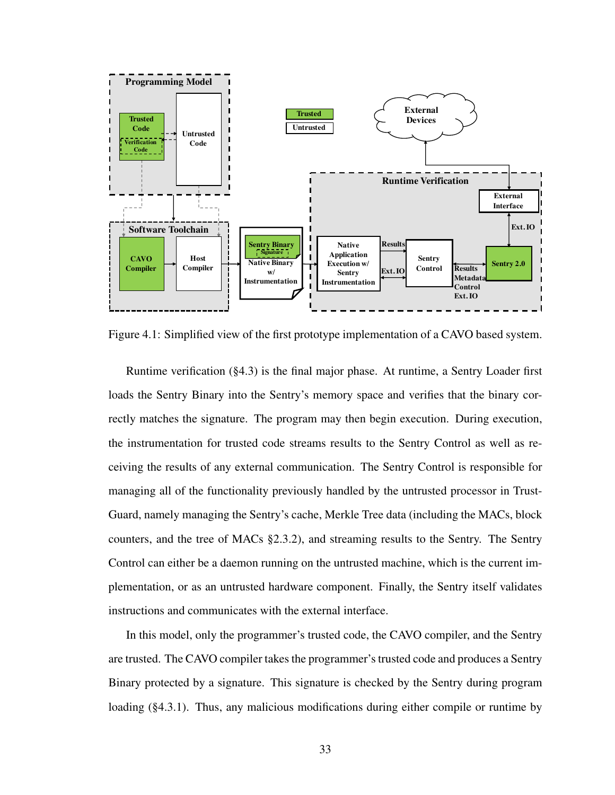<span id="page-46-0"></span>

Figure 4.1: Simplified view of the first prototype implementation of a CAVO based system.

Runtime verification ([§4.3\)](#page-55-0) is the final major phase. At runtime, a Sentry Loader first loads the Sentry Binary into the Sentry's memory space and verifies that the binary correctly matches the signature. The program may then begin execution. During execution, the instrumentation for trusted code streams results to the Sentry Control as well as receiving the results of any external communication. The Sentry Control is responsible for managing all of the functionality previously handled by the untrusted processor in Trust-Guard, namely managing the Sentry's cache, Merkle Tree data (including the MACs, block counters, and the tree of MACs [§2.3.2\)](#page-29-0), and streaming results to the Sentry. The Sentry Control can either be a daemon running on the untrusted machine, which is the current implementation, or as an untrusted hardware component. Finally, the Sentry itself validates instructions and communicates with the external interface.

In this model, only the programmer's trusted code, the CAVO compiler, and the Sentry are trusted. The CAVO compiler takes the programmer's trusted code and produces a Sentry Binary protected by a signature. This signature is checked by the Sentry during program loading ([§4.3.1\)](#page-56-0). Thus, any malicious modifications during either compile or runtime by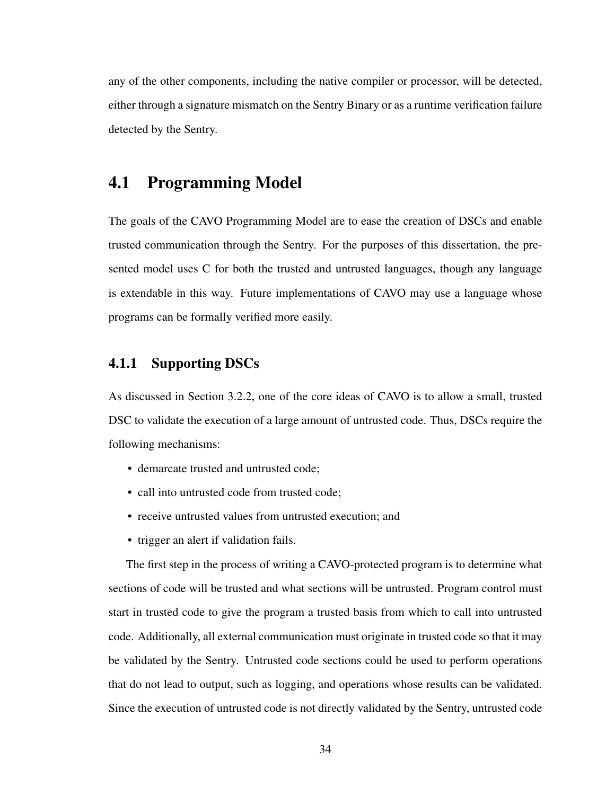any of the other components, including the native compiler or processor, will be detected, either through a signature mismatch on the Sentry Binary or as a runtime verification failure detected by the Sentry.

### <span id="page-47-0"></span>4.1 Programming Model

The goals of the CAVO Programming Model are to ease the creation of DSCs and enable trusted communication through the Sentry. For the purposes of this dissertation, the presented model uses C for both the trusted and untrusted languages, though any language is extendable in this way. Future implementations of CAVO may use a language whose programs can be formally verified more easily.

### <span id="page-47-1"></span>4.1.1 Supporting DSCs

As discussed in Section [3.2.2,](#page-40-0) one of the core ideas of CAVO is to allow a small, trusted DSC to validate the execution of a large amount of untrusted code. Thus, DSCs require the following mechanisms:

- demarcate trusted and untrusted code;
- call into untrusted code from trusted code;
- receive untrusted values from untrusted execution; and
- trigger an alert if validation fails.

The first step in the process of writing a CAVO-protected program is to determine what sections of code will be trusted and what sections will be untrusted. Program control must start in trusted code to give the program a trusted basis from which to call into untrusted code. Additionally, all external communication must originate in trusted code so that it may be validated by the Sentry. Untrusted code sections could be used to perform operations that do not lead to output, such as logging, and operations whose results can be validated. Since the execution of untrusted code is not directly validated by the Sentry, untrusted code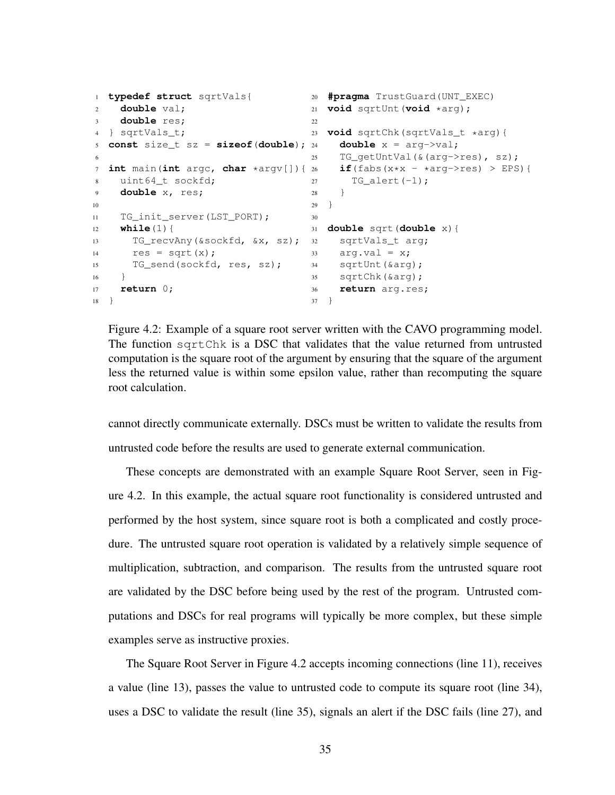```
1 typedef struct sqrtVals{
2 double val;
3 double res;
4 } sqrtVals_t;
5 const size_t sz = sizeof(double);
6
7 int main(int argc, char *argv[]){
8 uint64 t sockfd;
9 double x, res;
10
11 TG_init_server(LST_PORT);
12 while(1){
13 TG_recvAny(&sockfd, &x, sz);
32 sqrtVals_t arg;
14 res = sqrt(x);15 TG_send(sockfd, res, sz);
16 \quad \frac{1}{2}17 return 0;
18 }
                                 20 #pragma TrustGuard(UNT_EXEC)
                                  21 void sqrtUnt(void *arg);
                                  22
                                  23 void sqrtChk(sqrtVals_t *arg){
                                       double x = arg->val;25 TG_getUntVal(&(arg->res), sz);
                                       if(fabs(x*x - *arg->res)) > EPS){
                                  27 TG alert(-1);
                                   28 }
                                  29 }
                                  30
                                  31 double sqrt(double x){
                                  33 arg.val = x;
                                     sqrtUnt(&arg);
                                  35 sqrtChk(&arg);
                                  36 return arg.res;
                                   37 }
```
Figure 4.2: Example of a square root server written with the CAVO programming model. The function sqrtChk is a DSC that validates that the value returned from untrusted computation is the square root of the argument by ensuring that the square of the argument less the returned value is within some epsilon value, rather than recomputing the square root calculation.

cannot directly communicate externally. DSCs must be written to validate the results from untrusted code before the results are used to generate external communication.

These concepts are demonstrated with an example Square Root Server, seen in Figure [4.2.](#page-48-0) In this example, the actual square root functionality is considered untrusted and performed by the host system, since square root is both a complicated and costly procedure. The untrusted square root operation is validated by a relatively simple sequence of multiplication, subtraction, and comparison. The results from the untrusted square root are validated by the DSC before being used by the rest of the program. Untrusted computations and DSCs for real programs will typically be more complex, but these simple examples serve as instructive proxies.

The Square Root Server in Figure [4.2](#page-48-0) accepts incoming connections (line 11), receives a value (line 13), passes the value to untrusted code to compute its square root (line 34), uses a DSC to validate the result (line 35), signals an alert if the DSC fails (line 27), and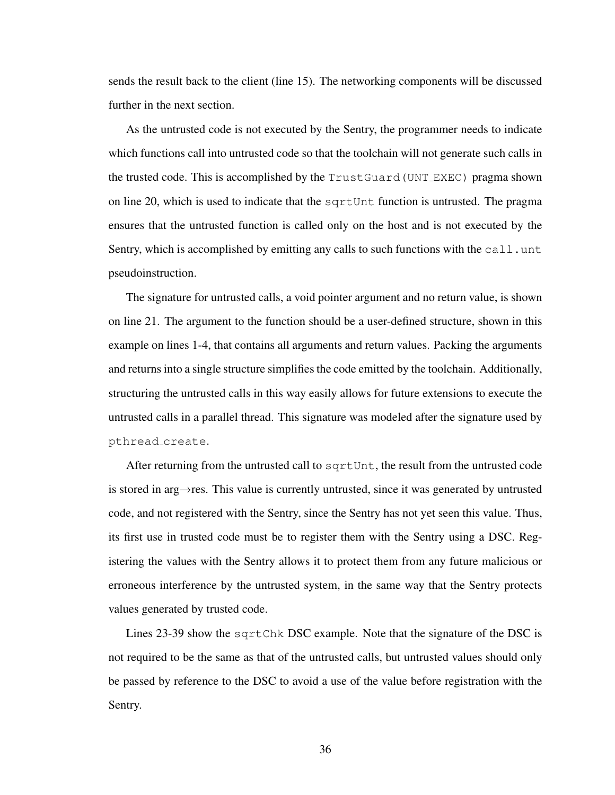sends the result back to the client (line 15). The networking components will be discussed further in the next section.

As the untrusted code is not executed by the Sentry, the programmer needs to indicate which functions call into untrusted code so that the toolchain will not generate such calls in the trusted code. This is accomplished by the TrustGuard(UNT EXEC) pragma shown on line 20, which is used to indicate that the sqrtUnt function is untrusted. The pragma ensures that the untrusted function is called only on the host and is not executed by the Sentry, which is accomplished by emitting any calls to such functions with the call.unt pseudoinstruction.

The signature for untrusted calls, a void pointer argument and no return value, is shown on line 21. The argument to the function should be a user-defined structure, shown in this example on lines 1-4, that contains all arguments and return values. Packing the arguments and returns into a single structure simplifies the code emitted by the toolchain. Additionally, structuring the untrusted calls in this way easily allows for future extensions to execute the untrusted calls in a parallel thread. This signature was modeled after the signature used by pthread create.

After returning from the untrusted call to sqrtUnt, the result from the untrusted code is stored in arg→res. This value is currently untrusted, since it was generated by untrusted code, and not registered with the Sentry, since the Sentry has not yet seen this value. Thus, its first use in trusted code must be to register them with the Sentry using a DSC. Registering the values with the Sentry allows it to protect them from any future malicious or erroneous interference by the untrusted system, in the same way that the Sentry protects values generated by trusted code.

Lines 23-39 show the sqrtChk DSC example. Note that the signature of the DSC is not required to be the same as that of the untrusted calls, but untrusted values should only be passed by reference to the DSC to avoid a use of the value before registration with the Sentry.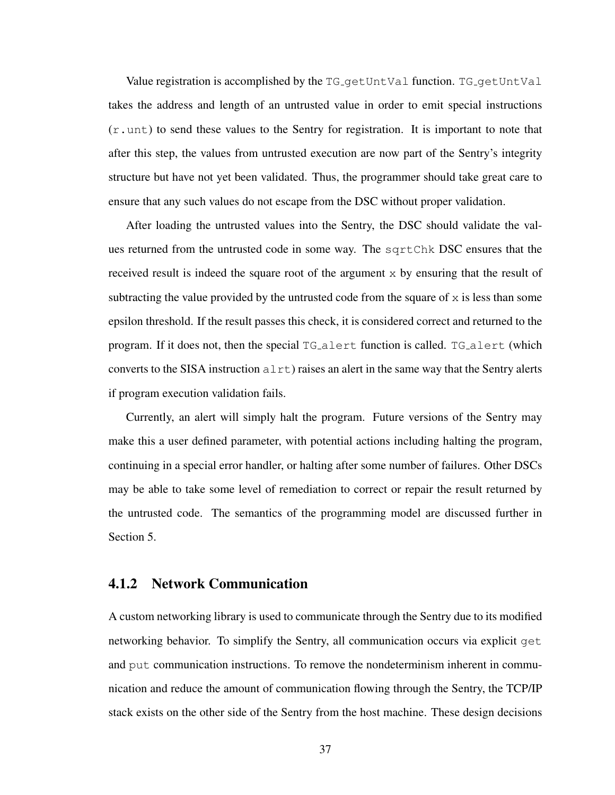Value registration is accomplished by the TG<sub>-9</sub>etUntVal function. TG<sub>-9</sub>etUntVal takes the address and length of an untrusted value in order to emit special instructions  $(r, \text{unt})$  to send these values to the Sentry for registration. It is important to note that after this step, the values from untrusted execution are now part of the Sentry's integrity structure but have not yet been validated. Thus, the programmer should take great care to ensure that any such values do not escape from the DSC without proper validation.

After loading the untrusted values into the Sentry, the DSC should validate the values returned from the untrusted code in some way. The sqrtChk DSC ensures that the received result is indeed the square root of the argument  $x$  by ensuring that the result of subtracting the value provided by the untrusted code from the square of  $x$  is less than some epsilon threshold. If the result passes this check, it is considered correct and returned to the program. If it does not, then the special  $TG_{\text{a}}$ lert function is called.  $TG_{\text{a}}$ lert (which converts to the SISA instruction  $a \text{lt } t$ ) raises an alert in the same way that the Sentry alerts if program execution validation fails.

Currently, an alert will simply halt the program. Future versions of the Sentry may make this a user defined parameter, with potential actions including halting the program, continuing in a special error handler, or halting after some number of failures. Other DSCs may be able to take some level of remediation to correct or repair the result returned by the untrusted code. The semantics of the programming model are discussed further in Section [5.](#page-62-0)

#### <span id="page-50-0"></span>4.1.2 Network Communication

A custom networking library is used to communicate through the Sentry due to its modified networking behavior. To simplify the Sentry, all communication occurs via explicit get and put communication instructions. To remove the nondeterminism inherent in communication and reduce the amount of communication flowing through the Sentry, the TCP/IP stack exists on the other side of the Sentry from the host machine. These design decisions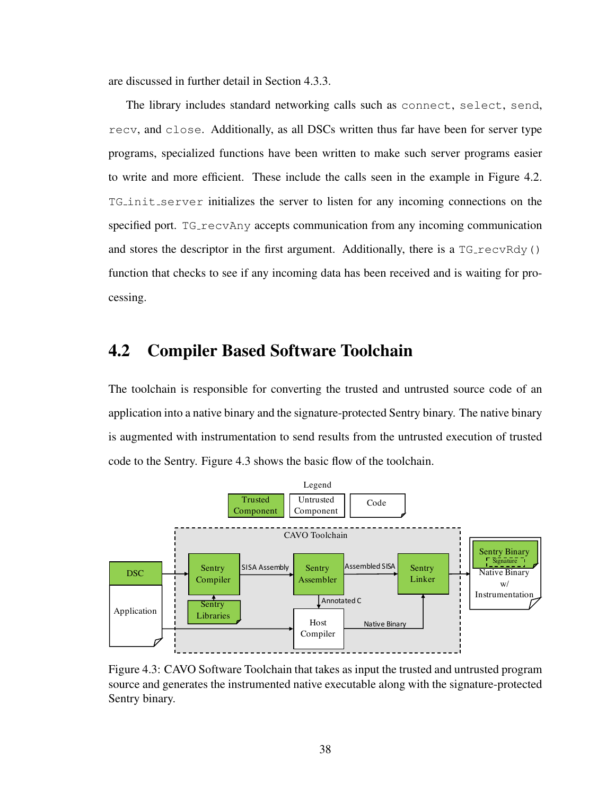are discussed in further detail in Section [4.3.3.](#page-59-0)

The library includes standard networking calls such as connect, select, send, recv, and close. Additionally, as all DSCs written thus far have been for server type programs, specialized functions have been written to make such server programs easier to write and more efficient. These include the calls seen in the example in Figure [4.2.](#page-48-0) TG init server initializes the server to listen for any incoming connections on the specified port. TG\_recvAny accepts communication from any incoming communication and stores the descriptor in the first argument. Additionally, there is a  $TG_{T}$ ecvRdy() function that checks to see if any incoming data has been received and is waiting for processing.

## <span id="page-51-0"></span>4.2 Compiler Based Software Toolchain

The toolchain is responsible for converting the trusted and untrusted source code of an application into a native binary and the signature-protected Sentry binary. The native binary is augmented with instrumentation to send results from the untrusted execution of trusted code to the Sentry. Figure [4.3](#page-51-1) shows the basic flow of the toolchain.

<span id="page-51-1"></span>

Figure 4.3: CAVO Software Toolchain that takes as input the trusted and untrusted program source and generates the instrumented native executable along with the signature-protected Sentry binary.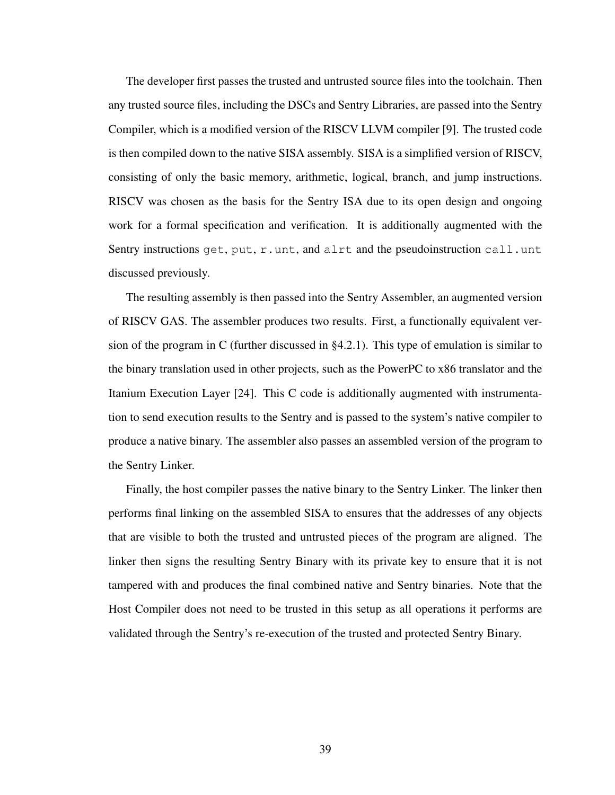The developer first passes the trusted and untrusted source files into the toolchain. Then any trusted source files, including the DSCs and Sentry Libraries, are passed into the Sentry Compiler, which is a modified version of the RISCV LLVM compiler [\[9\]](#page-101-2). The trusted code is then compiled down to the native SISA assembly. SISA is a simplified version of RISCV, consisting of only the basic memory, arithmetic, logical, branch, and jump instructions. RISCV was chosen as the basis for the Sentry ISA due to its open design and ongoing work for a formal specification and verification. It is additionally augmented with the Sentry instructions get, put,  $r$ . unt, and alrt and the pseudoinstruction call.unt discussed previously.

The resulting assembly is then passed into the Sentry Assembler, an augmented version of RISCV GAS. The assembler produces two results. First, a functionally equivalent version of the program in C (further discussed in [§4.2.1\)](#page-54-0). This type of emulation is similar to the binary translation used in other projects, such as the PowerPC to x86 translator and the Itanium Execution Layer [\[24\]](#page-102-0). This C code is additionally augmented with instrumentation to send execution results to the Sentry and is passed to the system's native compiler to produce a native binary. The assembler also passes an assembled version of the program to the Sentry Linker.

Finally, the host compiler passes the native binary to the Sentry Linker. The linker then performs final linking on the assembled SISA to ensures that the addresses of any objects that are visible to both the trusted and untrusted pieces of the program are aligned. The linker then signs the resulting Sentry Binary with its private key to ensure that it is not tampered with and produces the final combined native and Sentry binaries. Note that the Host Compiler does not need to be trusted in this setup as all operations it performs are validated through the Sentry's re-execution of the trusted and protected Sentry Binary.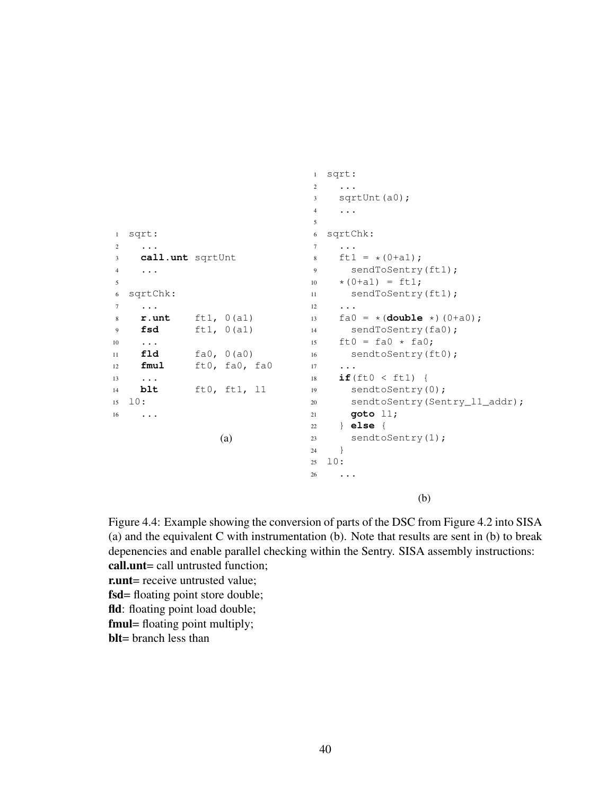```
1 sqrt:
2 ...
3 call.unt sqrtUnt
4 ...
5
6 sqrtChk:
7 ...
8 r.unt ft1, 0(a1)
9 fsd ft1, 0(a1)
10 ...
11 fld fa0, 0(a0)
12 fmul ft0, fa0, fa0
13 \cdot \cdot \cdot14 blt ft0, ft1, l1
15 l0:
16 \cdots(a)
                               1 sqrt:
                               2 ...
                               3 sqrtUnt(a0);
                               4 \cdot \cdot \cdot5
                               6 sqrtChk:
                               7 ...
                               8 ft1 = *(0+a1);9 sendToSentry(ft1);
                              10 \star (0 + a1) = ft1;11 sendToSentry(ft1);
                              12 ...
                              13 fa0 = x (double x) (0+a0);
                              14 sendToSentry(fa0);
                              15 ft0 = fa0 * fa0;16 sendtoSentry(ft0);
                              17 ...
                              18 if(ft0 < ft1) {
                              19 sendtoSentry(0);
                              20 sendtoSentry(Sentry_l1_addr);
                              21 goto l1;
                              22 } else {
                              23 sendtoSentry(1);
                              24 }
                              25 \quad 10:26 ...
```
<span id="page-53-4"></span><span id="page-53-2"></span><span id="page-53-1"></span>(b)

<span id="page-53-3"></span>Figure 4.4: Example showing the conversion of parts of the DSC from Figure [4.2](#page-48-0) into SISA (a) and the equivalent C with instrumentation (b). Note that results are sent in (b) to break depenencies and enable parallel checking within the Sentry. SISA assembly instructions: call.unt= call untrusted function;

- r.unt= receive untrusted value;
- fsd= floating point store double;
- fld: floating point load double;
- fmul= floating point multiply;
- blt= branch less than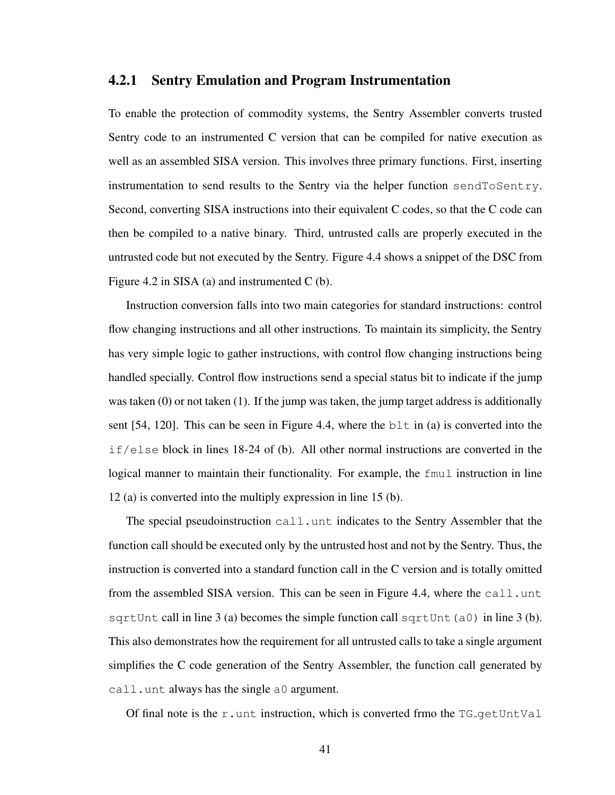#### <span id="page-54-0"></span>4.2.1 Sentry Emulation and Program Instrumentation

To enable the protection of commodity systems, the Sentry Assembler converts trusted Sentry code to an instrumented C version that can be compiled for native execution as well as an assembled SISA version. This involves three primary functions. First, inserting instrumentation to send results to the Sentry via the helper function sendToSentry. Second, converting SISA instructions into their equivalent C codes, so that the C code can then be compiled to a native binary. Third, untrusted calls are properly executed in the untrusted code but not executed by the Sentry. Figure [4.4](#page-53-0) shows a snippet of the DSC from Figure [4.2](#page-48-0) in SISA (a) and instrumented C (b).

Instruction conversion falls into two main categories for standard instructions: control flow changing instructions and all other instructions. To maintain its simplicity, the Sentry has very simple logic to gather instructions, with control flow changing instructions being handled specially. Control flow instructions send a special status bit to indicate if the jump was taken  $(0)$  or not taken  $(1)$ . If the jump was taken, the jump target address is additionally sent  $[54, 120]$  $[54, 120]$ . This can be seen in Figure [4.4,](#page-53-0) where the blt in (a) is converted into the if/else block in lines [18](#page-53-1)[-24](#page-53-2) of (b). All other normal instructions are converted in the logical manner to maintain their functionality. For example, the fmul instruction in line [12](#page-53-3) (a) is converted into the multiply expression in line [15](#page-53-4) (b).

The special pseudoinstruction call.unt indicates to the Sentry Assembler that the function call should be executed only by the untrusted host and not by the Sentry. Thus, the instruction is converted into a standard function call in the C version and is totally omitted from the assembled SISA version. This can be seen in Figure [4.4,](#page-53-0) where the call.unt sqrtUnt call in line [3](#page-53-6) (a) becomes the simple function call sqrtUnt (a0) in line 3 (b). This also demonstrates how the requirement for all untrusted calls to take a single argument simplifies the C code generation of the Sentry Assembler, the function call generated by call.unt always has the single a0 argument.

Of final note is the r.unt instruction, which is converted frmo the  $TG_q$ etUntVal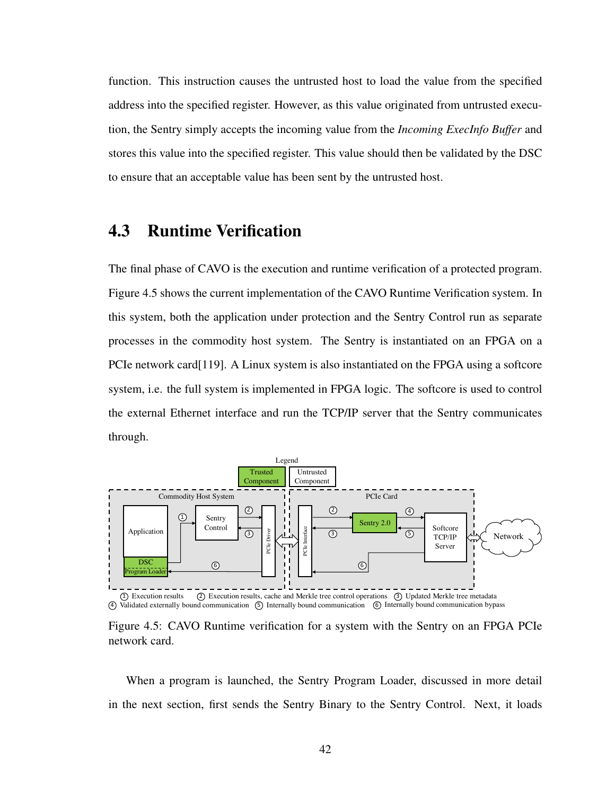function. This instruction causes the untrusted host to load the value from the specified address into the specified register. However, as this value originated from untrusted execution, the Sentry simply accepts the incoming value from the *Incoming ExecInfo Buffer* and stores this value into the specified register. This value should then be validated by the DSC to ensure that an acceptable value has been sent by the untrusted host.

## <span id="page-55-0"></span>4.3 Runtime Verification

The final phase of CAVO is the execution and runtime verification of a protected program. Figure [4.5](#page-55-1) shows the current implementation of the CAVO Runtime Verification system. In this system, both the application under protection and the Sentry Control run as separate processes in the commodity host system. The Sentry is instantiated on an FPGA on a PCIe network card[\[119\]](#page-114-0). A Linux system is also instantiated on the FPGA using a softcore system, i.e. the full system is implemented in FPGA logic. The softcore is used to control the external Ethernet interface and run the TCP/IP server that the Sentry communicates through.

<span id="page-55-1"></span>

Figure 4.5: CAVO Runtime verification for a system with the Sentry on an FPGA PCIe network card.

When a program is launched, the Sentry Program Loader, discussed in more detail in the next section, first sends the Sentry Binary to the Sentry Control. Next, it loads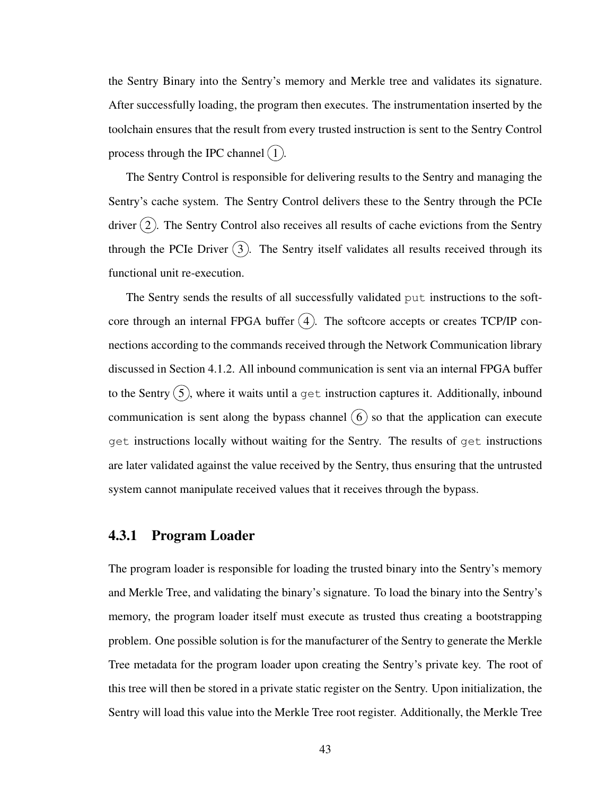the Sentry Binary into the Sentry's memory and Merkle tree and validates its signature. After successfully loading, the program then executes. The instrumentation inserted by the toolchain ensures that the result from every trusted instruction is sent to the Sentry Control process through the IPC channel  $(1)$ .

The Sentry Control is responsible for delivering results to the Sentry and managing the Sentry's cache system. The Sentry Control delivers these to the Sentry through the PCIe driver  $(2)$ . The Sentry Control also receives all results of cache evictions from the Sentry through the PCIe Driver  $(3)$ . The Sentry itself validates all results received through its functional unit re-execution.

The Sentry sends the results of all successfully validated put instructions to the softcore through an internal FPGA buffer  $(4)$ . The softcore accepts or creates TCP/IP connections according to the commands received through the Network Communication library discussed in Section [4.1.2.](#page-50-0) All inbound communication is sent via an internal FPGA buffer to the Sentry  $\overline{(5)}$ , where it waits until a get instruction captures it. Additionally, inbound communication is sent along the bypass channel  $(6)$  so that the application can execute get instructions locally without waiting for the Sentry. The results of get instructions are later validated against the value received by the Sentry, thus ensuring that the untrusted system cannot manipulate received values that it receives through the bypass.

#### <span id="page-56-0"></span>4.3.1 Program Loader

The program loader is responsible for loading the trusted binary into the Sentry's memory and Merkle Tree, and validating the binary's signature. To load the binary into the Sentry's memory, the program loader itself must execute as trusted thus creating a bootstrapping problem. One possible solution is for the manufacturer of the Sentry to generate the Merkle Tree metadata for the program loader upon creating the Sentry's private key. The root of this tree will then be stored in a private static register on the Sentry. Upon initialization, the Sentry will load this value into the Merkle Tree root register. Additionally, the Merkle Tree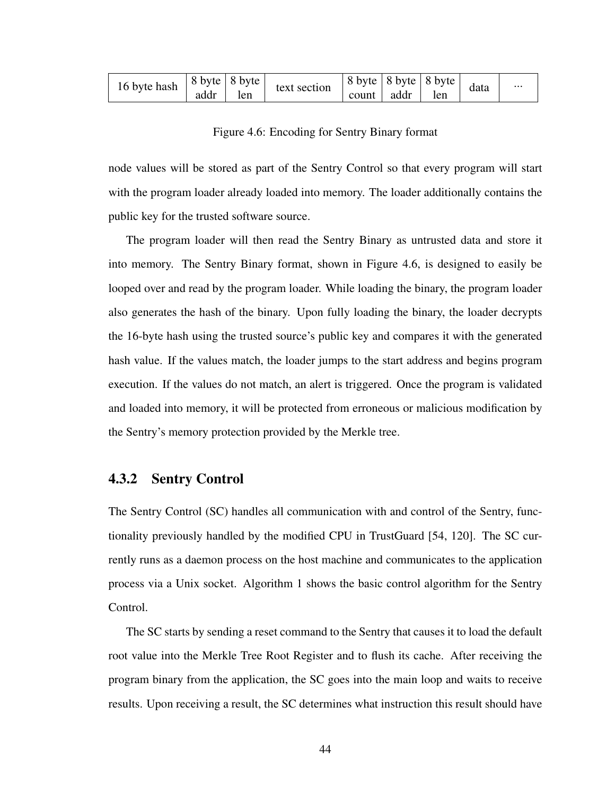<span id="page-57-0"></span>

| 16 byte hash | $ 8 \text{ byte}   8 \text{ byte} $ |     | text section | $ 8 \text{ byte}   8 \text{ byte}   8 \text{ byte}$ |      |     | data | $\cdots$ |
|--------------|-------------------------------------|-----|--------------|-----------------------------------------------------|------|-----|------|----------|
|              | addr                                | len |              | count                                               | addr | len |      |          |

Figure 4.6: Encoding for Sentry Binary format

node values will be stored as part of the Sentry Control so that every program will start with the program loader already loaded into memory. The loader additionally contains the public key for the trusted software source.

The program loader will then read the Sentry Binary as untrusted data and store it into memory. The Sentry Binary format, shown in Figure [4.6,](#page-57-0) is designed to easily be looped over and read by the program loader. While loading the binary, the program loader also generates the hash of the binary. Upon fully loading the binary, the loader decrypts the 16-byte hash using the trusted source's public key and compares it with the generated hash value. If the values match, the loader jumps to the start address and begins program execution. If the values do not match, an alert is triggered. Once the program is validated and loaded into memory, it will be protected from erroneous or malicious modification by the Sentry's memory protection provided by the Merkle tree.

### 4.3.2 Sentry Control

The Sentry Control (SC) handles all communication with and control of the Sentry, functionality previously handled by the modified CPU in TrustGuard [\[54,](#page-106-0) [120\]](#page-115-0). The SC currently runs as a daemon process on the host machine and communicates to the application process via a Unix socket. Algorithm [1](#page-58-0) shows the basic control algorithm for the Sentry Control.

The SC starts by sending a reset command to the Sentry that causes it to load the default root value into the Merkle Tree Root Register and to flush its cache. After receiving the program binary from the application, the SC goes into the main loop and waits to receive results. Upon receiving a result, the SC determines what instruction this result should have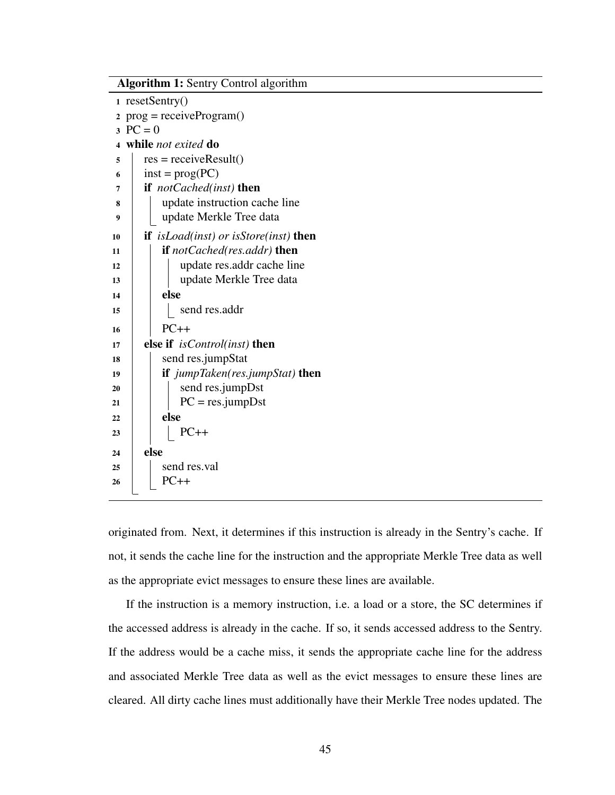| <b>Algorithm 1: Sentry Control algorithm</b> |                                                     |  |  |  |  |
|----------------------------------------------|-----------------------------------------------------|--|--|--|--|
| resetSentry()<br>1                           |                                                     |  |  |  |  |
| $prog = receiveProgram()$<br>$\mathbf{2}$    |                                                     |  |  |  |  |
| 3                                            | $PC = 0$                                            |  |  |  |  |
| $\overline{\mathbf{4}}$                      | while not exited do                                 |  |  |  |  |
| 5                                            | $res = receiveResult()$                             |  |  |  |  |
| 6                                            | $inst = prog(PC)$                                   |  |  |  |  |
| 7                                            | if <i>notCached(inst)</i> then                      |  |  |  |  |
| 8                                            | update instruction cache line                       |  |  |  |  |
| 9                                            | update Merkle Tree data                             |  |  |  |  |
| 10                                           | <b>if</b> isLoad(inst) or isStore(inst) <b>then</b> |  |  |  |  |
| 11                                           | if notCached(res.addr) then                         |  |  |  |  |
| 12                                           | update res.addr cache line                          |  |  |  |  |
| 13                                           | update Merkle Tree data                             |  |  |  |  |
| 14                                           | else                                                |  |  |  |  |
| 15                                           | send res.addr                                       |  |  |  |  |
| 16                                           | $PC++$                                              |  |  |  |  |
| 17                                           | else if <i>isControl(inst)</i> then                 |  |  |  |  |
| 18                                           | send res.jumpStat                                   |  |  |  |  |
| 19                                           | <b>if</b> jumpTaken(res.jumpStat) <b>then</b>       |  |  |  |  |
| 20                                           | send res.jumpDst                                    |  |  |  |  |
| 21                                           | $PC = res.jumpDst$                                  |  |  |  |  |
| 22                                           | else                                                |  |  |  |  |
| 23                                           | $PC++$                                              |  |  |  |  |
| 24                                           | else                                                |  |  |  |  |
| 25                                           | send res.val                                        |  |  |  |  |
| 26                                           | $PC++$                                              |  |  |  |  |
|                                              |                                                     |  |  |  |  |

<span id="page-58-0"></span>originated from. Next, it determines if this instruction is already in the Sentry's cache. If not, it sends the cache line for the instruction and the appropriate Merkle Tree data as well as the appropriate evict messages to ensure these lines are available.

If the instruction is a memory instruction, i.e. a load or a store, the SC determines if the accessed address is already in the cache. If so, it sends accessed address to the Sentry. If the address would be a cache miss, it sends the appropriate cache line for the address and associated Merkle Tree data as well as the evict messages to ensure these lines are cleared. All dirty cache lines must additionally have their Merkle Tree nodes updated. The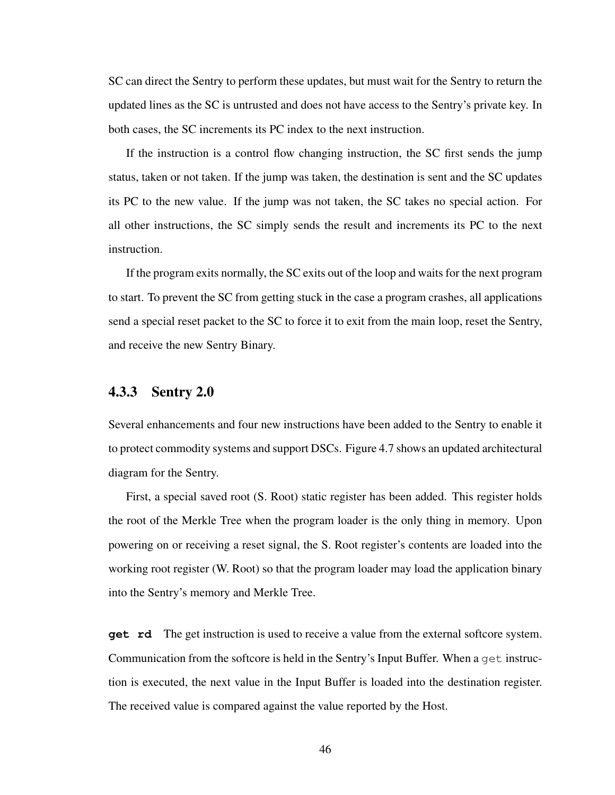SC can direct the Sentry to perform these updates, but must wait for the Sentry to return the updated lines as the SC is untrusted and does not have access to the Sentry's private key. In both cases, the SC increments its PC index to the next instruction.

If the instruction is a control flow changing instruction, the SC first sends the jump status, taken or not taken. If the jump was taken, the destination is sent and the SC updates its PC to the new value. If the jump was not taken, the SC takes no special action. For all other instructions, the SC simply sends the result and increments its PC to the next instruction.

If the program exits normally, the SC exits out of the loop and waits for the next program to start. To prevent the SC from getting stuck in the case a program crashes, all applications send a special reset packet to the SC to force it to exit from the main loop, reset the Sentry, and receive the new Sentry Binary.

### <span id="page-59-0"></span>4.3.3 Sentry 2.0

Several enhancements and four new instructions have been added to the Sentry to enable it to protect commodity systems and support DSCs. Figure [4.7](#page-60-0) shows an updated architectural diagram for the Sentry.

First, a special saved root (S. Root) static register has been added. This register holds the root of the Merkle Tree when the program loader is the only thing in memory. Upon powering on or receiving a reset signal, the S. Root register's contents are loaded into the working root register (W. Root) so that the program loader may load the application binary into the Sentry's memory and Merkle Tree.

**get rd** The get instruction is used to receive a value from the external softcore system. Communication from the softcore is held in the Sentry's Input Buffer. When a get instruction is executed, the next value in the Input Buffer is loaded into the destination register. The received value is compared against the value reported by the Host.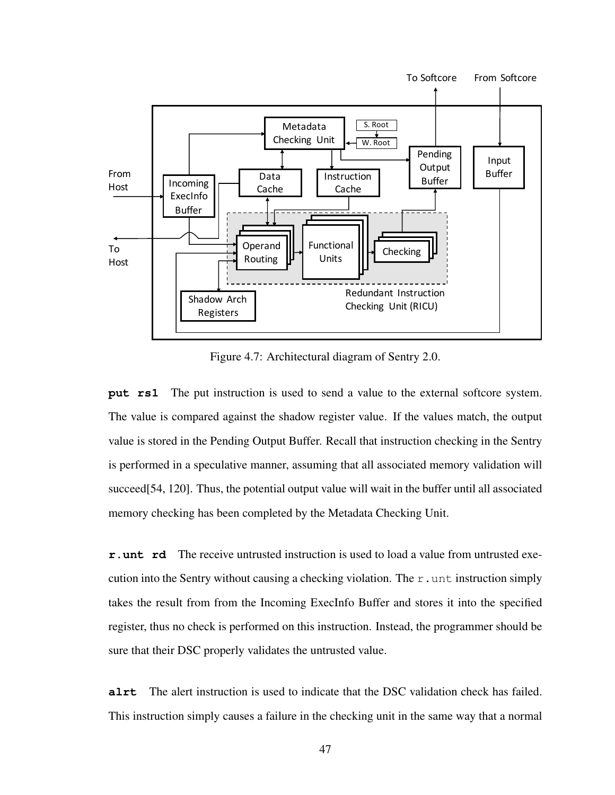<span id="page-60-0"></span>

Figure 4.7: Architectural diagram of Sentry 2.0.

**put rs1** The put instruction is used to send a value to the external softcore system. The value is compared against the shadow register value. If the values match, the output value is stored in the Pending Output Buffer. Recall that instruction checking in the Sentry is performed in a speculative manner, assuming that all associated memory validation will succeed[\[54,](#page-106-0) [120\]](#page-115-0). Thus, the potential output value will wait in the buffer until all associated memory checking has been completed by the Metadata Checking Unit.

**r.unt rd** The receive untrusted instruction is used to load a value from untrusted execution into the Sentry without causing a checking violation. The  $r$  unt instruction simply takes the result from from the Incoming ExecInfo Buffer and stores it into the specified register, thus no check is performed on this instruction. Instead, the programmer should be sure that their DSC properly validates the untrusted value.

**alrt** The alert instruction is used to indicate that the DSC validation check has failed. This instruction simply causes a failure in the checking unit in the same way that a normal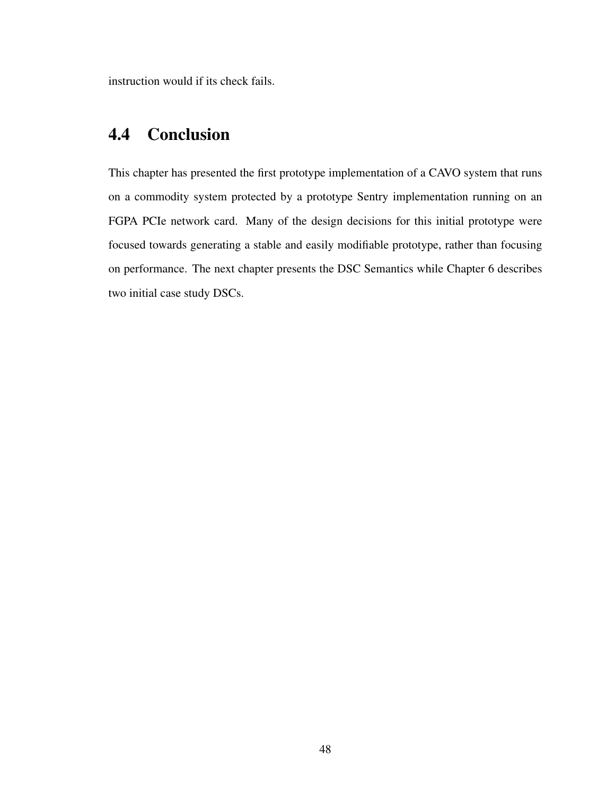instruction would if its check fails.

# 4.4 Conclusion

This chapter has presented the first prototype implementation of a CAVO system that runs on a commodity system protected by a prototype Sentry implementation running on an FGPA PCIe network card. Many of the design decisions for this initial prototype were focused towards generating a stable and easily modifiable prototype, rather than focusing on performance. The next chapter presents the DSC Semantics while Chapter [6](#page-80-1) describes two initial case study DSCs.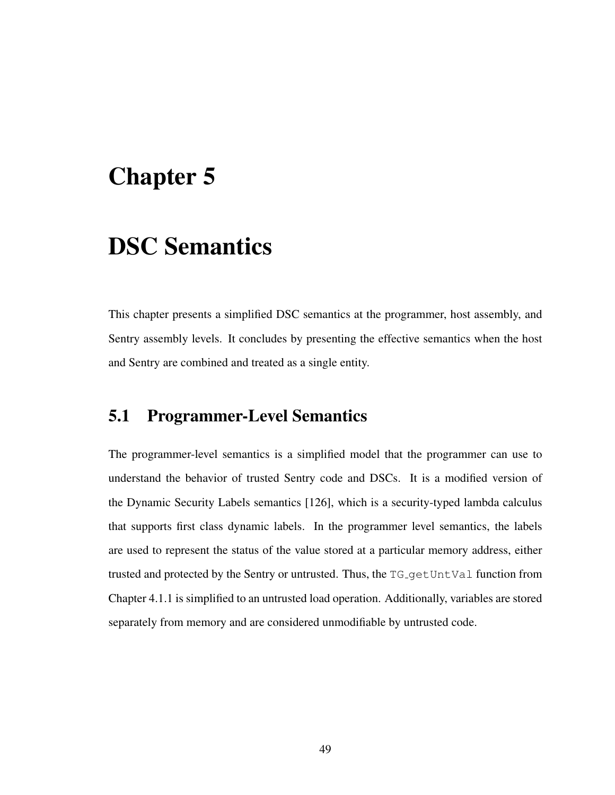# <span id="page-62-0"></span>Chapter 5

# DSC Semantics

This chapter presents a simplified DSC semantics at the programmer, host assembly, and Sentry assembly levels. It concludes by presenting the effective semantics when the host and Sentry are combined and treated as a single entity.

### 5.1 Programmer-Level Semantics

The programmer-level semantics is a simplified model that the programmer can use to understand the behavior of trusted Sentry code and DSCs. It is a modified version of the Dynamic Security Labels semantics [\[126\]](#page-115-3), which is a security-typed lambda calculus that supports first class dynamic labels. In the programmer level semantics, the labels are used to represent the status of the value stored at a particular memory address, either trusted and protected by the Sentry or untrusted. Thus, the TG<sub>-</sub>getUntVal function from Chapter [4.1.1](#page-47-1) is simplified to an untrusted load operation. Additionally, variables are stored separately from memory and are considered unmodifiable by untrusted code.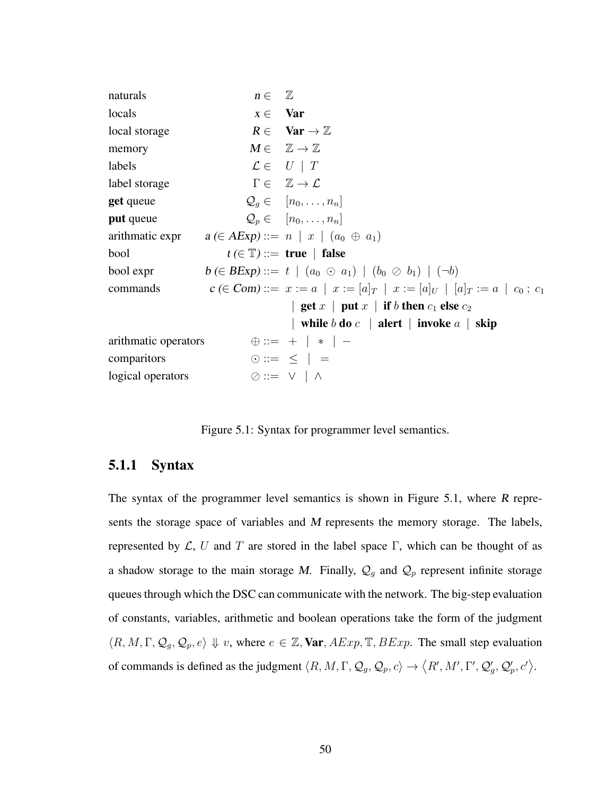<span id="page-63-0"></span>naturals  $n \in \mathbb{Z}$ locals  $x \in \mathbf{Var}$ local storage  $R \in \text{Var} \rightarrow \mathbb{Z}$ memory  $M \in \mathbb{Z} \to \mathbb{Z}$ labels  $\mathcal{L} \in U \mid T$ label storage  $\Gamma \in \mathbb{Z} \to \mathcal{L}$ **get** queue  $Q_q \in [n_0, \ldots, n_n]$ **put** queue  $Q_p \in [n_0, \ldots, n_n]$ arithmatic expr  $a \in AExp ::= n \mid x \mid (a_0 \oplus a_1)$ bool  $t \in \mathbb{T}$  ::= true | false bool expr  $b \in BExp ::= t \mid (a_0 \odot a_1) \mid (b_0 \oslash b_1) \mid (\neg b)$ commands c (∈ Com) ::=  $x := a | x := [a]_T | x := [a]_U | [a]_T := a | c_0 ; c_1$ | get  $x$  | put  $x$  | if  $b$  then  $c_1$  else  $c_2$ | while  $b$  do  $c$  | alert | invoke  $a$  | skip arithmatic operators  $\oplus ::= + | * |$ comparitors  $\odot ::= \leq |$  = logical operators  $\oslash ::= \vee \wedge \wedge$ 

Figure 5.1: Syntax for programmer level semantics.

### 5.1.1 Syntax

The syntax of the programmer level semantics is shown in Figure [5.1,](#page-63-0) where R represents the storage space of variables and M represents the memory storage. The labels, represented by  $\mathcal{L}$ , U and T are stored in the label space Γ, which can be thought of as a shadow storage to the main storage M. Finally,  $\mathcal{Q}_g$  and  $\mathcal{Q}_p$  represent infinite storage queues through which the DSC can communicate with the network. The big-step evaluation of constants, variables, arithmetic and boolean operations take the form of the judgment  $\langle R, M, \Gamma, \mathcal{Q}_g, \mathcal{Q}_p, e \rangle \Downarrow v$ , where  $e \in \mathbb{Z}$ , Var,  $AExp$ ,  $\mathbb{T}$ ,  $BExp$ . The small step evaluation of commands is defined as the judgment  $\langle R, M, \Gamma, \mathcal{Q}_g, \mathcal{Q}_p, c \rangle \rightarrow \langle R', M', \Gamma', \mathcal{Q}'_g, \mathcal{Q}'_p, c' \rangle$ .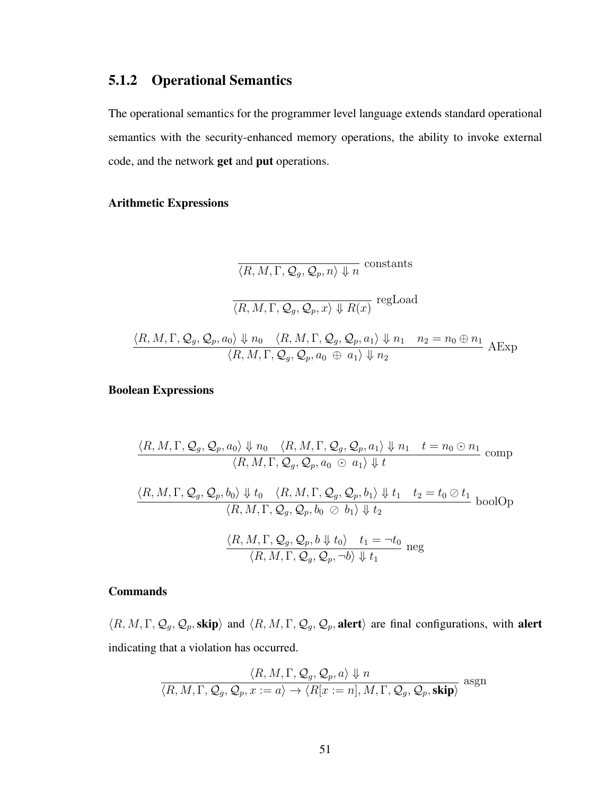### 5.1.2 Operational Semantics

The operational semantics for the programmer level language extends standard operational semantics with the security-enhanced memory operations, the ability to invoke external code, and the network get and put operations.

### Arithmetic Expressions

$$
\frac{\langle R, M, \Gamma, Q_g, Q_p, n \rangle \Downarrow n}{\langle R, M, \Gamma, Q_g, Q_p, x \rangle \Downarrow R(x)} \text{ regLoad}
$$
  

$$
\frac{\langle R, M, \Gamma, Q_g, Q_p, a_0 \rangle \Downarrow n_0 \quad \langle R, M, \Gamma, Q_g, Q_p, a_1 \rangle \Downarrow n_1 \quad n_2 = n_0 \oplus n_1}{\langle R, M, \Gamma, Q_g, Q_p, a_0 \oplus a_1 \rangle \Downarrow n_2} \text{ AExp}
$$

#### Boolean Expressions

$$
\frac{\langle R, M, \Gamma, Q_g, Q_p, a_0 \rangle \Downarrow n_0 \langle R, M, \Gamma, Q_g, Q_p, a_1 \rangle \Downarrow n_1 \quad t = n_0 \odot n_1}{\langle R, M, \Gamma, Q_g, Q_p, a_0 \odot a_1 \rangle \Downarrow t}
$$
comp  

$$
\frac{\langle R, M, \Gamma, Q_g, Q_p, b_0 \rangle \Downarrow t_0 \langle R, M, \Gamma, Q_g, Q_p, b_1 \rangle \Downarrow t_1 \quad t_2 = t_0 \otimes t_1}{\langle R, M, \Gamma, Q_g, Q_p, b_0 \otimes b_1 \rangle \Downarrow t_2}
$$
boolOp  

$$
\frac{\langle R, M, \Gamma, Q_g, Q_p, b \Downarrow t_0 \rangle \quad t_1 = \neg t_0}{\langle R, M, \Gamma, Q_g, Q_p, \neg b \rangle \Downarrow t_1}
$$
neg

#### **Commands**

 $\langle R, M, \Gamma, Q_g, Q_p$ , skip) and  $\langle R, M, \Gamma, Q_g, Q_p$ , alert) are final configurations, with alert indicating that a violation has occurred.

$$
\frac{\langle R, M, \Gamma, \mathcal{Q}_g, \mathcal{Q}_p, a \rangle \Downarrow n}{\langle R, M, \Gamma, \mathcal{Q}_g, \mathcal{Q}_p, x := a \rangle \to \langle R[x := n], M, \Gamma, \mathcal{Q}_g, \mathcal{Q}_p, \mathbf{skip} \rangle} \text{ asgn}
$$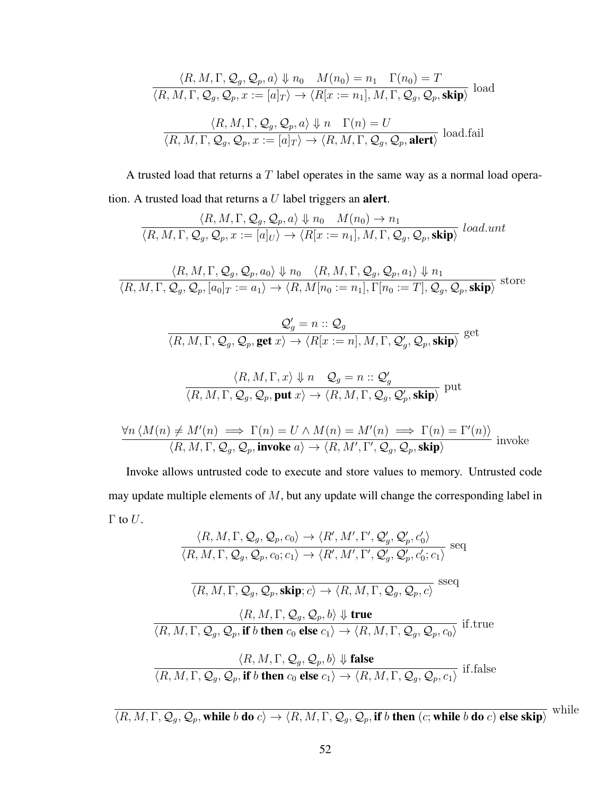$$
\langle R, M, \Gamma, Q_g, Q_p, a \rangle \Downarrow n_0 \quad M(n_0) = n_1 \quad \Gamma(n_0) = T
$$
  

$$
\langle R, M, \Gamma, Q_g, Q_p, x := [a]_T \rangle \rightarrow \langle R[x := n_1], M, \Gamma, Q_g, Q_p, \mathbf{skip} \rangle \text{ load}
$$
  

$$
\langle R, M, \Gamma, Q_g, Q_p, a \rangle \Downarrow n \quad \Gamma(n) = U
$$
  

$$
\langle R, M, \Gamma, Q_g, Q_p, x := [a]_T \rangle \rightarrow \langle R, M, \Gamma, Q_g, Q_p, \mathbf{a} \rangle \text{ } \text{ } [0 \text{ and } \text{ } f \text{ } [a \text{ } h \text{ }] \rangle
$$

A trusted load that returns a T label operates in the same way as a normal load operation. A trusted load that returns a  $U$  label triggers an **alert**.

$$
\frac{\langle R, M, \Gamma, \mathcal{Q}_g, \mathcal{Q}_p, a \rangle \Downarrow n_0 \quad M(n_0) \to n_1}{\langle R, M, \Gamma, \mathcal{Q}_g, \mathcal{Q}_p, x := [a]_U \rangle \to \langle R[x := n_1], M, \Gamma, \mathcal{Q}_g, \mathcal{Q}_p, \mathbf{skip} \rangle} \text{ load.} \text{unt}
$$

$$
\frac{\langle R, M, \Gamma, \mathcal{Q}_g, \mathcal{Q}_p, a_0 \rangle \Downarrow n_0 \langle R, M, \Gamma, \mathcal{Q}_g, \mathcal{Q}_p, a_1 \rangle \Downarrow n_1}{\langle R, M, \Gamma, \mathcal{Q}_g, \mathcal{Q}_p, [a_0]_T := a_1 \rangle \to \langle R, M[n_0 := n_1], \Gamma[n_0 := T], \mathcal{Q}_g, \mathcal{Q}_p, \mathbf{skip} \rangle} \text{ store}
$$

$$
\frac{\mathcal{Q}'_g=n::\mathcal{Q}_g}{\langle R,M,\Gamma,\mathcal{Q}_g,\mathcal{Q}_p,\text{get }x\rangle\to\langle R[x:=n],M,\Gamma,\mathcal{Q}'_g,\mathcal{Q}_p,\textbf{skip}\rangle} \text{ get }
$$

$$
\frac{\langle R, M, \Gamma, x \rangle \Downarrow n \quad \mathcal{Q}_g = n :: \mathcal{Q}'_g}{\langle R, M, \Gamma, \mathcal{Q}_g, \mathcal{Q}_p, \text{put } x \rangle \rightarrow \langle R, M, \Gamma, \mathcal{Q}_g, \mathcal{Q}'_p, \text{skip} \rangle} \text{ put }
$$

$$
\frac{\forall n \langle M(n) \neq M'(n) \implies \Gamma(n) = U \land M(n) = M'(n) \implies \Gamma(n) = \Gamma'(n) \rangle}{\langle R, M, \Gamma, Q_g, Q_p, \text{invoke } a \rangle \to \langle R, M', \Gamma', Q_g, Q_p, \text{skip} \rangle} \text{ involve }
$$

Invoke allows untrusted code to execute and store values to memory. Untrusted code may update multiple elements of  $M$ , but any update will change the corresponding label in Γ to  $U$ .

$$
\langle R, M, \Gamma, Q_g, Q_p, c_0 \rangle \rightarrow \langle R', M', \Gamma', Q'_g, Q'_p, c'_0 \rangle
$$
  
\n
$$
\overline{\langle R, M, \Gamma, Q_g, Q_p, c_0; c_1 \rangle} \rightarrow \langle R', M', \Gamma', Q'_g, Q'_p, c'_0; c_1 \rangle} \text{ seq}
$$
  
\n
$$
\overline{\langle R, M, \Gamma, Q_g, Q_p, \text{skip}; c \rangle} \rightarrow \langle R, M, \Gamma, Q_g, Q_p, c \rangle} \text{ sseq}
$$
  
\n
$$
\langle R, M, \Gamma, Q_g, Q_p, \text{skip}; c \rangle \rightarrow \langle R, M, \Gamma, Q_g, Q_p, c \rangle} \text{ sseq}
$$
  
\n
$$
\overline{\langle R, M, \Gamma, Q_g, Q_p, \text{if } b \text{ then } c_0 \text{ else } c_1 \rangle \rightarrow \langle R, M, \Gamma, Q_g, Q_p, c_0 \rangle} \text{ if true}
$$
  
\n
$$
\langle R, M, \Gamma, Q_g, Q_p, b \rangle \Downarrow \text{false}
$$
  
\n
$$
\overline{\langle R, M, \Gamma, Q_g, Q_p, \text{if } b \text{ then } c_0 \text{ else } c_1 \rangle \rightarrow \langle R, M, \Gamma, Q_g, Q_p, c_1 \rangle} \text{ if false}
$$

$$
\overline{\langle R, M, \Gamma, \mathcal{Q}_g, \mathcal{Q}_p, \text{while } b \text{ do } c \rangle \to \langle R, M, \Gamma, \mathcal{Q}_g, \mathcal{Q}_p, \text{if } b \text{ then } (c; \text{while } b \text{ do } c) \text{ else skip} \rangle}
$$
 while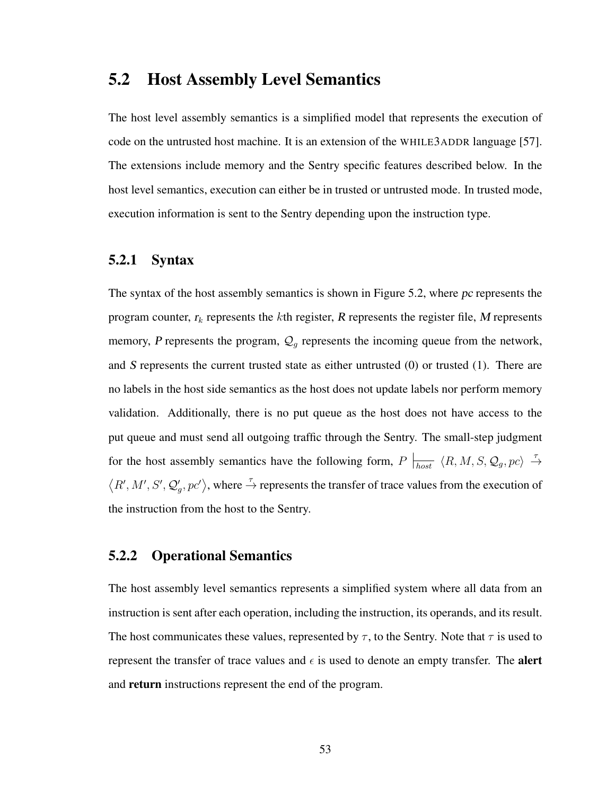### 5.2 Host Assembly Level Semantics

The host level assembly semantics is a simplified model that represents the execution of code on the untrusted host machine. It is an extension of the WHILE3ADDR language [\[57\]](#page-107-0). The extensions include memory and the Sentry specific features described below. In the host level semantics, execution can either be in trusted or untrusted mode. In trusted mode, execution information is sent to the Sentry depending upon the instruction type.

#### 5.2.1 Syntax

The syntax of the host assembly semantics is shown in Figure [5.2,](#page-67-0) where pc represents the program counter,  $r_k$  represents the kth register, R represents the register file, M represents memory, P represents the program,  $\mathcal{Q}_g$  represents the incoming queue from the network, and S represents the current trusted state as either untrusted  $(0)$  or trusted  $(1)$ . There are no labels in the host side semantics as the host does not update labels nor perform memory validation. Additionally, there is no put queue as the host does not have access to the put queue and must send all outgoing traffic through the Sentry. The small-step judgment for the host assembly semantics have the following form,  $P \mid_{host} \langle R, M, S, Q_g, pc \rangle \stackrel{\tau}{\rightarrow}$  $\langle R', M', S', Q'_g, pc' \rangle$ , where  $\stackrel{\tau}{\rightarrow}$  represents the transfer of trace values from the execution of the instruction from the host to the Sentry.

### 5.2.2 Operational Semantics

The host assembly level semantics represents a simplified system where all data from an instruction is sent after each operation, including the instruction, its operands, and its result. The host communicates these values, represented by  $\tau$ , to the Sentry. Note that  $\tau$  is used to represent the transfer of trace values and  $\epsilon$  is used to denote an empty transfer. The **alert** and return instructions represent the end of the program.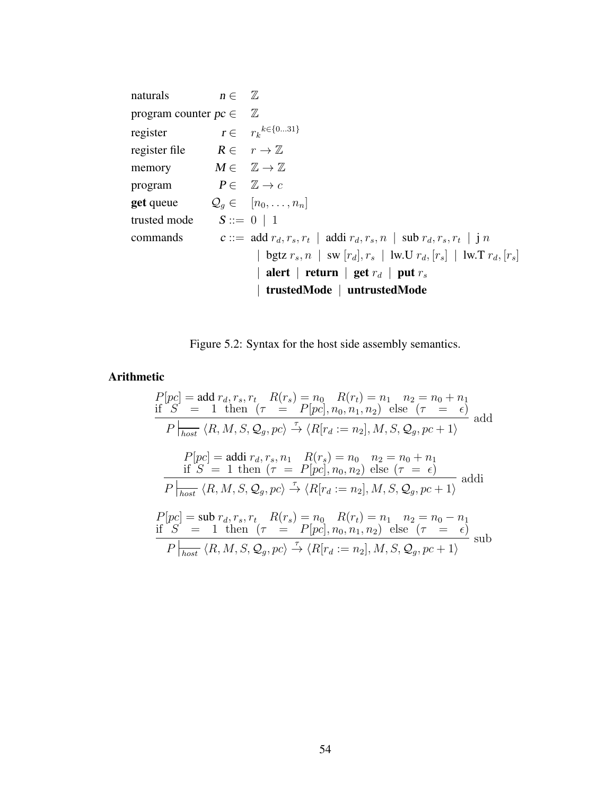<span id="page-67-0"></span>naturals  $n \in \mathbb{Z}$ program counter  $pc \in \mathbb{Z}$ register  $r \in r_k^{k \in \{0...31\}}$ register file  $R \in r \to \mathbb{Z}$ memory  $M \in \mathbb{Z} \to \mathbb{Z}$ program  $P \in \mathbb{Z} \to c$ **get** queue  $Q_g \in [n_0, \ldots, n_n]$ trusted mode  $S ::= 0 | 1$ commands c::= add  $r_d, r_s, r_t$  | addi  $r_d, r_s, n$  | sub  $r_d, r_s, r_t$  | j  $n$ | bgtz  $r_s$ ,  $n$  | sw  $[r_d]$ ,  $r_s$  | lw.U  $r_d$ ,  $[r_s]$  | lw.T  $r_d$ ,  $[r_s]$ | alert | return | get  $r_d$  | put  $r_s$ | trustedMode | untrustedMode

Figure 5.2: Syntax for the host side assembly semantics.

#### Arithmetic

$$
P[pc] = \text{add } r_d, r_s, r_t \quad R(r_s) = n_0 \quad R(r_t) = n_1 \quad n_2 = n_0 + n_1
$$
\n
$$
\text{if } S = 1 \text{ then } (\tau = P[pc], n_0, n_1, n_2) \text{ else } (\tau = \epsilon)
$$
\n
$$
P \mid_{\text{host}} \langle R, M, S, Q_g, pc \rangle \xrightarrow{\tau} \langle R[r_d := n_2], M, S, Q_g, pc + 1 \rangle
$$
\n
$$
P[pc] = \text{add } r_d, r_s, n_1 \quad R(r_s) = n_0 \quad n_2 = n_0 + n_1
$$
\n
$$
\text{if } S = 1 \text{ then } (\tau = P[pc], n_0, n_2) \text{ else } (\tau = \epsilon)
$$
\n
$$
P \mid_{\text{host}} \langle R, M, S, Q_g, pc \rangle \xrightarrow{\tau} \langle R[r_d := n_2], M, S, Q_g, pc + 1 \rangle
$$
\n
$$
\text{addi}
$$
\n
$$
P[pc] = \text{sub } r_d, r_s, r_t \quad R(r_s) = n_0 \quad R(r_t) = n_1 \quad n_2 = n_0 - n_1
$$
\n
$$
\text{if } S = 1 \text{ then } (\tau = P[pc], n_0, n_1, n_2) \text{ else } (\tau = \epsilon)
$$
\n
$$
P \mid_{\text{host}} \langle R, M, S, Q_g, pc \rangle \xrightarrow{\tau} \langle R[r_d := n_2], M, S, Q_g, pc + 1 \rangle
$$
\n
$$
\text{sub}
$$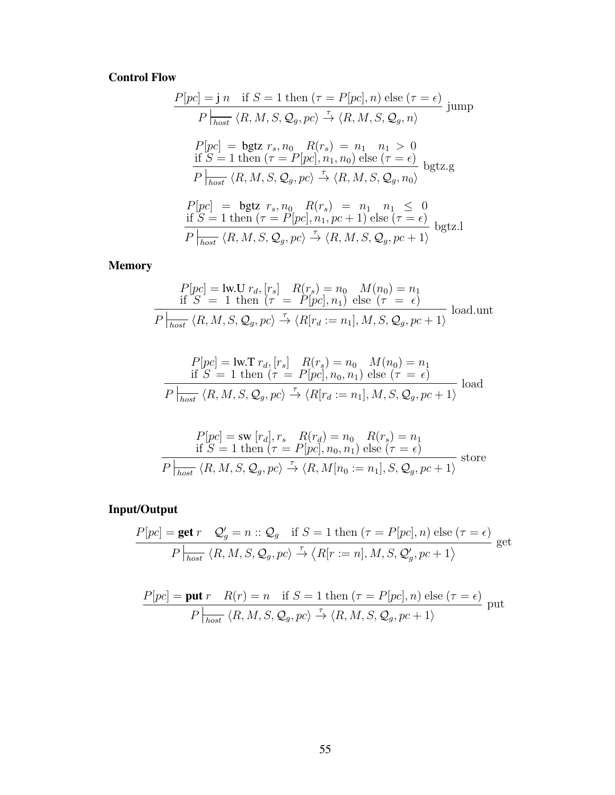### Control Flow

$$
P[pc] = j n \text{ if } S = 1 \text{ then } (\tau = P[pc], n) \text{ else } (\tau = \epsilon)
$$
  
\n
$$
P \mid_{host} \langle R, M, S, Q_g, pc \rangle \xrightarrow{\tau} \langle R, M, S, Q_g, n \rangle
$$
  
\n
$$
P[pc] = \text{bgtz } r_s, n_0 \quad R(r_s) = n_1 \quad n_1 > 0
$$
  
\n
$$
\text{if } S = 1 \text{ then } (\tau = P[pc], n_1, n_0) \text{ else } (\tau = \epsilon)
$$
  
\n
$$
P \mid_{host} \langle R, M, S, Q_g, pc \rangle \xrightarrow{\tau} \langle R, M, S, Q_g, n_0 \rangle
$$
  
\n
$$
P[pc] = \text{bgtz } r_s, n_0 \quad R(r_s) = n_1 \quad n_1 \leq 0
$$
  
\n
$$
\text{if } S = 1 \text{ then } (\tau = P[pc], n_1, pc + 1) \text{ else } (\tau = \epsilon)
$$
  
\n
$$
\frac{P \mid_{host} \langle R, M, S, Q_g, pc \rangle \xrightarrow{\tau} \langle R, M, S, Q_g, pc + 1 \rangle} \text{ bgtz.l}
$$

Memory

$$
P[pc] = \text{lw.U } r_d, [r_s] \quad R(r_s) = n_0 \quad M(n_0) = n_1
$$
  
if  $S = 1$  then  $(\tau = P[pc], n_1)$  else  $(\tau = \epsilon)$   

$$
P|_{host} \langle R, M, S, Q_g, pc \rangle \stackrel{\tau}{\rightarrow} \langle R[r_d := n_1], M, S, Q_g, pc + 1 \rangle
$$
 load.

$$
P[pc] = \text{lw.T } r_d, [r_s] \quad R(r_s) = n_0 \quad M(n_0) = n_1
$$
  
if  $S = 1$  then  $(\tau = P[pc], n_0, n_1)$  else  $(\tau = \epsilon)$   

$$
P|_{host} \langle R, M, S, Q_g, pc \rangle \stackrel{\tau}{\rightarrow} \langle R[r_d := n_1], M, S, Q_g, pc + 1 \rangle
$$
 load

$$
P[pc] = \text{sw } [r_d], r_s \quad R(r_d) = n_0 \quad R(r_s) = n_1
$$
  
if  $S = 1$  then  $(\tau = P[pc], n_0, n_1)$  else  $(\tau = \epsilon)$   

$$
P|_{host} \langle R, M, S, Q_g, pc \rangle \stackrel{\tau}{\rightarrow} \langle R, M[n_0 := n_1], S, Q_g, pc + 1 \rangle
$$
 store

# Input/Output

$$
\frac{P[pc] = \text{get } r \quad \mathcal{Q}'_g = n :: \mathcal{Q}_g \quad \text{if } S = 1 \text{ then } (\tau = P[pc], n) \text{ else } (\tau = \epsilon)
$$

$$
P \mid_{host} \langle R, M, S, \mathcal{Q}_g, pc \rangle \xrightarrow{\tau} \langle R[r := n], M, S, \mathcal{Q}'_g, pc + 1 \rangle \qquad \text{get}
$$

$$
\frac{P[pc] = \text{put } r \quad R(r) = n \quad \text{if } S = 1 \text{ then } (\tau = P[pc], n) \text{ else } (\tau = \epsilon)
$$
  

$$
P \mid_{host} \langle R, M, S, \mathcal{Q}_g, pc \rangle \xrightarrow{\tau} \langle R, M, S, \mathcal{Q}_g, pc + 1 \rangle
$$
put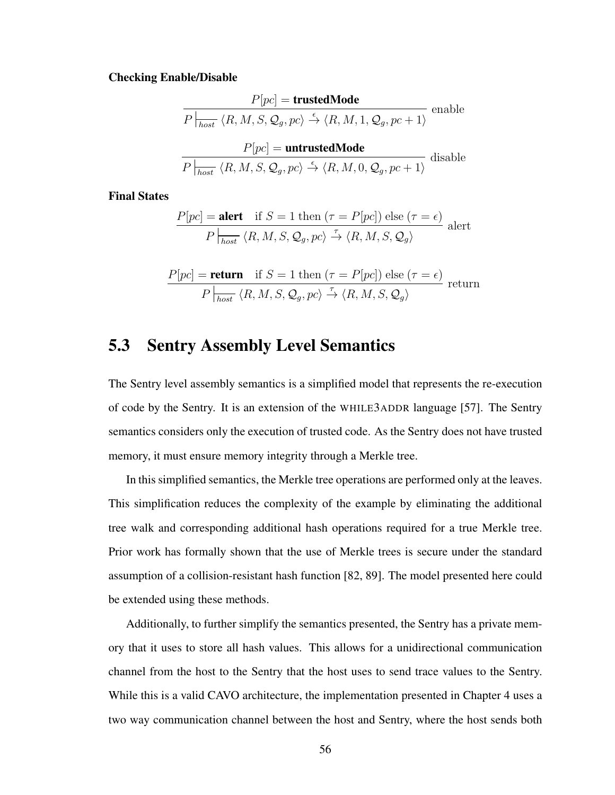#### Checking Enable/Disable

$$
P[pc] = \text{trustedMode}
$$
  
\n
$$
P\Big|_{host} \langle R, M, S, Q_g, pc \rangle \xrightarrow{\epsilon} \langle R, M, 1, Q_g, pc + 1 \rangle
$$
 enable  
\n
$$
P[pc] = \text{untrustedMode}
$$
  
\n
$$
P\Big|_{host} \langle R, M, S, Q_g, pc \rangle \xrightarrow{\epsilon} \langle R, M, 0, Q_g, pc + 1 \rangle
$$
 disable

Final States

$$
\frac{P[pc] = \text{alert if } S = 1 \text{ then } (\tau = P[pc]) \text{ else } (\tau = \epsilon)}{P \Big|_{host} \langle R, M, S, Q_g, pc \rangle \xrightarrow{\tau} \langle R, M, S, Q_g \rangle} \text{ alert}
$$

$$
\frac{P[pc] = \text{return if } S = 1 \text{ then } (\tau = P[pc]) \text{ else } (\tau = \epsilon)}{P \mid_{host} \langle R, M, S, Q_g, pc \rangle \xrightarrow{\tau} \langle R, M, S, Q_g \rangle} \text{ return}
$$

## 5.3 Sentry Assembly Level Semantics

The Sentry level assembly semantics is a simplified model that represents the re-execution of code by the Sentry. It is an extension of the WHILE3ADDR language [\[57\]](#page-107-0). The Sentry semantics considers only the execution of trusted code. As the Sentry does not have trusted memory, it must ensure memory integrity through a Merkle tree.

In this simplified semantics, the Merkle tree operations are performed only at the leaves. This simplification reduces the complexity of the example by eliminating the additional tree walk and corresponding additional hash operations required for a true Merkle tree. Prior work has formally shown that the use of Merkle trees is secure under the standard assumption of a collision-resistant hash function [\[82,](#page-110-4) [89\]](#page-111-2). The model presented here could be extended using these methods.

Additionally, to further simplify the semantics presented, the Sentry has a private memory that it uses to store all hash values. This allows for a unidirectional communication channel from the host to the Sentry that the host uses to send trace values to the Sentry. While this is a valid CAVO architecture, the implementation presented in Chapter [4](#page-45-0) uses a two way communication channel between the host and Sentry, where the host sends both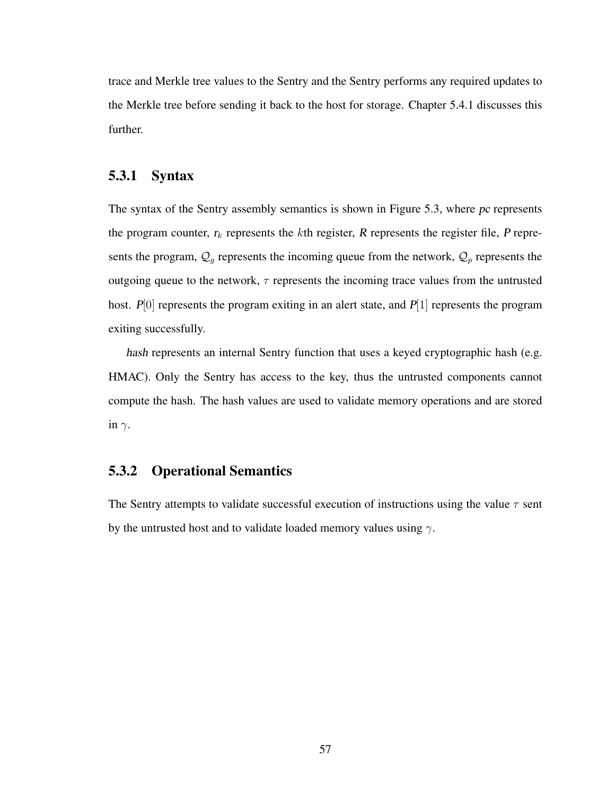trace and Merkle tree values to the Sentry and the Sentry performs any required updates to the Merkle tree before sending it back to the host for storage. Chapter [5.4.1](#page-77-0) discusses this further.

#### 5.3.1 Syntax

The syntax of the Sentry assembly semantics is shown in Figure [5.3,](#page-71-0) where pc represents the program counter,  $r_k$  represents the kth register, R represents the register file, P represents the program,  $\mathcal{Q}_g$  represents the incoming queue from the network,  $\mathcal{Q}_p$  represents the outgoing queue to the network,  $\tau$  represents the incoming trace values from the untrusted host.  $P[0]$  represents the program exiting in an alert state, and  $P[1]$  represents the program exiting successfully.

hash represents an internal Sentry function that uses a keyed cryptographic hash (e.g. HMAC). Only the Sentry has access to the key, thus the untrusted components cannot compute the hash. The hash values are used to validate memory operations and are stored in  $\gamma$ .

### 5.3.2 Operational Semantics

The Sentry attempts to validate successful execution of instructions using the value  $\tau$  sent by the untrusted host and to validate loaded memory values using  $\gamma$ .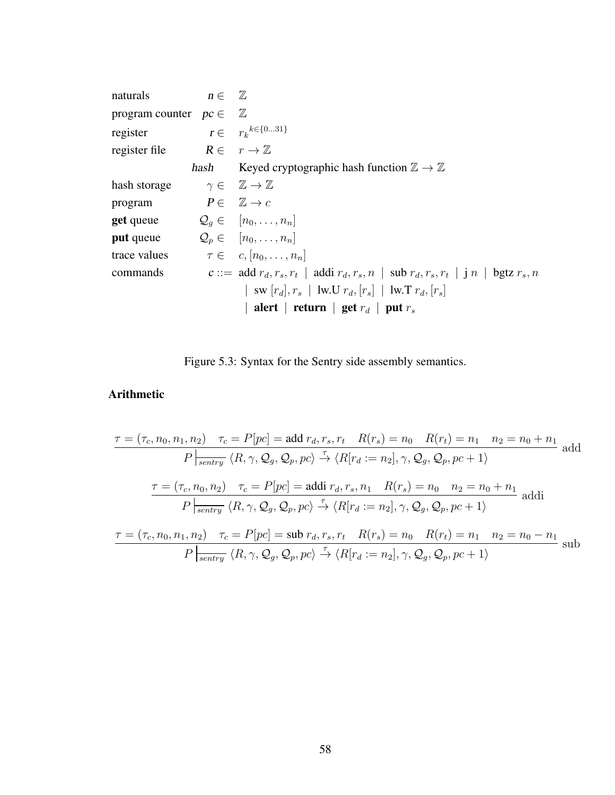<span id="page-71-0"></span>naturals  $n \in \mathbb{Z}$ program counter  $pc \in \mathbb{Z}$ register  $r \in r_k^{k \in \{0...31\}}$ register file  $R \in r \to \mathbb{Z}$ hash Keyed cryptographic hash function  $\mathbb{Z} \to \mathbb{Z}$ hash storage  $\gamma \in \mathbb{Z} \to \mathbb{Z}$ program  $P \in \mathbb{Z} \to c$ **get** queue  $Q_q \in [n_0, \ldots, n_n]$ **put** queue  $Q_p \in [n_0, \ldots, n_n]$ trace values  $\tau \in c, [n_0, \ldots, n_n]$ commands c::= add  $r_d, r_s, r_t$  | addi  $r_d, r_s, n$  | sub  $r_d, r_s, r_t$  | j  $n$  | bgtz  $r_s, n$ | sw  $[r_d], r_s$  | lw.U  $r_d, [r_s]$  | lw.T  $r_d, [r_s]$ | alert | return | get  $r_d$  | put  $r_s$ 

Figure 5.3: Syntax for the Sentry side assembly semantics.

### Arithmetic

$$
\tau = (\tau_c, n_0, n_1, n_2) \quad \tau_c = P[pc] = \text{add } \tau_d, r_s, r_t \quad R(r_s) = n_0 \quad R(r_t) = n_1 \quad n_2 = n_0 + n_1
$$
\n
$$
P \mid_{\text{sentry}} \langle R, \gamma, Q_g, Q_p, pc \rangle \xrightarrow{\tau} \langle R[r_d := n_2], \gamma, Q_g, Q_p, pc + 1 \rangle
$$
\n
$$
\tau = (\tau_c, n_0, n_2) \quad \tau_c = P[pc] = \text{addi } \tau_d, r_s, n_1 \quad R(r_s) = n_0 \quad n_2 = n_0 + n_1
$$
\n
$$
P \mid_{\text{sentry}} \langle R, \gamma, Q_g, Q_p, pc \rangle \xrightarrow{\tau} \langle R[r_d := n_2], \gamma, Q_g, Q_p, pc + 1 \rangle
$$
\n
$$
\tau = (\tau_c, n_0, n_1, n_2) \quad \tau_c = P[pc] = \text{sub } \tau_d, r_s, r_t \quad R(r_s) = n_0 \quad R(r_t) = n_1 \quad n_2 = n_0 - n_1
$$
\n
$$
P \mid_{\text{sentry}} \langle R, \gamma, Q_g, Q_p, pc \rangle \xrightarrow{\tau} \langle R[r_d := n_2], \gamma, Q_g, Q_p, pc + 1 \rangle
$$
\n
$$
\text{sub}
$$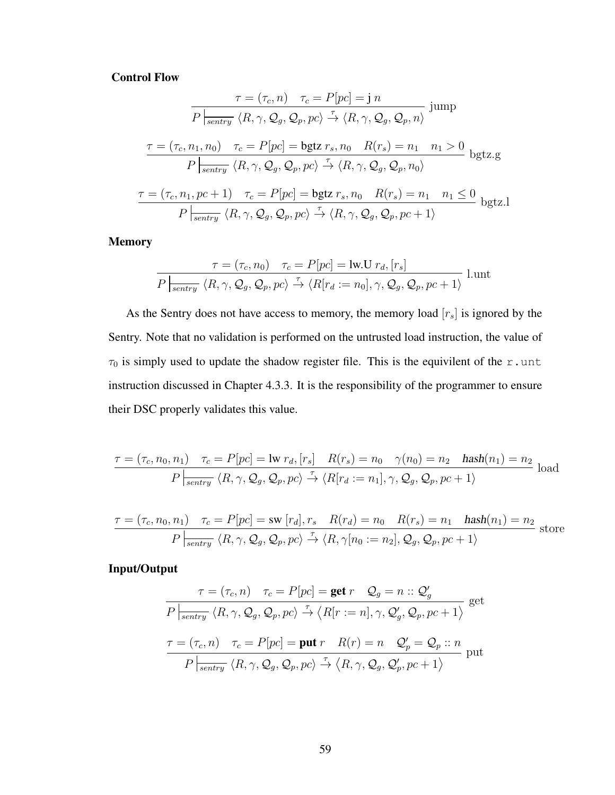#### Control Flow

$$
\tau = (\tau_c, n) \quad \tau_c = P[pc] = j n
$$
  
\n
$$
\overline{P|_{\text{sentry}} \langle R, \gamma, Q_g, Q_p, pc \rangle \xrightarrow{\tau} \langle R, \gamma, Q_g, Q_p, n \rangle}} \text{jump}
$$
  
\n
$$
\frac{\tau = (\tau_c, n_1, n_0) \quad \tau_c = P[pc] = \text{bgtz } r_s, n_0 \quad R(r_s) = n_1 \quad n_1 > 0}{P|_{\text{sentry}} \langle R, \gamma, Q_g, Q_p, pc \rangle \xrightarrow{\tau} \langle R, \gamma, Q_g, Q_p, n_0 \rangle} \text{bgtz.g}
$$
  
\n
$$
\tau = (\tau_c, n_1, pc + 1) \quad \tau_c = P[pc] = \text{bgtz } r_s, n_0 \quad R(r_s) = n_1 \quad n_1 \le 0
$$
  
\n
$$
P|_{\text{sentry}} \langle R, \gamma, Q_g, Q_p, pc \rangle \xrightarrow{\tau} \langle R, \gamma, Q_g, Q_p, pc + 1 \rangle} \text{bgtz.l}
$$

Memory

$$
\frac{\tau = (\tau_c, n_0) \quad \tau_c = P[pc] = \text{lw.U } r_d, [r_s]}{P|_{\text{sentry }} \langle R, \gamma, Q_g, Q_p, pc \rangle \stackrel{\tau}{\rightarrow} \langle R[r_d := n_0], \gamma, Q_g, Q_p, pc + 1 \rangle} \quad \text{l.unt}
$$

As the Sentry does not have access to memory, the memory load  $[r_s]$  is ignored by the Sentry. Note that no validation is performed on the untrusted load instruction, the value of  $\tau_0$  is simply used to update the shadow register file. This is the equivilent of the r.unt instruction discussed in Chapter [4.3.3.](#page-59-0) It is the responsibility of the programmer to ensure their DSC properly validates this value.

$$
\frac{\tau = (\tau_c, n_0, n_1) \quad \tau_c = P[pc] = \text{lw } r_d, [r_s] \quad R(r_s) = n_0 \quad \gamma(n_0) = n_2 \quad \text{hash}(n_1) = n_2}{P \mid_{\text{sentry}} \langle R, \gamma, Q_g, Q_p, pc \rangle \xrightarrow{\tau} \langle R[r_d := n_1], \gamma, Q_g, Q_p, pc + 1 \rangle} \text{load}
$$

$$
\frac{\tau = (\tau_c, n_0, n_1) \quad \tau_c = P[pc] = \text{sw } [r_d], r_s \quad R(r_d) = n_0 \quad R(r_s) = n_1 \quad \text{hash}(n_1) = n_2
$$
\n
$$
P \mid_{\text{sentry}} \langle R, \gamma, Q_g, Q_p, pc \rangle \xrightarrow{\tau} \langle R, \gamma[n_0 := n_2], Q_g, Q_p, pc + 1 \rangle \quad \text{store}
$$

Input/Output

$$
\tau = (\tau_c, n) \quad \tau_c = P[pc] = \text{get } r \quad \mathcal{Q}_g = n :: \mathcal{Q}'_g
$$
\n
$$
P \mid_{\text{sentry}} \langle R, \gamma, \mathcal{Q}_g, \mathcal{Q}_p, pc \rangle \stackrel{\tau}{\rightarrow} \langle R[r := n], \gamma, \mathcal{Q}'_g, \mathcal{Q}_p, pc + 1 \rangle \text{ get}
$$
\n
$$
\tau = (\tau_c, n) \quad \tau_c = P[pc] = \text{put } r \quad R(r) = n \quad \mathcal{Q}'_p = \mathcal{Q}_p :: n
$$
\n
$$
P \mid_{\text{sentry}} \langle R, \gamma, \mathcal{Q}_g, \mathcal{Q}_p, pc \rangle \stackrel{\tau}{\rightarrow} \langle R, \gamma, \mathcal{Q}_g, \mathcal{Q}'_p, pc + 1 \rangle \text{ put}
$$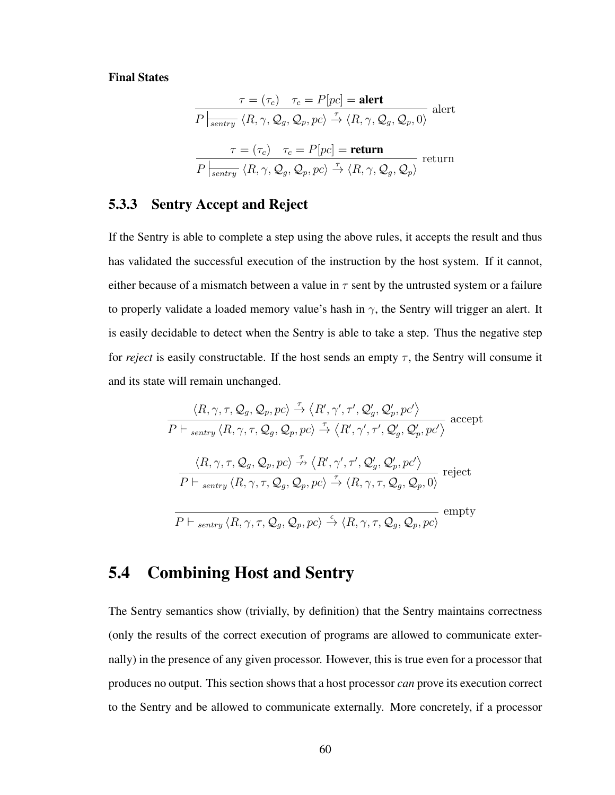#### Final States

$$
\tau = (\tau_c) \quad \tau_c = P[pc] = \text{alert}
$$
\n
$$
P|_{\overline{\text{sentry}}} \langle R, \gamma, Q_g, Q_p, pc \rangle \stackrel{\tau}{\to} \langle R, \gamma, Q_g, Q_p, 0 \rangle \text{ alert}
$$
\n
$$
\tau = (\tau_c) \quad \tau_c = P[pc] = \text{return}
$$
\n
$$
P|_{\overline{\text{sentry}}} \langle R, \gamma, Q_g, Q_p, pc \rangle \stackrel{\tau}{\to} \langle R, \gamma, Q_g, Q_p \rangle \text{ return}
$$

### 5.3.3 Sentry Accept and Reject

If the Sentry is able to complete a step using the above rules, it accepts the result and thus has validated the successful execution of the instruction by the host system. If it cannot, either because of a mismatch between a value in  $\tau$  sent by the untrusted system or a failure to properly validate a loaded memory value's hash in  $\gamma$ , the Sentry will trigger an alert. It is easily decidable to detect when the Sentry is able to take a step. Thus the negative step for *reject* is easily constructable. If the host sends an empty  $\tau$ , the Sentry will consume it and its state will remain unchanged.

$$
\frac{\langle R, \gamma, \tau, Q_g, Q_p, pc \rangle \xrightarrow{\tau} \langle R', \gamma', \tau', Q'_g, Q'_p, pc' \rangle}{P \vdash_{\textit{sentry}} \langle R, \gamma, \tau, Q_g, Q_p, pc \rangle \xrightarrow{\tau} \langle R', \gamma', \tau', Q'_g, Q'_p, pc' \rangle} \text{ accept}
$$
\n
$$
\frac{\langle R, \gamma, \tau, Q_g, Q_p, pc \rangle \xrightarrow{\tau} \langle R', \gamma', \tau', Q'_g, Q'_p, pc' \rangle}{P \vdash_{\textit{sentry}} \langle R, \gamma, \tau, Q_g, Q_p, pc \rangle \xrightarrow{\tau} \langle R, \gamma, \tau, Q_g, Q_p, 0 \rangle} \text{ reject}
$$
\n
$$
\frac{P \vdash_{\textit{sentry}} \langle R, \gamma, \tau, Q_g, Q_p, pc \rangle \xrightarrow{\epsilon} \langle R, \gamma, \tau, Q_g, Q_p, pc \rangle} \text{ empty}
$$

### 5.4 Combining Host and Sentry

The Sentry semantics show (trivially, by definition) that the Sentry maintains correctness (only the results of the correct execution of programs are allowed to communicate externally) in the presence of any given processor. However, this is true even for a processor that produces no output. This section shows that a host processor *can* prove its execution correct to the Sentry and be allowed to communicate externally. More concretely, if a processor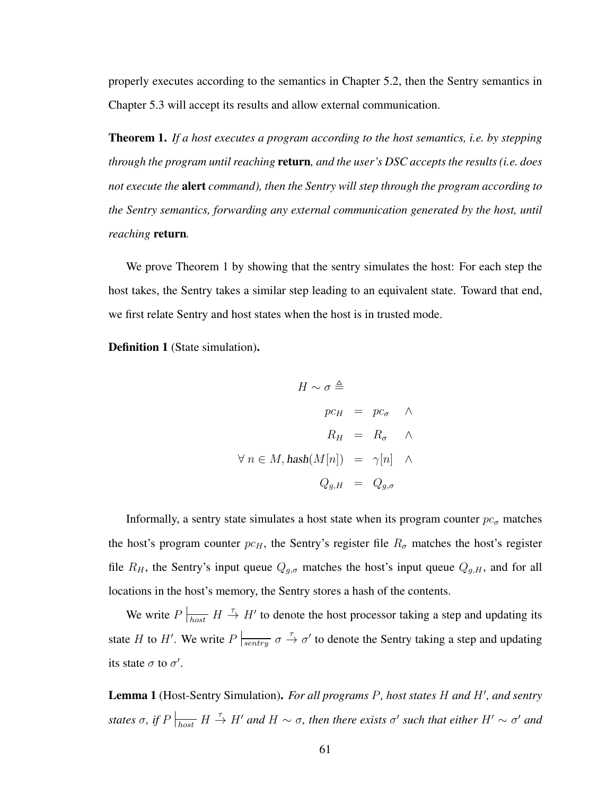properly executes according to the semantics in Chapter [5.2,](#page-66-0) then the Sentry semantics in Chapter [5.3](#page-69-0) will accept its results and allow external communication.

<span id="page-74-0"></span>Theorem 1. *If a host executes a program according to the host semantics, i.e. by stepping through the program until reaching* return*, and the user's DSC accepts the results (i.e. does not execute the* alert *command), then the Sentry will step through the program according to the Sentry semantics, forwarding any external communication generated by the host, until reaching* return*.*

We prove Theorem [1](#page-74-0) by showing that the sentry simulates the host: For each step the host takes, the Sentry takes a similar step leading to an equivalent state. Toward that end, we first relate Sentry and host states when the host is in trusted mode.

Definition 1 (State simulation).

$$
H \sim \sigma \triangleq
$$
  
\n
$$
pc_H = pc_{\sigma} \quad \wedge
$$
  
\n
$$
R_H = R_{\sigma} \quad \wedge
$$
  
\n
$$
\forall n \in M, \text{hash}(M[n]) = \gamma[n] \quad \wedge
$$
  
\n
$$
Q_{g,H} = Q_{g,\sigma}
$$

Informally, a sentry state simulates a host state when its program counter  $pc_{\sigma}$  matches the host's program counter  $pc_H$ , the Sentry's register file  $R_{\sigma}$  matches the host's register file  $R_H$ , the Sentry's input queue  $Q_{g,\sigma}$  matches the host's input queue  $Q_{g,H}$ , and for all locations in the host's memory, the Sentry stores a hash of the contents.

We write  $P\vert_{host}$   $H \stackrel{\tau}{\rightarrow} H'$  to denote the host processor taking a step and updating its state H to H'. We write  $P\vert_{\overline{sentry}} \sigma \stackrel{\tau}{\to} \sigma'$  to denote the Sentry taking a step and updating its state  $\sigma$  to  $\sigma'$ .

<span id="page-74-1"></span>Lemma 1 (Host-Sentry Simulation). For all programs P, host states H and H', and sentry *states*  $\sigma$ , if  $P\left|\frac{1}{\text{host}}\right. H \stackrel{\tau}{\to} H'$  and  $H\sim\sigma$ , then there exists  $\sigma'$  such that either  $H'\sim\sigma'$  and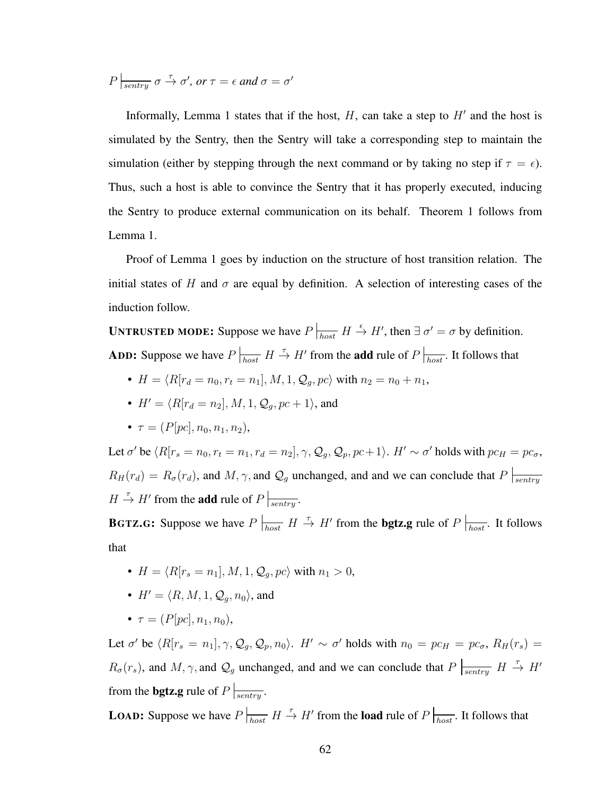$P\left| \frac{\partial f}{\partial s \partial x} \right| \sigma \stackrel{\tau}{\rightarrow} \sigma'$ , or  $\tau = \epsilon$  and  $\sigma = \sigma'$ 

Informally, Lemma [1](#page-74-1) states that if the host,  $H$ , can take a step to  $H'$  and the host is simulated by the Sentry, then the Sentry will take a corresponding step to maintain the simulation (either by stepping through the next command or by taking no step if  $\tau = \epsilon$ ). Thus, such a host is able to convince the Sentry that it has properly executed, inducing the Sentry to produce external communication on its behalf. Theorem [1](#page-74-0) follows from Lemma [1.](#page-74-1)

Proof of Lemma 1 goes by induction on the structure of host transition relation. The initial states of H and  $\sigma$  are equal by definition. A selection of interesting cases of the induction follow.

**UNTRUSTED MODE:** Suppose we have  $P \rvert_{host} H \overset{\epsilon}{\to} H'$ , then  $\exists \sigma' = \sigma$  by definition. **ADD:** Suppose we have  $P\left|_{host} H \stackrel{\tau}{\to} H'$  from the **add** rule of  $P\left|_{host}$ . It follows that

- $H = \langle R[r_d = n_0, r_t = n_1], M, 1, Q_q, pc \rangle$  with  $n_2 = n_0 + n_1$ ,
- $H' = \langle R[r_d = n_2], M, 1, Q_a, pc + 1 \rangle$ , and
- $\tau = (P[pc], n_0, n_1, n_2),$

Let  $\sigma'$  be  $\langle R[r_s = n_0, r_t = n_1, r_d = n_2], \gamma, \mathcal{Q}_g, \mathcal{Q}_p, pc+1 \rangle$ .  $H' \sim \sigma'$  holds with  $pc_H = pc_\sigma$ ,  $R_H(r_d) = R_{\sigma}(r_d)$ , and  $M, \gamma$ , and  $\mathcal{Q}_g$  unchanged, and and we can conclude that  $P|_{\text{sentry}}$  $H \stackrel{\tau}{\rightarrow} H'$  from the **add** rule of  $P \Big|_{\text{sentry}}$ .

**BGTZ.G:** Suppose we have  $P \mid_{host} H \to H'$  from the **bgtz.g** rule of  $P \mid_{host}$ . It follows that

- $H = \langle R[r_s = n_1], M, 1, \mathcal{Q}_a, pc \rangle$  with  $n_1 > 0$ ,
- $H' = \langle R, M, 1, \mathcal{Q}_a, n_0 \rangle$ , and
- $\tau = (P[pc], n_1, n_0)$ ,

Let  $\sigma'$  be  $\langle R[r_s = n_1], \gamma, Q_g, Q_p, n_0 \rangle$ .  $H' \sim \sigma'$  holds with  $n_0 = pc_H = pc_\sigma$ ,  $R_H(r_s) =$  $R_{\sigma}(r_s)$ , and  $M, \gamma$ , and  $\mathcal{Q}_g$  unchanged, and and we can conclude that  $P \mid_{sentry} H \to H'$ from the **bgtz.g** rule of  $P \Big|_{\text{sentry}}$ .

**LOAD:** Suppose we have  $P\vert_{host}$   $H \stackrel{\tau}{\rightarrow} H'$  from the **load** rule of  $P\vert_{host}$ . It follows that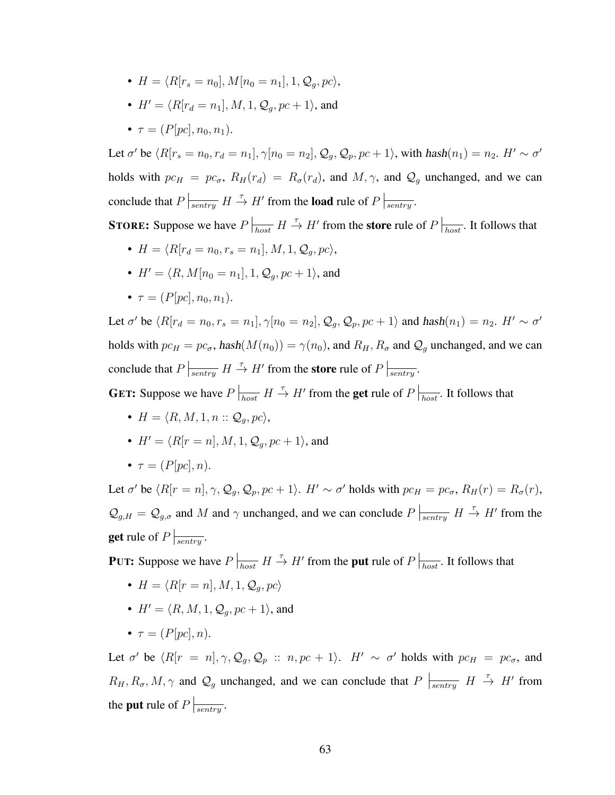- $H = \langle R[r_s = n_0], M[n_0 = n_1], 1, Q_a, pc \rangle$
- $H' = \langle R[r_d = n_1], M, 1, Q_a, pc + 1 \rangle$ , and
- $\tau = (P[pc], n_0, n_1)$ .

Let  $\sigma'$  be  $\langle R[r_s = n_0, r_d = n_1], \gamma[n_0 = n_2], \mathcal{Q}_g, \mathcal{Q}_p, pc + 1 \rangle$ , with  $hash(n_1) = n_2$ .  $H' \sim \sigma'$ holds with  $pc_H = pc_{\sigma}$ ,  $R_H(r_d) = R_{\sigma}(r_d)$ , and  $M, \gamma$ , and  $Q_g$  unchanged, and we can conclude that  $P\left| \frac{\tau}{\text{sentry}} H \to H'$  from the load rule of  $P\left| \frac{\tau}{\text{sentry}} \right.$ 

**STORE:** Suppose we have  $P\left| \frac{\tau}{\text{host}} \ H \to H'$  from the **store** rule of  $P\left| \frac{\tau}{\text{host}} \right.$  It follows that

- $H = \langle R[r_d = n_0, r_s = n_1], M, 1, \mathcal{Q}_q, pc \rangle,$
- $H' = \langle R, M[n_0 = n_1], 1, Q_a, pc + 1 \rangle$ , and
- $\tau = (P[pc], n_0, n_1)$ .

Let  $\sigma'$  be  $\langle R[r_d = n_0, r_s = n_1], \gamma[n_0 = n_2], Q_g, Q_p, pc + 1 \rangle$  and  $hash(n_1) = n_2$ .  $H' \sim \sigma'$ holds with  $pc_H = pc_{\sigma}$ , hash $(M(n_0)) = \gamma(n_0)$ , and  $R_H, R_{\sigma}$  and  $Q_g$  unchanged, and we can conclude that  $P\left|\frac{1}{\sqrt{2\pi}}\right|H \stackrel{\tau}{\to} H'$  from the store rule of  $P\left|\frac{1}{\sqrt{2\pi}}\right|$ .

**GET:** Suppose we have  $P \big|_{host}$   $H \stackrel{\tau}{\rightarrow} H'$  from the **get** rule of  $P \big|_{host}$ . It follows that

- $H = \langle R, M, 1, n :: \mathcal{Q}_a, pc \rangle$ ,
- $H' = \langle R[r = n], M, 1, \mathcal{Q}_q, pc + 1 \rangle$ , and
- $\tau = (P[nc], n)$ .

Let  $\sigma'$  be  $\langle R[r = n], \gamma, \mathcal{Q}_g, \mathcal{Q}_p, pc + 1 \rangle$ .  $H' \sim \sigma'$  holds with  $pc_H = pc_\sigma$ ,  $R_H(r) = R_\sigma(r)$ ,  $\mathcal{Q}_{g,H} = \mathcal{Q}_{g,\sigma}$  and M and  $\gamma$  unchanged, and we can conclude  $P \mid_{\text{sentry}} H \stackrel{\tau}{\to} H'$  from the **get** rule of  $P \Big|_{\text{sentrv}}$ .

**PUT:** Suppose we have  $P \big|_{host}$   $H \stackrel{\tau}{\rightarrow} H'$  from the **put** rule of  $P \big|_{host}$ . It follows that

- $H = \langle R[r = n], M, 1, \mathcal{Q}_a, pc \rangle$
- $H' = \langle R, M, 1, Q_a, pc + 1 \rangle$ , and
- $\tau = (P[nc], n)$ .

Let  $\sigma'$  be  $\langle R[r = n], \gamma, Q_g, Q_p$  ::  $n, pc + 1 \rangle$ .  $H' \sim \sigma'$  holds with  $pc_H = pc_{\sigma}$ , and  $R_H, R_{\sigma}, M, \gamma$  and  $\mathcal{Q}_g$  unchanged, and we can conclude that  $P \mid_{\text{sentry}} H \stackrel{\tau}{\to} H'$  from the **put** rule of  $P \Big|_{\text{sentrv}}$ .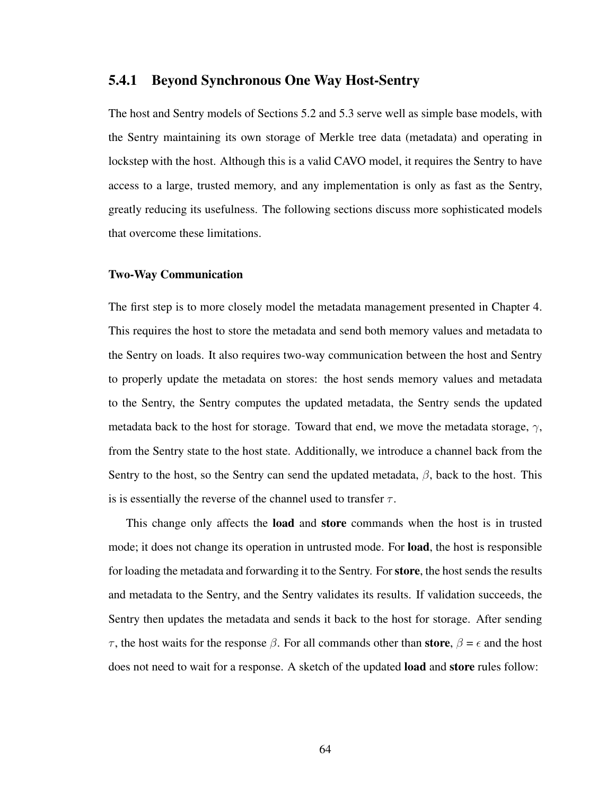#### 5.4.1 Beyond Synchronous One Way Host-Sentry

The host and Sentry models of Sections [5.2](#page-66-0) and [5.3](#page-69-0) serve well as simple base models, with the Sentry maintaining its own storage of Merkle tree data (metadata) and operating in lockstep with the host. Although this is a valid CAVO model, it requires the Sentry to have access to a large, trusted memory, and any implementation is only as fast as the Sentry, greatly reducing its usefulness. The following sections discuss more sophisticated models that overcome these limitations.

#### Two-Way Communication

The first step is to more closely model the metadata management presented in Chapter [4.](#page-45-0) This requires the host to store the metadata and send both memory values and metadata to the Sentry on loads. It also requires two-way communication between the host and Sentry to properly update the metadata on stores: the host sends memory values and metadata to the Sentry, the Sentry computes the updated metadata, the Sentry sends the updated metadata back to the host for storage. Toward that end, we move the metadata storage,  $\gamma$ , from the Sentry state to the host state. Additionally, we introduce a channel back from the Sentry to the host, so the Sentry can send the updated metadata,  $\beta$ , back to the host. This is is essentially the reverse of the channel used to transfer  $\tau$ .

This change only affects the **load** and **store** commands when the host is in trusted mode; it does not change its operation in untrusted mode. For load, the host is responsible for loading the metadata and forwarding it to the Sentry. For store, the host sends the results and metadata to the Sentry, and the Sentry validates its results. If validation succeeds, the Sentry then updates the metadata and sends it back to the host for storage. After sending τ, the host waits for the response  $\beta$ . For all commands other than **store**,  $\beta = \epsilon$  and the host does not need to wait for a response. A sketch of the updated **load** and **store** rules follow: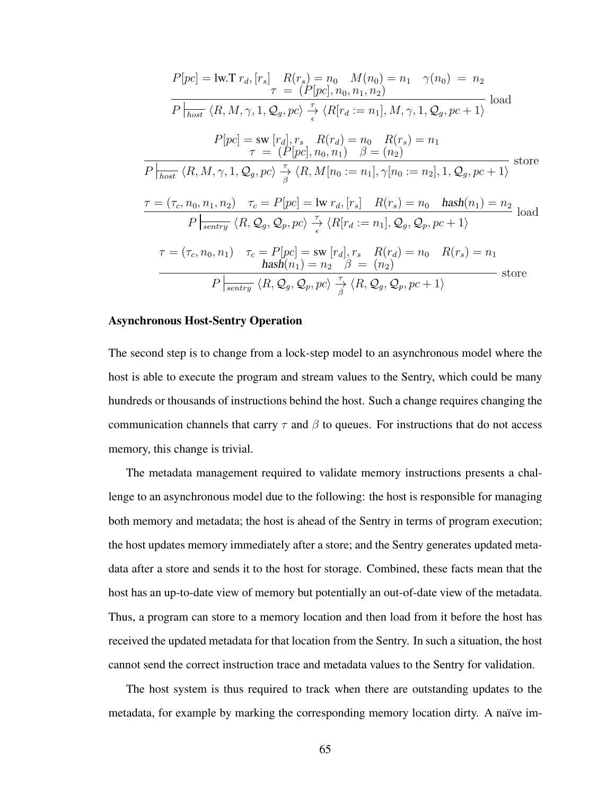$$
P[pc] = \text{lw}.\text{T } r_d, [r_s] \quad R(r_s) = n_0 \quad M(n_0) = n_1 \quad \gamma(n_0) = n_2
$$
\n
$$
\overline{r} = (P[pc], n_0, n_1, n_2)
$$
\n
$$
\overline{P|_{host}} \langle R, M, \gamma, 1, Q_g, pc \rangle \frac{\tau}{\epsilon} \langle R[r_d := n_1], M, \gamma, 1, Q_g, pc + 1 \rangle
$$
\nload\n
$$
P[pc] = \text{sw } [r_d], r_s \quad R(r_d) = n_0 \quad R(r_s) = n_1
$$
\n
$$
\overline{r} = (P[pc], n_0, n_1) \quad \beta = (n_2)
$$
\n
$$
\overline{P|_{host}} \langle R, M, \gamma, 1, Q_g, pc \rangle \frac{\tau}{\beta} \langle R, M[n_0 := n_1], \gamma[n_0 := n_2], 1, Q_g, pc + 1 \rangle
$$
\nstore\n
$$
\overline{r} = (\tau_c, n_0, n_1, n_2) \quad \tau_c = P[pc] = \text{lw } r_d, [r_s] \quad R(r_s) = n_0 \quad \text{hash}(n_1) = n_2
$$
\n
$$
\overline{P|_{sentry}} \langle R, Q_g, Q_p, pc \rangle \frac{\tau}{\epsilon} \langle R[r_d := n_1], Q_g, Q_p, pc + 1 \rangle
$$
\n
$$
\tau = (\tau_c, n_0, n_1) \quad \tau_c = P[pc] = \text{sw } [r_d], r_s \quad R(r_d) = n_0 \quad R(r_s) = n_1
$$
\nhash(n\_1) = n\_2 \quad \beta = (n\_2)\n
$$
\overline{P|_{sentry}} \langle R, Q_g, Q_p, pc \rangle \frac{\tau}{\beta} \langle R, Q_g, Q_p, pc + 1 \rangle
$$
\nstore

#### Asynchronous Host-Sentry Operation

The second step is to change from a lock-step model to an asynchronous model where the host is able to execute the program and stream values to the Sentry, which could be many hundreds or thousands of instructions behind the host. Such a change requires changing the communication channels that carry  $\tau$  and  $\beta$  to queues. For instructions that do not access memory, this change is trivial.

The metadata management required to validate memory instructions presents a challenge to an asynchronous model due to the following: the host is responsible for managing both memory and metadata; the host is ahead of the Sentry in terms of program execution; the host updates memory immediately after a store; and the Sentry generates updated metadata after a store and sends it to the host for storage. Combined, these facts mean that the host has an up-to-date view of memory but potentially an out-of-date view of the metadata. Thus, a program can store to a memory location and then load from it before the host has received the updated metadata for that location from the Sentry. In such a situation, the host cannot send the correct instruction trace and metadata values to the Sentry for validation.

The host system is thus required to track when there are outstanding updates to the metadata, for example by marking the corresponding memory location dirty. A naïve im-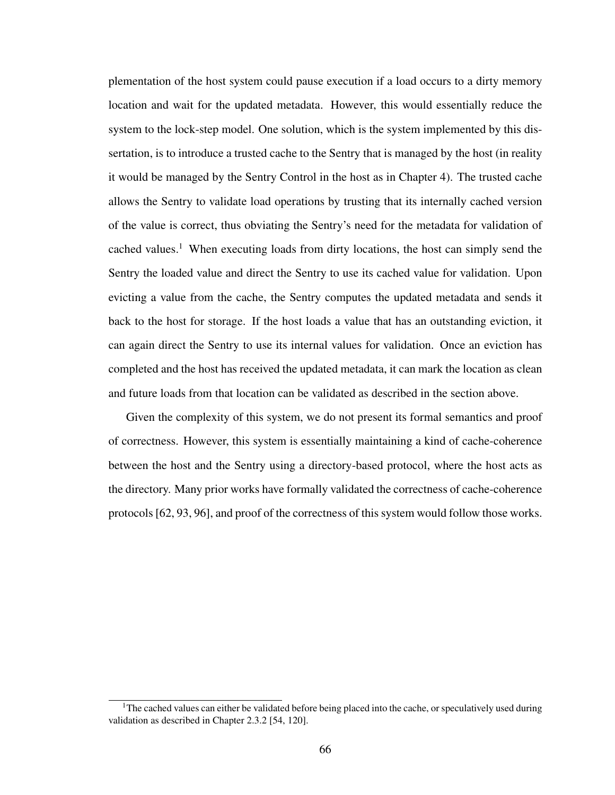plementation of the host system could pause execution if a load occurs to a dirty memory location and wait for the updated metadata. However, this would essentially reduce the system to the lock-step model. One solution, which is the system implemented by this dissertation, is to introduce a trusted cache to the Sentry that is managed by the host (in reality it would be managed by the Sentry Control in the host as in Chapter [4\)](#page-45-0). The trusted cache allows the Sentry to validate load operations by trusting that its internally cached version of the value is correct, thus obviating the Sentry's need for the metadata for validation of cached values.<sup>[1](#page-79-0)</sup> When executing loads from dirty locations, the host can simply send the Sentry the loaded value and direct the Sentry to use its cached value for validation. Upon evicting a value from the cache, the Sentry computes the updated metadata and sends it back to the host for storage. If the host loads a value that has an outstanding eviction, it can again direct the Sentry to use its internal values for validation. Once an eviction has completed and the host has received the updated metadata, it can mark the location as clean and future loads from that location can be validated as described in the section above.

Given the complexity of this system, we do not present its formal semantics and proof of correctness. However, this system is essentially maintaining a kind of cache-coherence between the host and the Sentry using a directory-based protocol, where the host acts as the directory. Many prior works have formally validated the correctness of cache-coherence protocols [\[62,](#page-107-0) [93,](#page-111-0) [96\]](#page-112-0), and proof of the correctness of this system would follow those works.

<span id="page-79-0"></span> $1$ The cached values can either be validated before being placed into the cache, or speculatively used during validation as described in Chapter [2.3.2](#page-29-0) [\[54,](#page-106-0) [120\]](#page-115-0).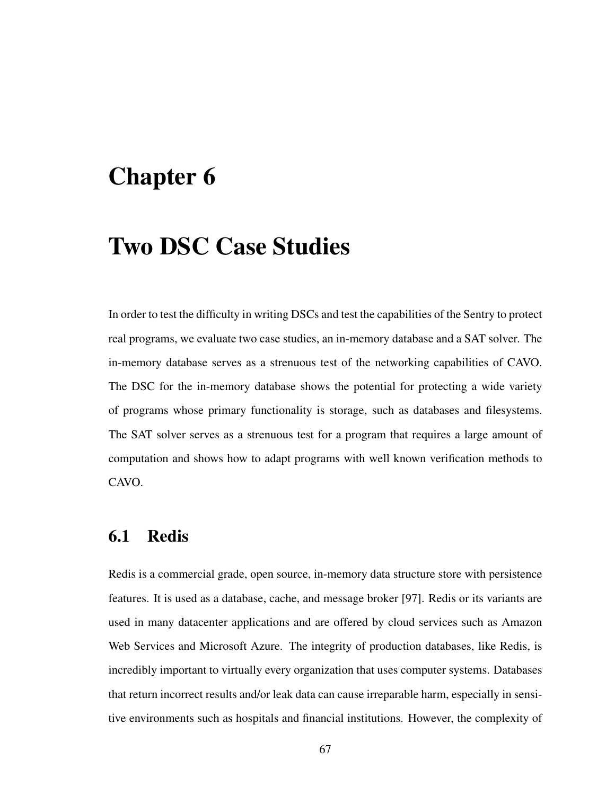# Chapter 6

## Two DSC Case Studies

In order to test the difficulty in writing DSCs and test the capabilities of the Sentry to protect real programs, we evaluate two case studies, an in-memory database and a SAT solver. The in-memory database serves as a strenuous test of the networking capabilities of CAVO. The DSC for the in-memory database shows the potential for protecting a wide variety of programs whose primary functionality is storage, such as databases and filesystems. The SAT solver serves as a strenuous test for a program that requires a large amount of computation and shows how to adapt programs with well known verification methods to CAVO.

## 6.1 Redis

Redis is a commercial grade, open source, in-memory data structure store with persistence features. It is used as a database, cache, and message broker [\[97\]](#page-112-1). Redis or its variants are used in many datacenter applications and are offered by cloud services such as Amazon Web Services and Microsoft Azure. The integrity of production databases, like Redis, is incredibly important to virtually every organization that uses computer systems. Databases that return incorrect results and/or leak data can cause irreparable harm, especially in sensitive environments such as hospitals and financial institutions. However, the complexity of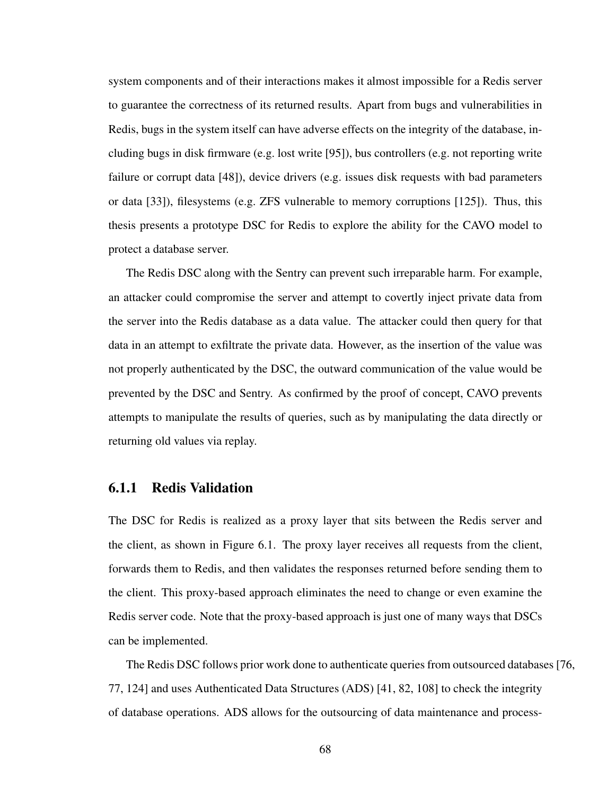system components and of their interactions makes it almost impossible for a Redis server to guarantee the correctness of its returned results. Apart from bugs and vulnerabilities in Redis, bugs in the system itself can have adverse effects on the integrity of the database, including bugs in disk firmware (e.g. lost write [\[95\]](#page-111-1)), bus controllers (e.g. not reporting write failure or corrupt data [\[48\]](#page-105-0)), device drivers (e.g. issues disk requests with bad parameters or data [\[33\]](#page-104-0)), filesystems (e.g. ZFS vulnerable to memory corruptions [\[125\]](#page-115-1)). Thus, this thesis presents a prototype DSC for Redis to explore the ability for the CAVO model to protect a database server.

The Redis DSC along with the Sentry can prevent such irreparable harm. For example, an attacker could compromise the server and attempt to covertly inject private data from the server into the Redis database as a data value. The attacker could then query for that data in an attempt to exfiltrate the private data. However, as the insertion of the value was not properly authenticated by the DSC, the outward communication of the value would be prevented by the DSC and Sentry. As confirmed by the proof of concept, CAVO prevents attempts to manipulate the results of queries, such as by manipulating the data directly or returning old values via replay.

### <span id="page-81-0"></span>6.1.1 Redis Validation

The DSC for Redis is realized as a proxy layer that sits between the Redis server and the client, as shown in Figure [6.1.](#page-82-0) The proxy layer receives all requests from the client, forwards them to Redis, and then validates the responses returned before sending them to the client. This proxy-based approach eliminates the need to change or even examine the Redis server code. Note that the proxy-based approach is just one of many ways that DSCs can be implemented.

The Redis DSC follows prior work done to authenticate queries from outsourced databases [\[76,](#page-109-0) [77,](#page-109-1) [124\]](#page-115-2) and uses Authenticated Data Structures (ADS) [\[41,](#page-105-1) [82,](#page-110-0) [108\]](#page-113-0) to check the integrity of database operations. ADS allows for the outsourcing of data maintenance and process-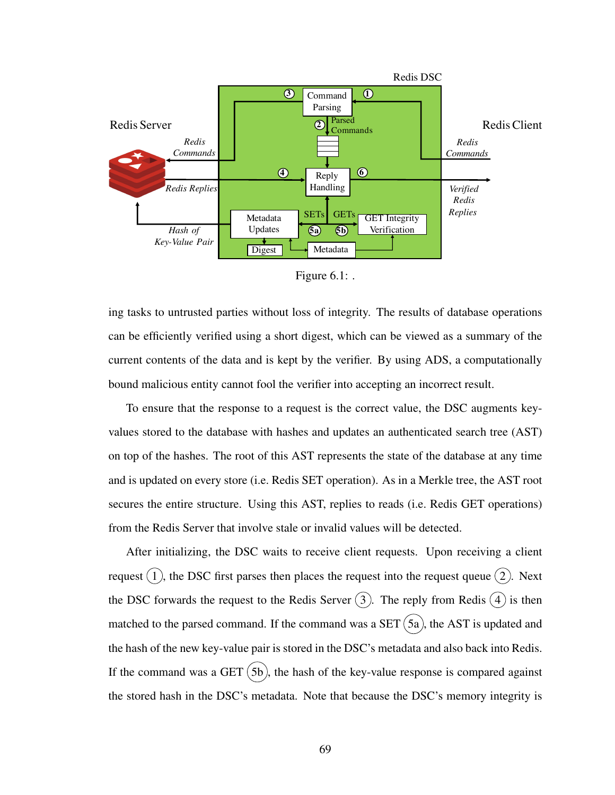<span id="page-82-0"></span>

Figure 6.1: .

ing tasks to untrusted parties without loss of integrity. The results of database operations can be efficiently verified using a short digest, which can be viewed as a summary of the current contents of the data and is kept by the verifier. By using ADS, a computationally bound malicious entity cannot fool the verifier into accepting an incorrect result.

To ensure that the response to a request is the correct value, the DSC augments keyvalues stored to the database with hashes and updates an authenticated search tree (AST) on top of the hashes. The root of this AST represents the state of the database at any time and is updated on every store (i.e. Redis SET operation). As in a Merkle tree, the AST root secures the entire structure. Using this AST, replies to reads (i.e. Redis GET operations) from the Redis Server that involve stale or invalid values will be detected.

After initializing, the DSC waits to receive client requests. Upon receiving a client request  $(1)$ , the DSC first parses then places the request into the request queue  $(2)$ . Next the DSC forwards the request to the Redis Server  $(3)$ . The reply from Redis  $(4)$  is then matched to the parsed command. If the command was a  $SET(5a)$ , the AST is updated and the hash of the new key-value pair is stored in the DSC's metadata and also back into Redis. If the command was a GET  $(5b)$ , the hash of the key-value response is compared against the stored hash in the DSC's metadata. Note that because the DSC's memory integrity is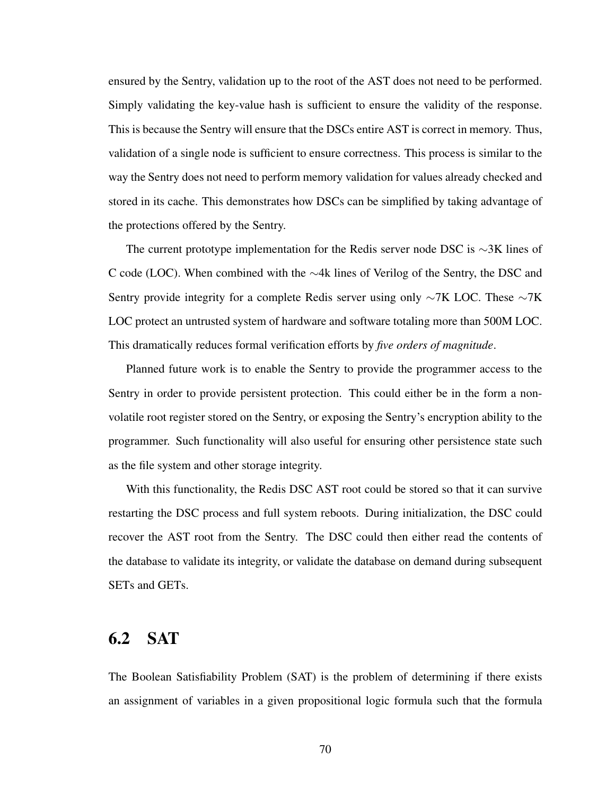ensured by the Sentry, validation up to the root of the AST does not need to be performed. Simply validating the key-value hash is sufficient to ensure the validity of the response. This is because the Sentry will ensure that the DSCs entire AST is correct in memory. Thus, validation of a single node is sufficient to ensure correctness. This process is similar to the way the Sentry does not need to perform memory validation for values already checked and stored in its cache. This demonstrates how DSCs can be simplified by taking advantage of the protections offered by the Sentry.

The current prototype implementation for the Redis server node DSC is ∼3K lines of C code (LOC). When combined with the ∼4k lines of Verilog of the Sentry, the DSC and Sentry provide integrity for a complete Redis server using only ∼7K LOC. These ∼7K LOC protect an untrusted system of hardware and software totaling more than 500M LOC. This dramatically reduces formal verification efforts by *five orders of magnitude*.

Planned future work is to enable the Sentry to provide the programmer access to the Sentry in order to provide persistent protection. This could either be in the form a nonvolatile root register stored on the Sentry, or exposing the Sentry's encryption ability to the programmer. Such functionality will also useful for ensuring other persistence state such as the file system and other storage integrity.

With this functionality, the Redis DSC AST root could be stored so that it can survive restarting the DSC process and full system reboots. During initialization, the DSC could recover the AST root from the Sentry. The DSC could then either read the contents of the database to validate its integrity, or validate the database on demand during subsequent SETs and GETs.

## <span id="page-83-0"></span>6.2 SAT

The Boolean Satisfiability Problem (SAT) is the problem of determining if there exists an assignment of variables in a given propositional logic formula such that the formula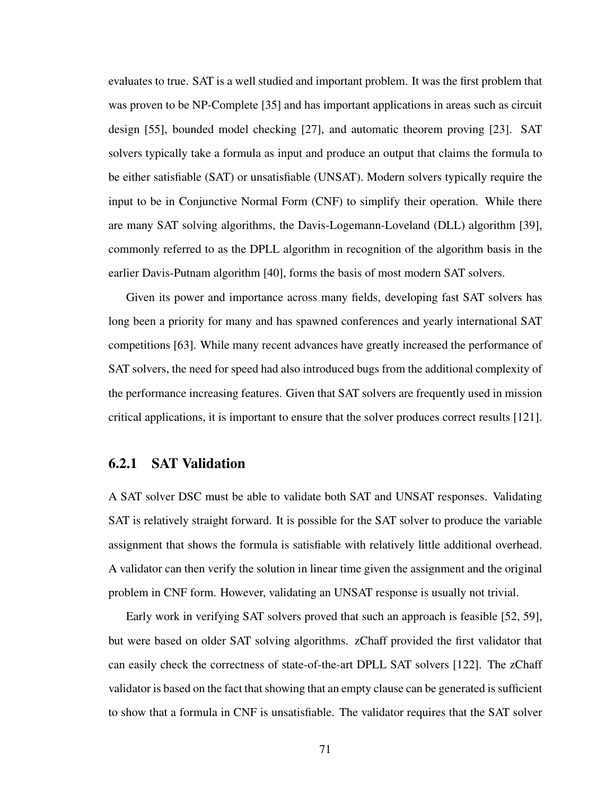evaluates to true. SAT is a well studied and important problem. It was the first problem that was proven to be NP-Complete [\[35\]](#page-104-1) and has important applications in areas such as circuit design [\[55\]](#page-106-1), bounded model checking [\[27\]](#page-103-0), and automatic theorem proving [\[23\]](#page-102-0). SAT solvers typically take a formula as input and produce an output that claims the formula to be either satisfiable (SAT) or unsatisfiable (UNSAT). Modern solvers typically require the input to be in Conjunctive Normal Form (CNF) to simplify their operation. While there are many SAT solving algorithms, the Davis-Logemann-Loveland (DLL) algorithm [\[39\]](#page-104-2), commonly referred to as the DPLL algorithm in recognition of the algorithm basis in the earlier Davis-Putnam algorithm [\[40\]](#page-105-2), forms the basis of most modern SAT solvers.

Given its power and importance across many fields, developing fast SAT solvers has long been a priority for many and has spawned conferences and yearly international SAT competitions [\[63\]](#page-107-1). While many recent advances have greatly increased the performance of SAT solvers, the need for speed had also introduced bugs from the additional complexity of the performance increasing features. Given that SAT solvers are frequently used in mission critical applications, it is important to ensure that the solver produces correct results [\[121\]](#page-115-3).

### 6.2.1 SAT Validation

A SAT solver DSC must be able to validate both SAT and UNSAT responses. Validating SAT is relatively straight forward. It is possible for the SAT solver to produce the variable assignment that shows the formula is satisfiable with relatively little additional overhead. A validator can then verify the solution in linear time given the assignment and the original problem in CNF form. However, validating an UNSAT response is usually not trivial.

Early work in verifying SAT solvers proved that such an approach is feasible [\[52,](#page-106-2) [59\]](#page-107-2), but were based on older SAT solving algorithms. zChaff provided the first validator that can easily check the correctness of state-of-the-art DPLL SAT solvers [\[122\]](#page-115-4). The zChaff validator is based on the fact that showing that an empty clause can be generated is sufficient to show that a formula in CNF is unsatisfiable. The validator requires that the SAT solver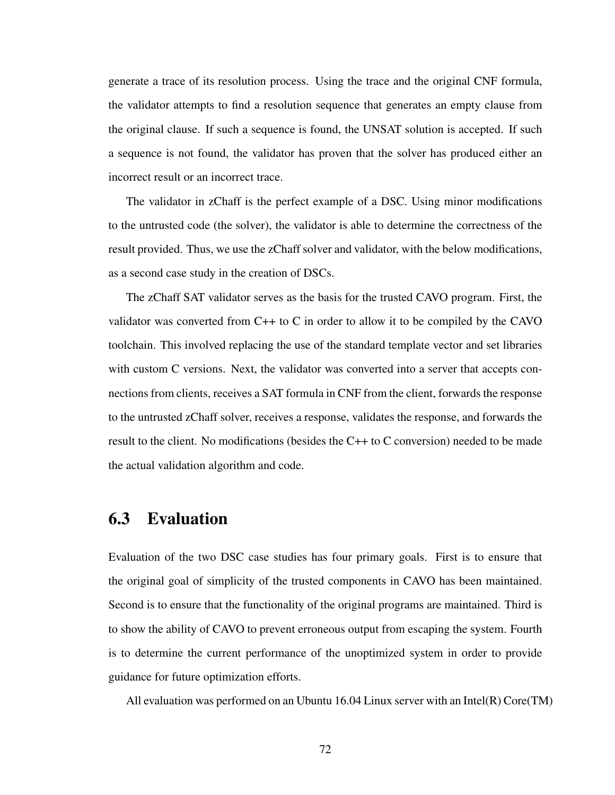generate a trace of its resolution process. Using the trace and the original CNF formula, the validator attempts to find a resolution sequence that generates an empty clause from the original clause. If such a sequence is found, the UNSAT solution is accepted. If such a sequence is not found, the validator has proven that the solver has produced either an incorrect result or an incorrect trace.

The validator in zChaff is the perfect example of a DSC. Using minor modifications to the untrusted code (the solver), the validator is able to determine the correctness of the result provided. Thus, we use the zChaff solver and validator, with the below modifications, as a second case study in the creation of DSCs.

The zChaff SAT validator serves as the basis for the trusted CAVO program. First, the validator was converted from C++ to C in order to allow it to be compiled by the CAVO toolchain. This involved replacing the use of the standard template vector and set libraries with custom C versions. Next, the validator was converted into a server that accepts connections from clients, receives a SAT formula in CNF from the client, forwards the response to the untrusted zChaff solver, receives a response, validates the response, and forwards the result to the client. No modifications (besides the C++ to C conversion) needed to be made the actual validation algorithm and code.

## <span id="page-85-0"></span>6.3 Evaluation

Evaluation of the two DSC case studies has four primary goals. First is to ensure that the original goal of simplicity of the trusted components in CAVO has been maintained. Second is to ensure that the functionality of the original programs are maintained. Third is to show the ability of CAVO to prevent erroneous output from escaping the system. Fourth is to determine the current performance of the unoptimized system in order to provide guidance for future optimization efforts.

All evaluation was performed on an Ubuntu 16.04 Linux server with an Intel(R) Core(TM)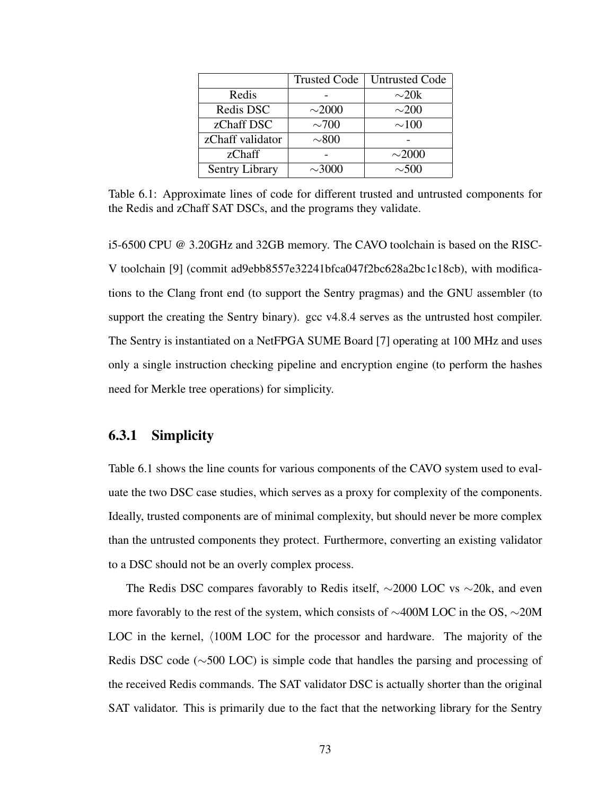<span id="page-86-0"></span>

|                       | <b>Trusted Code</b> | <b>Untrusted Code</b> |  |  |
|-----------------------|---------------------|-----------------------|--|--|
| Redis                 |                     | $\sim20k$             |  |  |
| Redis DSC             | $\sim$ 2000         | $\sim$ 200            |  |  |
| zChaff DSC            | $\sim$ 700          | $\sim\!\!100$         |  |  |
| zChaff validator      | $\sim\!\!800$       |                       |  |  |
| zChaff                |                     | $\sim$ 2000           |  |  |
| <b>Sentry Library</b> | $\sim$ 3000         | $\sim 500$            |  |  |

Table 6.1: Approximate lines of code for different trusted and untrusted components for the Redis and zChaff SAT DSCs, and the programs they validate.

i5-6500 CPU @ 3.20GHz and 32GB memory. The CAVO toolchain is based on the RISC-V toolchain [\[9\]](#page-101-0) (commit ad9ebb8557e32241bfca047f2bc628a2bc1c18cb), with modifications to the Clang front end (to support the Sentry pragmas) and the GNU assembler (to support the creating the Sentry binary). gcc v4.8.4 serves as the untrusted host compiler. The Sentry is instantiated on a NetFPGA SUME Board [\[7\]](#page-100-0) operating at 100 MHz and uses only a single instruction checking pipeline and encryption engine (to perform the hashes need for Merkle tree operations) for simplicity.

### 6.3.1 Simplicity

Table [6.1](#page-86-0) shows the line counts for various components of the CAVO system used to evaluate the two DSC case studies, which serves as a proxy for complexity of the components. Ideally, trusted components are of minimal complexity, but should never be more complex than the untrusted components they protect. Furthermore, converting an existing validator to a DSC should not be an overly complex process.

The Redis DSC compares favorably to Redis itself, ∼2000 LOC vs ∼20k, and even more favorably to the rest of the system, which consists of ∼400M LOC in the OS, ∼20M LOC in the kernel,  $\langle 100M$  LOC for the processor and hardware. The majority of the Redis DSC code (∼500 LOC) is simple code that handles the parsing and processing of the received Redis commands. The SAT validator DSC is actually shorter than the original SAT validator. This is primarily due to the fact that the networking library for the Sentry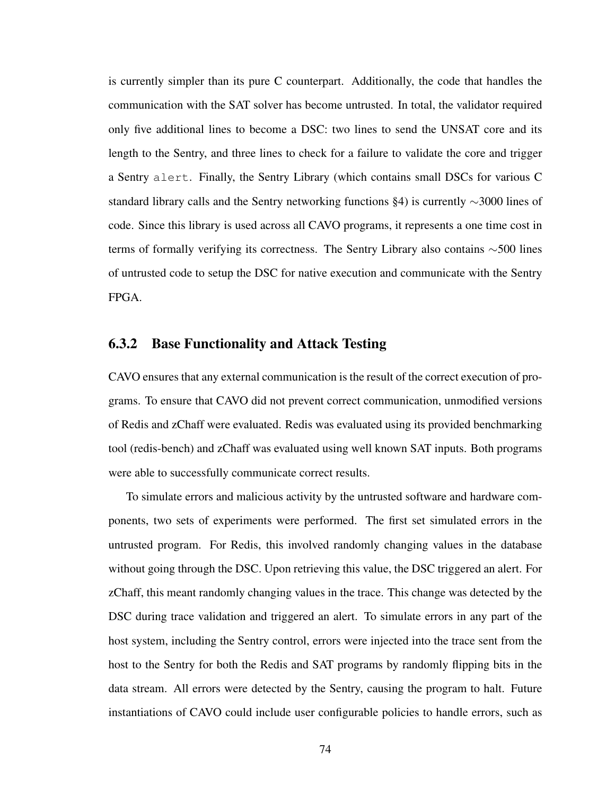is currently simpler than its pure C counterpart. Additionally, the code that handles the communication with the SAT solver has become untrusted. In total, the validator required only five additional lines to become a DSC: two lines to send the UNSAT core and its length to the Sentry, and three lines to check for a failure to validate the core and trigger a Sentry alert. Finally, the Sentry Library (which contains small DSCs for various C standard library calls and the Sentry networking functions [§4\)](#page-45-0) is currently ∼3000 lines of code. Since this library is used across all CAVO programs, it represents a one time cost in terms of formally verifying its correctness. The Sentry Library also contains ∼500 lines of untrusted code to setup the DSC for native execution and communicate with the Sentry FPGA.

#### 6.3.2 Base Functionality and Attack Testing

CAVO ensures that any external communication is the result of the correct execution of programs. To ensure that CAVO did not prevent correct communication, unmodified versions of Redis and zChaff were evaluated. Redis was evaluated using its provided benchmarking tool (redis-bench) and zChaff was evaluated using well known SAT inputs. Both programs were able to successfully communicate correct results.

To simulate errors and malicious activity by the untrusted software and hardware components, two sets of experiments were performed. The first set simulated errors in the untrusted program. For Redis, this involved randomly changing values in the database without going through the DSC. Upon retrieving this value, the DSC triggered an alert. For zChaff, this meant randomly changing values in the trace. This change was detected by the DSC during trace validation and triggered an alert. To simulate errors in any part of the host system, including the Sentry control, errors were injected into the trace sent from the host to the Sentry for both the Redis and SAT programs by randomly flipping bits in the data stream. All errors were detected by the Sentry, causing the program to halt. Future instantiations of CAVO could include user configurable policies to handle errors, such as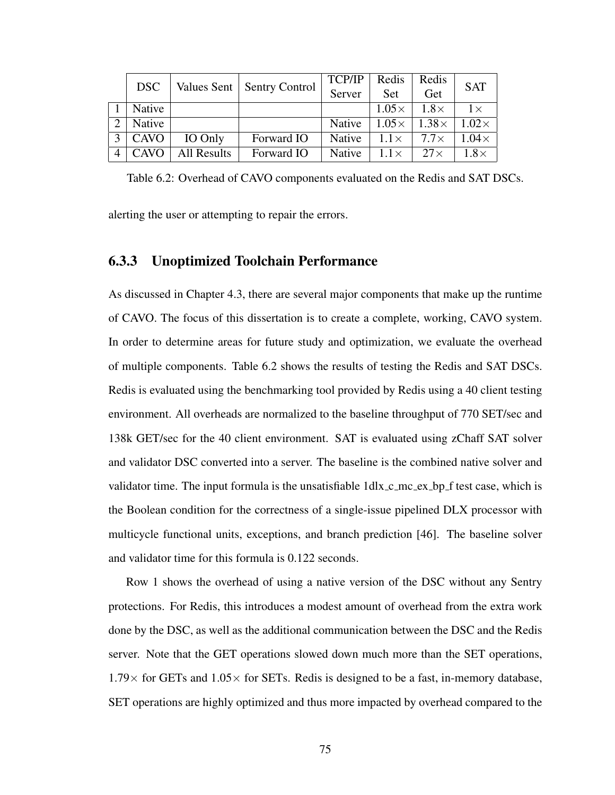<span id="page-88-0"></span>

|               | <b>DSC</b>    |                              |            | <b>TCP/IP</b> | Redis        | Redis        | <b>SAT</b>   |
|---------------|---------------|------------------------------|------------|---------------|--------------|--------------|--------------|
|               |               | Values Sent   Sentry Control | Server     | Set           | Get          |              |              |
|               | <b>Native</b> |                              |            |               | $1.05\times$ | $1.8\times$  | $1\times$    |
| $\mathcal{D}$ | Native        |                              |            | Native        | $1.05\times$ | $1.38\times$ | $1.02\times$ |
| $\mathbf 2$   | <b>CAVO</b>   | IO Only                      | Forward IO | <b>Native</b> | $1.1\times$  | $7.7\times$  | $1.04\times$ |
| 4             | CAVO          | <b>All Results</b>           | Forward IO | <b>Native</b> | $1.1\times$  | $27\times$   | $1.8\times$  |

Table 6.2: Overhead of CAVO components evaluated on the Redis and SAT DSCs.

alerting the user or attempting to repair the errors.

### 6.3.3 Unoptimized Toolchain Performance

As discussed in Chapter [4.3,](#page-55-0) there are several major components that make up the runtime of CAVO. The focus of this dissertation is to create a complete, working, CAVO system. In order to determine areas for future study and optimization, we evaluate the overhead of multiple components. Table [6.2](#page-88-0) shows the results of testing the Redis and SAT DSCs. Redis is evaluated using the benchmarking tool provided by Redis using a 40 client testing environment. All overheads are normalized to the baseline throughput of 770 SET/sec and 138k GET/sec for the 40 client environment. SAT is evaluated using zChaff SAT solver and validator DSC converted into a server. The baseline is the combined native solver and validator time. The input formula is the unsatisfiable  $1$ dlx $\_{c}$ mc $\_{ex}$  $\_{bp}$  f test case, which is the Boolean condition for the correctness of a single-issue pipelined DLX processor with multicycle functional units, exceptions, and branch prediction [\[46\]](#page-105-3). The baseline solver and validator time for this formula is 0.122 seconds.

Row 1 shows the overhead of using a native version of the DSC without any Sentry protections. For Redis, this introduces a modest amount of overhead from the extra work done by the DSC, as well as the additional communication between the DSC and the Redis server. Note that the GET operations slowed down much more than the SET operations,  $1.79\times$  for GETs and  $1.05\times$  for SETs. Redis is designed to be a fast, in-memory database, SET operations are highly optimized and thus more impacted by overhead compared to the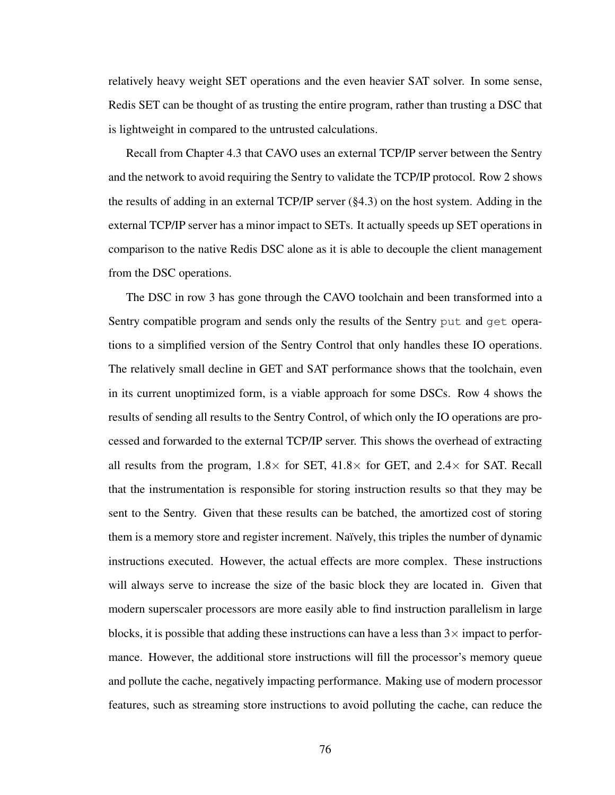relatively heavy weight SET operations and the even heavier SAT solver. In some sense, Redis SET can be thought of as trusting the entire program, rather than trusting a DSC that is lightweight in compared to the untrusted calculations.

Recall from Chapter [4.3](#page-55-0) that CAVO uses an external TCP/IP server between the Sentry and the network to avoid requiring the Sentry to validate the TCP/IP protocol. Row 2 shows the results of adding in an external TCP/IP server  $(\S 4.3)$  on the host system. Adding in the external TCP/IP server has a minor impact to SETs. It actually speeds up SET operations in comparison to the native Redis DSC alone as it is able to decouple the client management from the DSC operations.

The DSC in row 3 has gone through the CAVO toolchain and been transformed into a Sentry compatible program and sends only the results of the Sentry put and get operations to a simplified version of the Sentry Control that only handles these IO operations. The relatively small decline in GET and SAT performance shows that the toolchain, even in its current unoptimized form, is a viable approach for some DSCs. Row 4 shows the results of sending all results to the Sentry Control, of which only the IO operations are processed and forwarded to the external TCP/IP server. This shows the overhead of extracting all results from the program,  $1.8 \times$  for SET,  $41.8 \times$  for GET, and  $2.4 \times$  for SAT. Recall that the instrumentation is responsible for storing instruction results so that they may be sent to the Sentry. Given that these results can be batched, the amortized cost of storing them is a memory store and register increment. Naïvely, this triples the number of dynamic instructions executed. However, the actual effects are more complex. These instructions will always serve to increase the size of the basic block they are located in. Given that modern superscaler processors are more easily able to find instruction parallelism in large blocks, it is possible that adding these instructions can have a less than  $3\times$  impact to performance. However, the additional store instructions will fill the processor's memory queue and pollute the cache, negatively impacting performance. Making use of modern processor features, such as streaming store instructions to avoid polluting the cache, can reduce the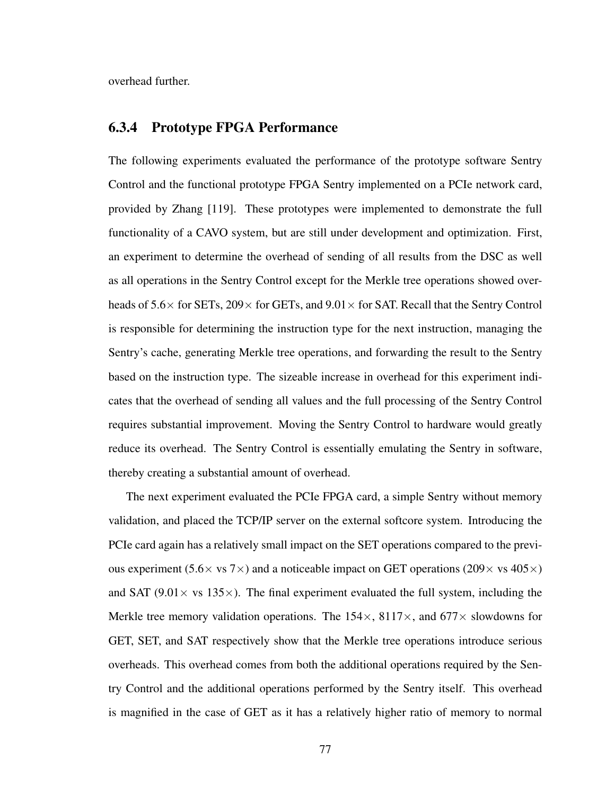overhead further.

### 6.3.4 Prototype FPGA Performance

The following experiments evaluated the performance of the prototype software Sentry Control and the functional prototype FPGA Sentry implemented on a PCIe network card, provided by Zhang [\[119\]](#page-114-0). These prototypes were implemented to demonstrate the full functionality of a CAVO system, but are still under development and optimization. First, an experiment to determine the overhead of sending of all results from the DSC as well as all operations in the Sentry Control except for the Merkle tree operations showed overheads of  $5.6\times$  for SETs,  $209\times$  for GETs, and  $9.01\times$  for SAT. Recall that the Sentry Control is responsible for determining the instruction type for the next instruction, managing the Sentry's cache, generating Merkle tree operations, and forwarding the result to the Sentry based on the instruction type. The sizeable increase in overhead for this experiment indicates that the overhead of sending all values and the full processing of the Sentry Control requires substantial improvement. Moving the Sentry Control to hardware would greatly reduce its overhead. The Sentry Control is essentially emulating the Sentry in software, thereby creating a substantial amount of overhead.

The next experiment evaluated the PCIe FPGA card, a simple Sentry without memory validation, and placed the TCP/IP server on the external softcore system. Introducing the PCIe card again has a relatively small impact on the SET operations compared to the previous experiment (5.6 $\times$  vs 7 $\times$ ) and a noticeable impact on GET operations (209 $\times$  vs 405 $\times$ ) and SAT (9.01 $\times$  vs 135 $\times$ ). The final experiment evaluated the full system, including the Merkle tree memory validation operations. The  $154\times$ ,  $8117\times$ , and  $677\times$  slowdowns for GET, SET, and SAT respectively show that the Merkle tree operations introduce serious overheads. This overhead comes from both the additional operations required by the Sentry Control and the additional operations performed by the Sentry itself. This overhead is magnified in the case of GET as it has a relatively higher ratio of memory to normal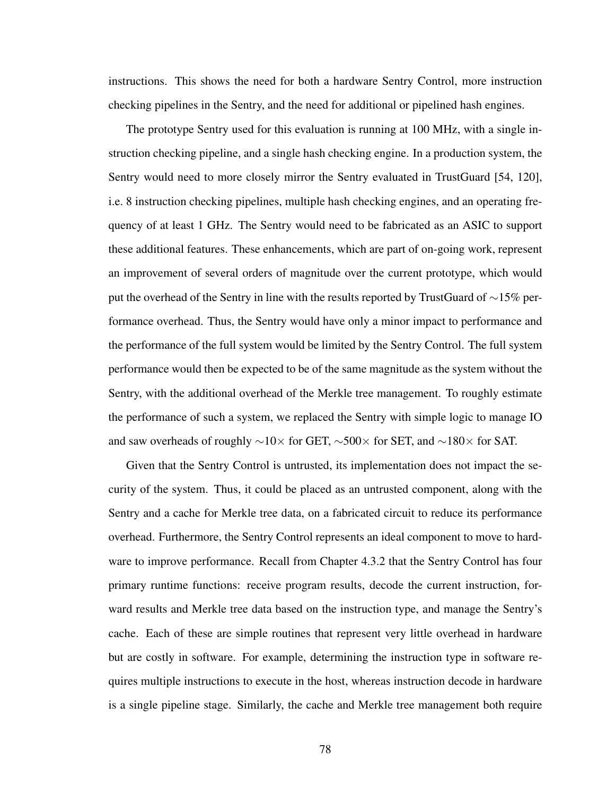instructions. This shows the need for both a hardware Sentry Control, more instruction checking pipelines in the Sentry, and the need for additional or pipelined hash engines.

The prototype Sentry used for this evaluation is running at 100 MHz, with a single instruction checking pipeline, and a single hash checking engine. In a production system, the Sentry would need to more closely mirror the Sentry evaluated in TrustGuard [\[54,](#page-106-0) [120\]](#page-115-0), i.e. 8 instruction checking pipelines, multiple hash checking engines, and an operating frequency of at least 1 GHz. The Sentry would need to be fabricated as an ASIC to support these additional features. These enhancements, which are part of on-going work, represent an improvement of several orders of magnitude over the current prototype, which would put the overhead of the Sentry in line with the results reported by TrustGuard of ∼15% performance overhead. Thus, the Sentry would have only a minor impact to performance and the performance of the full system would be limited by the Sentry Control. The full system performance would then be expected to be of the same magnitude as the system without the Sentry, with the additional overhead of the Merkle tree management. To roughly estimate the performance of such a system, we replaced the Sentry with simple logic to manage IO and saw overheads of roughly  $\sim$ 10× for GET,  $\sim$ 500× for SET, and  $\sim$ 180× for SAT.

Given that the Sentry Control is untrusted, its implementation does not impact the security of the system. Thus, it could be placed as an untrusted component, along with the Sentry and a cache for Merkle tree data, on a fabricated circuit to reduce its performance overhead. Furthermore, the Sentry Control represents an ideal component to move to hardware to improve performance. Recall from Chapter [4.3.2](#page-57-0) that the Sentry Control has four primary runtime functions: receive program results, decode the current instruction, forward results and Merkle tree data based on the instruction type, and manage the Sentry's cache. Each of these are simple routines that represent very little overhead in hardware but are costly in software. For example, determining the instruction type in software requires multiple instructions to execute in the host, whereas instruction decode in hardware is a single pipeline stage. Similarly, the cache and Merkle tree management both require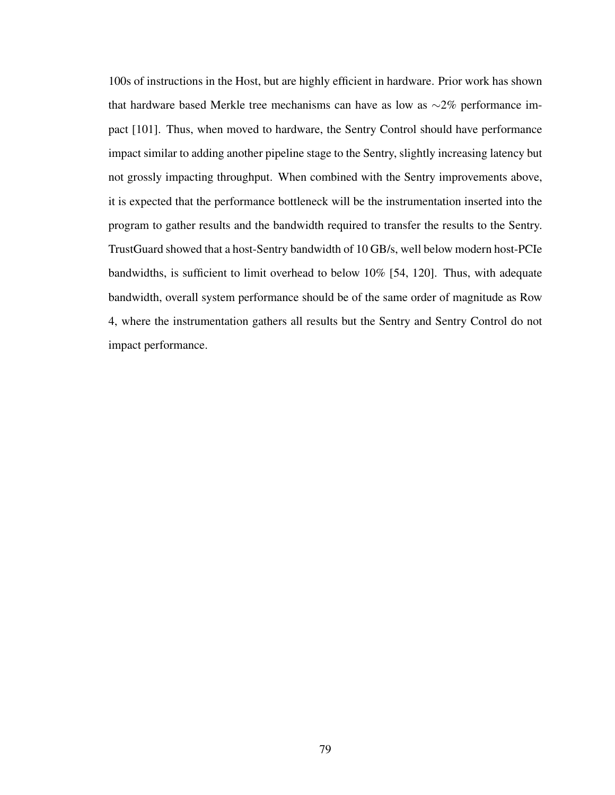100s of instructions in the Host, but are highly efficient in hardware. Prior work has shown that hardware based Merkle tree mechanisms can have as low as  $\sim$ 2% performance impact [\[101\]](#page-112-2). Thus, when moved to hardware, the Sentry Control should have performance impact similar to adding another pipeline stage to the Sentry, slightly increasing latency but not grossly impacting throughput. When combined with the Sentry improvements above, it is expected that the performance bottleneck will be the instrumentation inserted into the program to gather results and the bandwidth required to transfer the results to the Sentry. TrustGuard showed that a host-Sentry bandwidth of 10 GB/s, well below modern host-PCIe bandwidths, is sufficient to limit overhead to below 10% [\[54,](#page-106-0) [120\]](#page-115-0). Thus, with adequate bandwidth, overall system performance should be of the same order of magnitude as Row 4, where the instrumentation gathers all results but the Sentry and Sentry Control do not impact performance.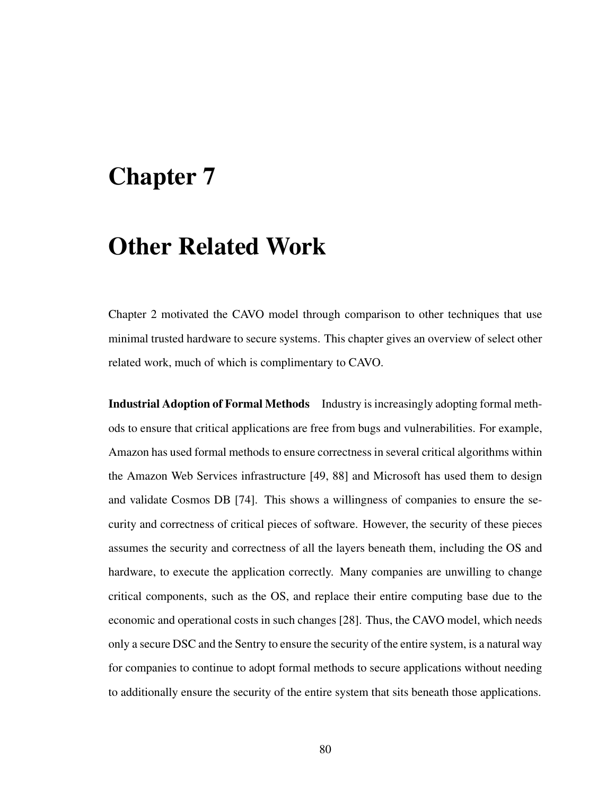## Chapter 7

## Other Related Work

Chapter [2](#page-23-0) motivated the CAVO model through comparison to other techniques that use minimal trusted hardware to secure systems. This chapter gives an overview of select other related work, much of which is complimentary to CAVO.

Industrial Adoption of Formal Methods Industry is increasingly adopting formal methods to ensure that critical applications are free from bugs and vulnerabilities. For example, Amazon has used formal methods to ensure correctness in several critical algorithms within the Amazon Web Services infrastructure [\[49,](#page-106-3) [88\]](#page-111-2) and Microsoft has used them to design and validate Cosmos DB [\[74\]](#page-109-2). This shows a willingness of companies to ensure the security and correctness of critical pieces of software. However, the security of these pieces assumes the security and correctness of all the layers beneath them, including the OS and hardware, to execute the application correctly. Many companies are unwilling to change critical components, such as the OS, and replace their entire computing base due to the economic and operational costs in such changes [\[28\]](#page-103-1). Thus, the CAVO model, which needs only a secure DSC and the Sentry to ensure the security of the entire system, is a natural way for companies to continue to adopt formal methods to secure applications without needing to additionally ensure the security of the entire system that sits beneath those applications.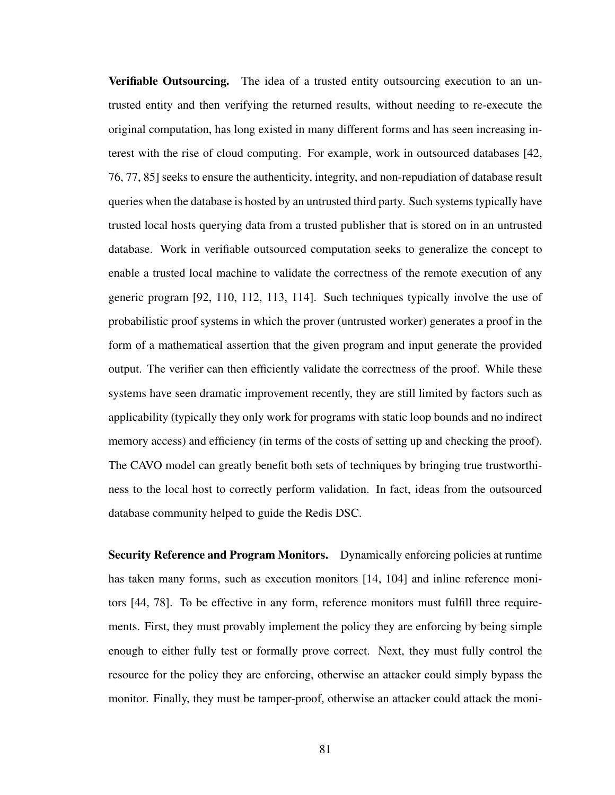Verifiable Outsourcing. The idea of a trusted entity outsourcing execution to an untrusted entity and then verifying the returned results, without needing to re-execute the original computation, has long existed in many different forms and has seen increasing interest with the rise of cloud computing. For example, work in outsourced databases [\[42,](#page-105-4) [76,](#page-109-0) [77,](#page-109-1) [85\]](#page-110-1) seeks to ensure the authenticity, integrity, and non-repudiation of database result queries when the database is hosted by an untrusted third party. Such systems typically have trusted local hosts querying data from a trusted publisher that is stored on in an untrusted database. Work in verifiable outsourced computation seeks to generalize the concept to enable a trusted local machine to validate the correctness of the remote execution of any generic program [\[92,](#page-111-3) [110,](#page-113-1) [112,](#page-113-2) [113,](#page-114-1) [114\]](#page-114-2). Such techniques typically involve the use of probabilistic proof systems in which the prover (untrusted worker) generates a proof in the form of a mathematical assertion that the given program and input generate the provided output. The verifier can then efficiently validate the correctness of the proof. While these systems have seen dramatic improvement recently, they are still limited by factors such as applicability (typically they only work for programs with static loop bounds and no indirect memory access) and efficiency (in terms of the costs of setting up and checking the proof). The CAVO model can greatly benefit both sets of techniques by bringing true trustworthiness to the local host to correctly perform validation. In fact, ideas from the outsourced database community helped to guide the Redis DSC.

Security Reference and Program Monitors. Dynamically enforcing policies at runtime has taken many forms, such as execution monitors [\[14,](#page-101-1) [104\]](#page-113-3) and inline reference monitors [\[44,](#page-105-5) [78\]](#page-109-3). To be effective in any form, reference monitors must fulfill three requirements. First, they must provably implement the policy they are enforcing by being simple enough to either fully test or formally prove correct. Next, they must fully control the resource for the policy they are enforcing, otherwise an attacker could simply bypass the monitor. Finally, they must be tamper-proof, otherwise an attacker could attack the moni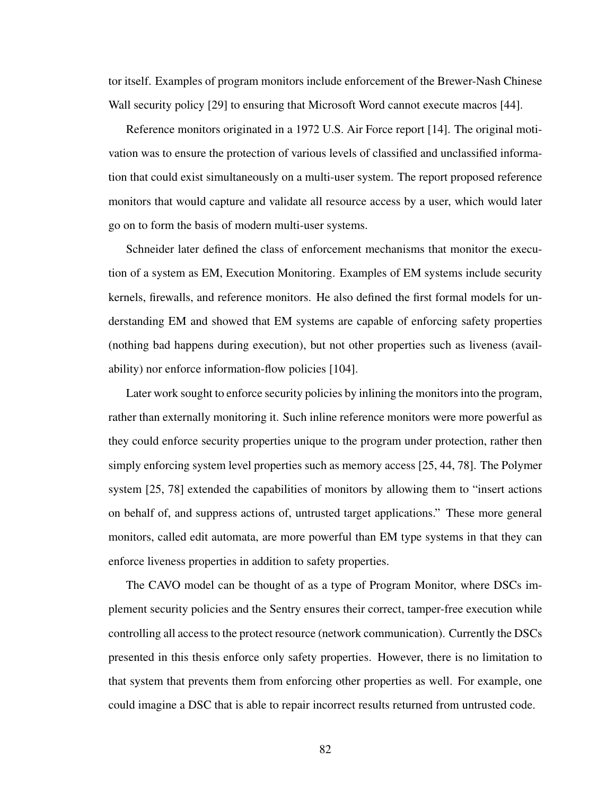tor itself. Examples of program monitors include enforcement of the Brewer-Nash Chinese Wall security policy [\[29\]](#page-103-2) to ensuring that Microsoft Word cannot execute macros [\[44\]](#page-105-5).

Reference monitors originated in a 1972 U.S. Air Force report [\[14\]](#page-101-1). The original motivation was to ensure the protection of various levels of classified and unclassified information that could exist simultaneously on a multi-user system. The report proposed reference monitors that would capture and validate all resource access by a user, which would later go on to form the basis of modern multi-user systems.

Schneider later defined the class of enforcement mechanisms that monitor the execution of a system as EM, Execution Monitoring. Examples of EM systems include security kernels, firewalls, and reference monitors. He also defined the first formal models for understanding EM and showed that EM systems are capable of enforcing safety properties (nothing bad happens during execution), but not other properties such as liveness (availability) nor enforce information-flow policies [\[104\]](#page-113-3).

Later work sought to enforce security policies by inlining the monitors into the program, rather than externally monitoring it. Such inline reference monitors were more powerful as they could enforce security properties unique to the program under protection, rather then simply enforcing system level properties such as memory access [\[25,](#page-103-3) [44,](#page-105-5) [78\]](#page-109-3). The Polymer system [\[25,](#page-103-3) [78\]](#page-109-3) extended the capabilities of monitors by allowing them to "insert actions" on behalf of, and suppress actions of, untrusted target applications." These more general monitors, called edit automata, are more powerful than EM type systems in that they can enforce liveness properties in addition to safety properties.

The CAVO model can be thought of as a type of Program Monitor, where DSCs implement security policies and the Sentry ensures their correct, tamper-free execution while controlling all access to the protect resource (network communication). Currently the DSCs presented in this thesis enforce only safety properties. However, there is no limitation to that system that prevents them from enforcing other properties as well. For example, one could imagine a DSC that is able to repair incorrect results returned from untrusted code.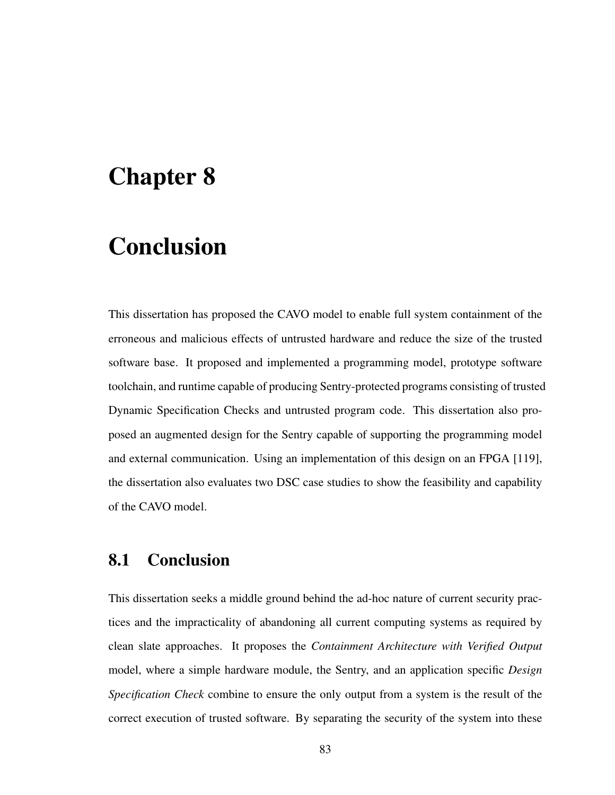# Chapter 8

# Conclusion

This dissertation has proposed the CAVO model to enable full system containment of the erroneous and malicious effects of untrusted hardware and reduce the size of the trusted software base. It proposed and implemented a programming model, prototype software toolchain, and runtime capable of producing Sentry-protected programs consisting of trusted Dynamic Specification Checks and untrusted program code. This dissertation also proposed an augmented design for the Sentry capable of supporting the programming model and external communication. Using an implementation of this design on an FPGA [\[119\]](#page-114-0), the dissertation also evaluates two DSC case studies to show the feasibility and capability of the CAVO model.

## 8.1 Conclusion

This dissertation seeks a middle ground behind the ad-hoc nature of current security practices and the impracticality of abandoning all current computing systems as required by clean slate approaches. It proposes the *Containment Architecture with Verified Output* model, where a simple hardware module, the Sentry, and an application specific *Design Specification Check* combine to ensure the only output from a system is the result of the correct execution of trusted software. By separating the security of the system into these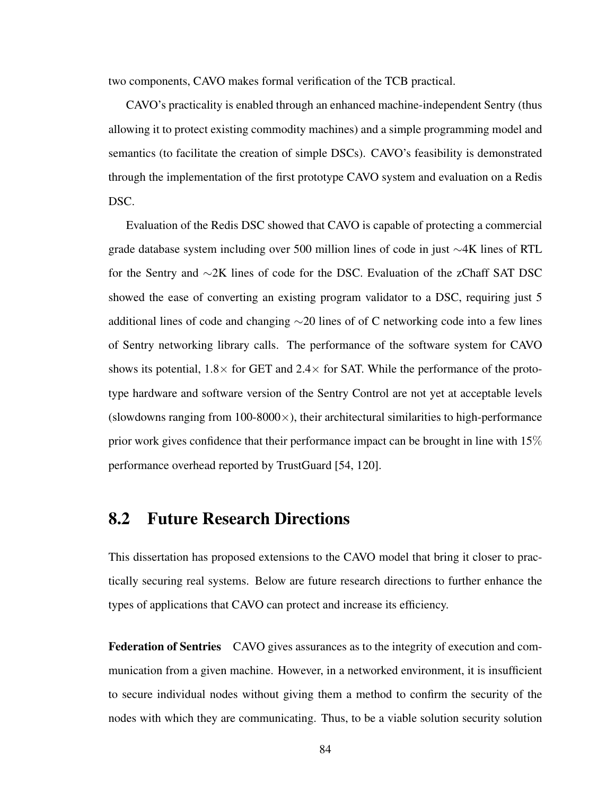two components, CAVO makes formal verification of the TCB practical.

CAVO's practicality is enabled through an enhanced machine-independent Sentry (thus allowing it to protect existing commodity machines) and a simple programming model and semantics (to facilitate the creation of simple DSCs). CAVO's feasibility is demonstrated through the implementation of the first prototype CAVO system and evaluation on a Redis DSC.

Evaluation of the Redis DSC showed that CAVO is capable of protecting a commercial grade database system including over 500 million lines of code in just ∼4K lines of RTL for the Sentry and ∼2K lines of code for the DSC. Evaluation of the zChaff SAT DSC showed the ease of converting an existing program validator to a DSC, requiring just 5 additional lines of code and changing  $\sim$ 20 lines of of C networking code into a few lines of Sentry networking library calls. The performance of the software system for CAVO shows its potential,  $1.8 \times$  for GET and  $2.4 \times$  for SAT. While the performance of the prototype hardware and software version of the Sentry Control are not yet at acceptable levels (slowdowns ranging from  $100-8000\times$ ), their architectural similarities to high-performance prior work gives confidence that their performance impact can be brought in line with 15% performance overhead reported by TrustGuard [\[54,](#page-106-0) [120\]](#page-115-0).

## 8.2 Future Research Directions

This dissertation has proposed extensions to the CAVO model that bring it closer to practically securing real systems. Below are future research directions to further enhance the types of applications that CAVO can protect and increase its efficiency.

Federation of Sentries CAVO gives assurances as to the integrity of execution and communication from a given machine. However, in a networked environment, it is insufficient to secure individual nodes without giving them a method to confirm the security of the nodes with which they are communicating. Thus, to be a viable solution security solution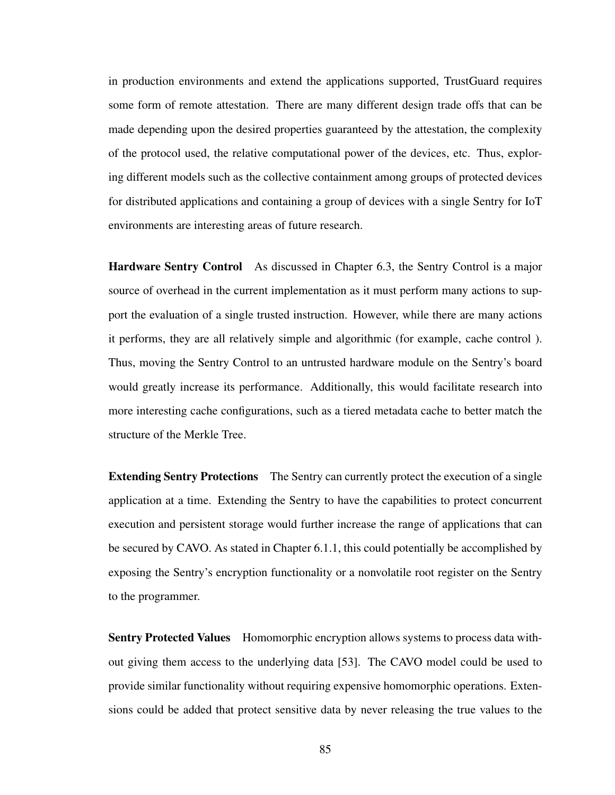in production environments and extend the applications supported, TrustGuard requires some form of remote attestation. There are many different design trade offs that can be made depending upon the desired properties guaranteed by the attestation, the complexity of the protocol used, the relative computational power of the devices, etc. Thus, exploring different models such as the collective containment among groups of protected devices for distributed applications and containing a group of devices with a single Sentry for IoT environments are interesting areas of future research.

Hardware Sentry Control As discussed in Chapter [6.3,](#page-85-0) the Sentry Control is a major source of overhead in the current implementation as it must perform many actions to support the evaluation of a single trusted instruction. However, while there are many actions it performs, they are all relatively simple and algorithmic (for example, cache control ). Thus, moving the Sentry Control to an untrusted hardware module on the Sentry's board would greatly increase its performance. Additionally, this would facilitate research into more interesting cache configurations, such as a tiered metadata cache to better match the structure of the Merkle Tree.

**Extending Sentry Protections** The Sentry can currently protect the execution of a single application at a time. Extending the Sentry to have the capabilities to protect concurrent execution and persistent storage would further increase the range of applications that can be secured by CAVO. As stated in Chapter [6.1.1,](#page-81-0) this could potentially be accomplished by exposing the Sentry's encryption functionality or a nonvolatile root register on the Sentry to the programmer.

**Sentry Protected Values** Homomorphic encryption allows systems to process data without giving them access to the underlying data [\[53\]](#page-106-4). The CAVO model could be used to provide similar functionality without requiring expensive homomorphic operations. Extensions could be added that protect sensitive data by never releasing the true values to the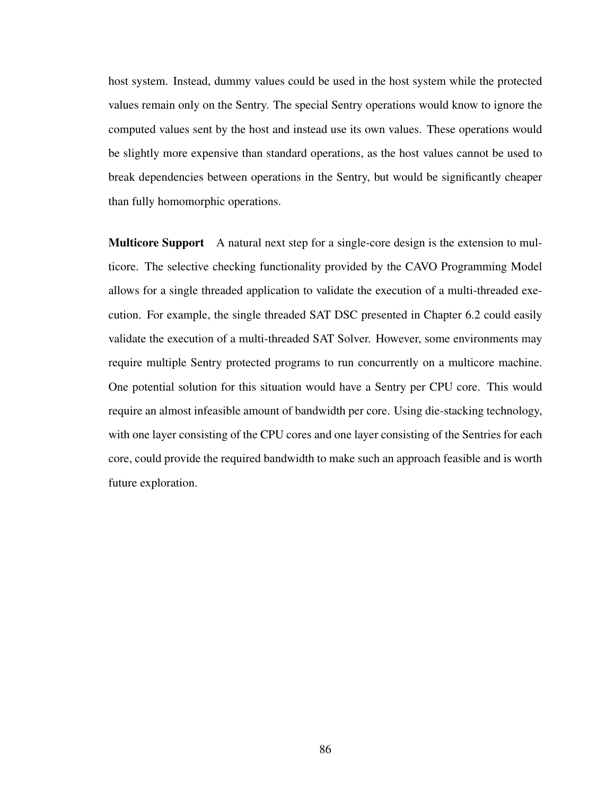host system. Instead, dummy values could be used in the host system while the protected values remain only on the Sentry. The special Sentry operations would know to ignore the computed values sent by the host and instead use its own values. These operations would be slightly more expensive than standard operations, as the host values cannot be used to break dependencies between operations in the Sentry, but would be significantly cheaper than fully homomorphic operations.

Multicore Support A natural next step for a single-core design is the extension to multicore. The selective checking functionality provided by the CAVO Programming Model allows for a single threaded application to validate the execution of a multi-threaded execution. For example, the single threaded SAT DSC presented in Chapter [6.2](#page-83-0) could easily validate the execution of a multi-threaded SAT Solver. However, some environments may require multiple Sentry protected programs to run concurrently on a multicore machine. One potential solution for this situation would have a Sentry per CPU core. This would require an almost infeasible amount of bandwidth per core. Using die-stacking technology, with one layer consisting of the CPU cores and one layer consisting of the Sentries for each core, could provide the required bandwidth to make such an approach feasible and is worth future exploration.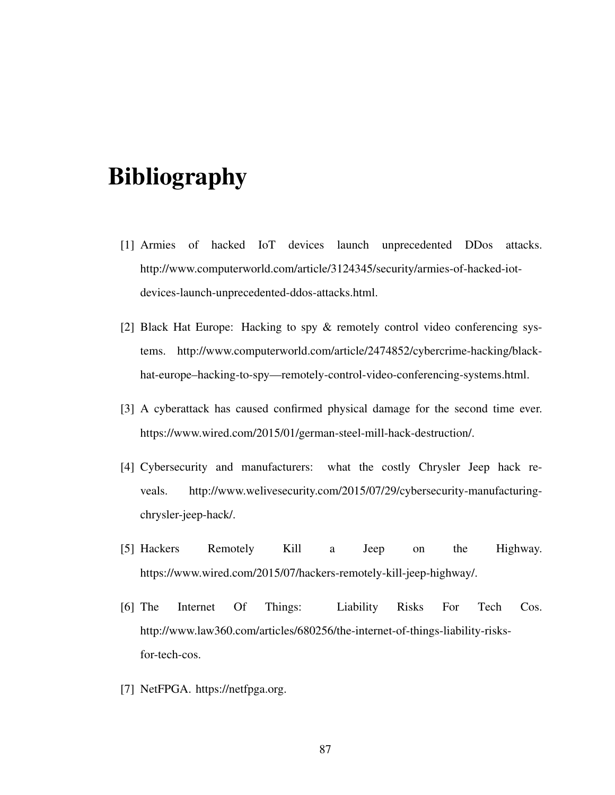# Bibliography

- [1] Armies of hacked IoT devices launch unprecedented DDos attacks. http://www.computerworld.com/article/3124345/security/armies-of-hacked-iotdevices-launch-unprecedented-ddos-attacks.html.
- [2] Black Hat Europe: Hacking to spy & remotely control video conferencing systems. http://www.computerworld.com/article/2474852/cybercrime-hacking/blackhat-europe–hacking-to-spy—remotely-control-video-conferencing-systems.html.
- [3] A cyberattack has caused confirmed physical damage for the second time ever. https://www.wired.com/2015/01/german-steel-mill-hack-destruction/.
- [4] Cybersecurity and manufacturers: what the costly Chrysler Jeep hack reveals. http://www.welivesecurity.com/2015/07/29/cybersecurity-manufacturingchrysler-jeep-hack/.
- [5] Hackers Remotely Kill a Jeep on the Highway. https://www.wired.com/2015/07/hackers-remotely-kill-jeep-highway/.
- [6] The Internet Of Things: Liability Risks For Tech Cos. http://www.law360.com/articles/680256/the-internet-of-things-liability-risksfor-tech-cos.
- <span id="page-100-0"></span>[7] NetFPGA. https://netfpga.org.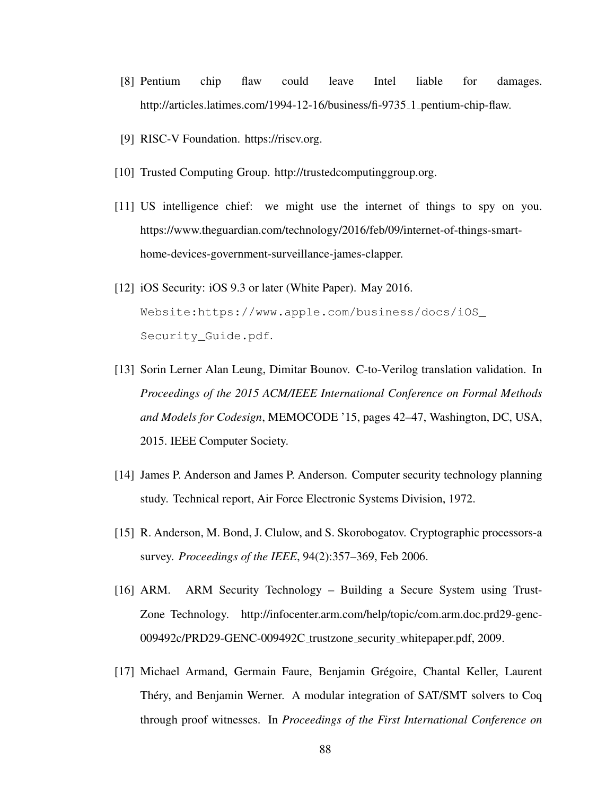- [8] Pentium chip flaw could leave Intel liable for damages. http://articles.latimes.com/1994-12-16/business/fi-9735<sub>-1</sub> pentium-chip-flaw.
- <span id="page-101-0"></span>[9] RISC-V Foundation. https://riscv.org.
- [10] Trusted Computing Group. http://trustedcomputinggroup.org.
- [11] US intelligence chief: we might use the internet of things to spy on you. https://www.theguardian.com/technology/2016/feb/09/internet-of-things-smarthome-devices-government-surveillance-james-clapper.
- [12] iOS Security: iOS 9.3 or later (White Paper). May 2016. [Website:https://www.apple.com/business/docs/iOS\\_](Website: https://www.apple.com/business/docs/iOS_Security_Guide.pdf) [Security\\_Guide.pdf](Website: https://www.apple.com/business/docs/iOS_Security_Guide.pdf).
- [13] Sorin Lerner Alan Leung, Dimitar Bounov. C-to-Verilog translation validation. In *Proceedings of the 2015 ACM/IEEE International Conference on Formal Methods and Models for Codesign*, MEMOCODE '15, pages 42–47, Washington, DC, USA, 2015. IEEE Computer Society.
- <span id="page-101-1"></span>[14] James P. Anderson and James P. Anderson. Computer security technology planning study. Technical report, Air Force Electronic Systems Division, 1972.
- [15] R. Anderson, M. Bond, J. Clulow, and S. Skorobogatov. Cryptographic processors-a survey. *Proceedings of the IEEE*, 94(2):357–369, Feb 2006.
- [16] ARM. ARM Security Technology Building a Secure System using Trust-Zone Technology. http://infocenter.arm.com/help/topic/com.arm.doc.prd29-genc-009492c/PRD29-GENC-009492C trustzone security whitepaper.pdf, 2009.
- [17] Michael Armand, Germain Faure, Benjamin Gregoire, Chantal Keller, Laurent ´ Théry, and Benjamin Werner. A modular integration of SAT/SMT solvers to Coq through proof witnesses. In *Proceedings of the First International Conference on*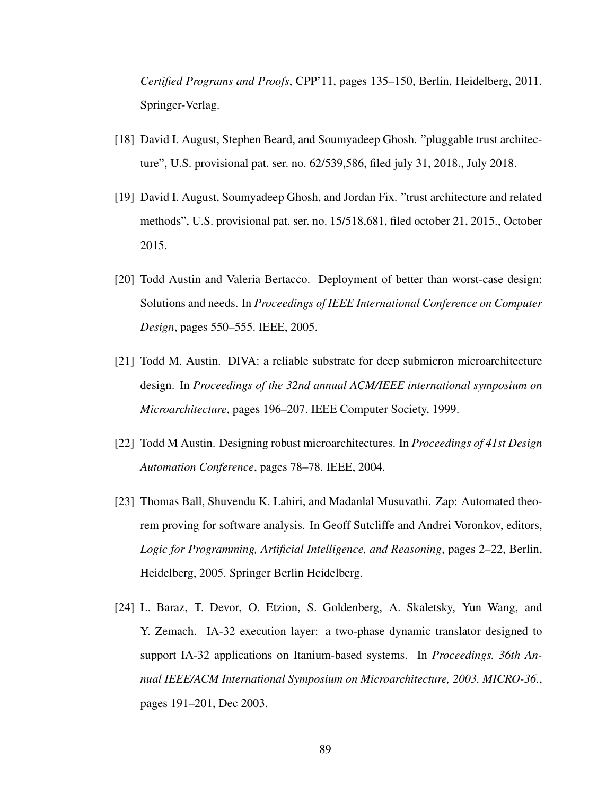*Certified Programs and Proofs*, CPP'11, pages 135–150, Berlin, Heidelberg, 2011. Springer-Verlag.

- [18] David I. August, Stephen Beard, and Soumyadeep Ghosh. "pluggable trust architecture", U.S. provisional pat. ser. no. 62/539,586, filed july 31, 2018., July 2018.
- [19] David I. August, Soumyadeep Ghosh, and Jordan Fix. "trust architecture and related methods", U.S. provisional pat. ser. no. 15/518,681, filed october 21, 2015., October 2015.
- [20] Todd Austin and Valeria Bertacco. Deployment of better than worst-case design: Solutions and needs. In *Proceedings of IEEE International Conference on Computer Design*, pages 550–555. IEEE, 2005.
- [21] Todd M. Austin. DIVA: a reliable substrate for deep submicron microarchitecture design. In *Proceedings of the 32nd annual ACM/IEEE international symposium on Microarchitecture*, pages 196–207. IEEE Computer Society, 1999.
- [22] Todd M Austin. Designing robust microarchitectures. In *Proceedings of 41st Design Automation Conference*, pages 78–78. IEEE, 2004.
- <span id="page-102-0"></span>[23] Thomas Ball, Shuvendu K. Lahiri, and Madanlal Musuvathi. Zap: Automated theorem proving for software analysis. In Geoff Sutcliffe and Andrei Voronkov, editors, *Logic for Programming, Artificial Intelligence, and Reasoning*, pages 2–22, Berlin, Heidelberg, 2005. Springer Berlin Heidelberg.
- [24] L. Baraz, T. Devor, O. Etzion, S. Goldenberg, A. Skaletsky, Yun Wang, and Y. Zemach. IA-32 execution layer: a two-phase dynamic translator designed to support IA-32 applications on Itanium-based systems. In *Proceedings. 36th Annual IEEE/ACM International Symposium on Microarchitecture, 2003. MICRO-36.*, pages 191–201, Dec 2003.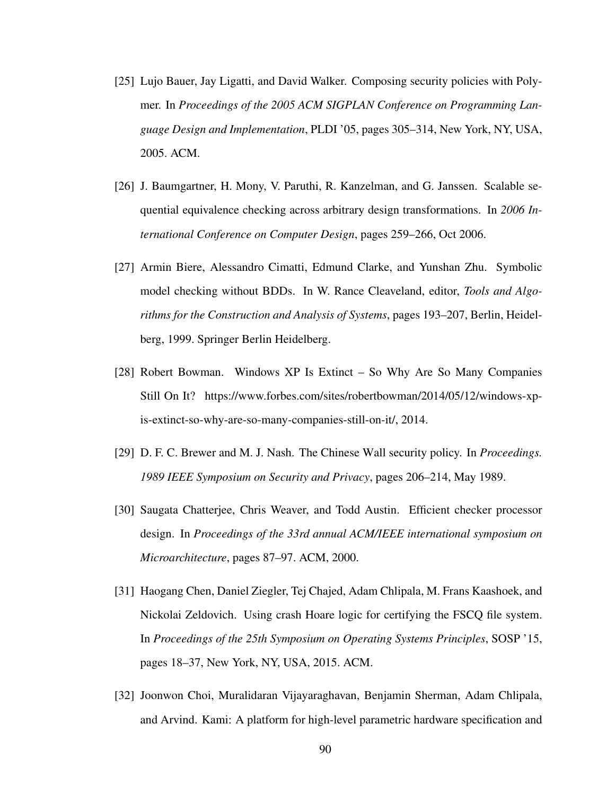- <span id="page-103-3"></span>[25] Lujo Bauer, Jay Ligatti, and David Walker. Composing security policies with Polymer. In *Proceedings of the 2005 ACM SIGPLAN Conference on Programming Language Design and Implementation*, PLDI '05, pages 305–314, New York, NY, USA, 2005. ACM.
- [26] J. Baumgartner, H. Mony, V. Paruthi, R. Kanzelman, and G. Janssen. Scalable sequential equivalence checking across arbitrary design transformations. In *2006 International Conference on Computer Design*, pages 259–266, Oct 2006.
- <span id="page-103-0"></span>[27] Armin Biere, Alessandro Cimatti, Edmund Clarke, and Yunshan Zhu. Symbolic model checking without BDDs. In W. Rance Cleaveland, editor, *Tools and Algorithms for the Construction and Analysis of Systems*, pages 193–207, Berlin, Heidelberg, 1999. Springer Berlin Heidelberg.
- <span id="page-103-1"></span>[28] Robert Bowman. Windows XP Is Extinct – So Why Are So Many Companies Still On It? https://www.forbes.com/sites/robertbowman/2014/05/12/windows-xpis-extinct-so-why-are-so-many-companies-still-on-it/, 2014.
- <span id="page-103-2"></span>[29] D. F. C. Brewer and M. J. Nash. The Chinese Wall security policy. In *Proceedings. 1989 IEEE Symposium on Security and Privacy*, pages 206–214, May 1989.
- [30] Saugata Chatterjee, Chris Weaver, and Todd Austin. Efficient checker processor design. In *Proceedings of the 33rd annual ACM/IEEE international symposium on Microarchitecture*, pages 87–97. ACM, 2000.
- [31] Haogang Chen, Daniel Ziegler, Tej Chajed, Adam Chlipala, M. Frans Kaashoek, and Nickolai Zeldovich. Using crash Hoare logic for certifying the FSCQ file system. In *Proceedings of the 25th Symposium on Operating Systems Principles*, SOSP '15, pages 18–37, New York, NY, USA, 2015. ACM.
- [32] Joonwon Choi, Muralidaran Vijayaraghavan, Benjamin Sherman, Adam Chlipala, and Arvind. Kami: A platform for high-level parametric hardware specification and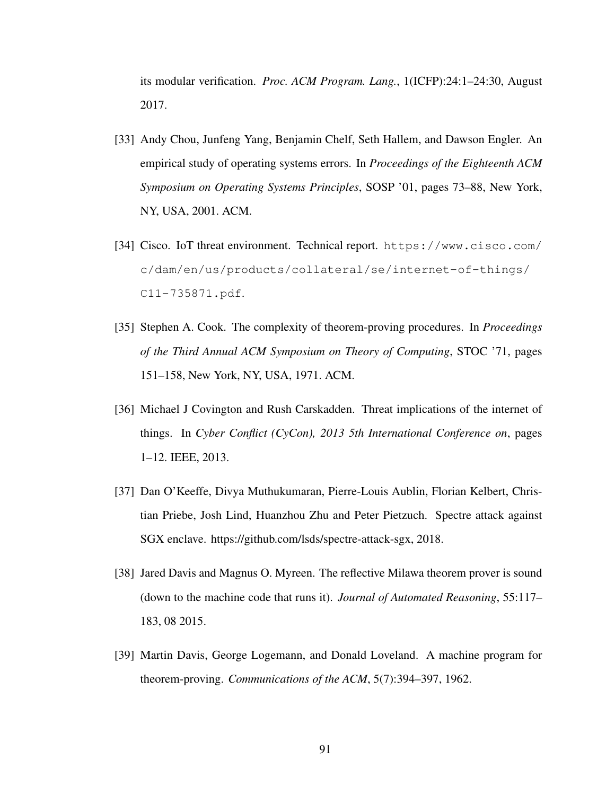its modular verification. *Proc. ACM Program. Lang.*, 1(ICFP):24:1–24:30, August 2017.

- <span id="page-104-0"></span>[33] Andy Chou, Junfeng Yang, Benjamin Chelf, Seth Hallem, and Dawson Engler. An empirical study of operating systems errors. In *Proceedings of the Eighteenth ACM Symposium on Operating Systems Principles*, SOSP '01, pages 73–88, New York, NY, USA, 2001. ACM.
- [34] Cisco. IoT threat environment. Technical report. [https://www.cisco.com/](https://www.cisco.com/c/dam/en/us/products/collateral/se/internet-of-things/C11-735871.pdf) [c/dam/en/us/products/collateral/se/internet-of-things/](https://www.cisco.com/c/dam/en/us/products/collateral/se/internet-of-things/C11-735871.pdf) [C11-735871.pdf](https://www.cisco.com/c/dam/en/us/products/collateral/se/internet-of-things/C11-735871.pdf).
- <span id="page-104-1"></span>[35] Stephen A. Cook. The complexity of theorem-proving procedures. In *Proceedings of the Third Annual ACM Symposium on Theory of Computing*, STOC '71, pages 151–158, New York, NY, USA, 1971. ACM.
- [36] Michael J Covington and Rush Carskadden. Threat implications of the internet of things. In *Cyber Conflict (CyCon), 2013 5th International Conference on*, pages 1–12. IEEE, 2013.
- [37] Dan O'Keeffe, Divya Muthukumaran, Pierre-Louis Aublin, Florian Kelbert, Christian Priebe, Josh Lind, Huanzhou Zhu and Peter Pietzuch. Spectre attack against SGX enclave. https://github.com/lsds/spectre-attack-sgx, 2018.
- [38] Jared Davis and Magnus O. Myreen. The reflective Milawa theorem prover is sound (down to the machine code that runs it). *Journal of Automated Reasoning*, 55:117– 183, 08 2015.
- <span id="page-104-2"></span>[39] Martin Davis, George Logemann, and Donald Loveland. A machine program for theorem-proving. *Communications of the ACM*, 5(7):394–397, 1962.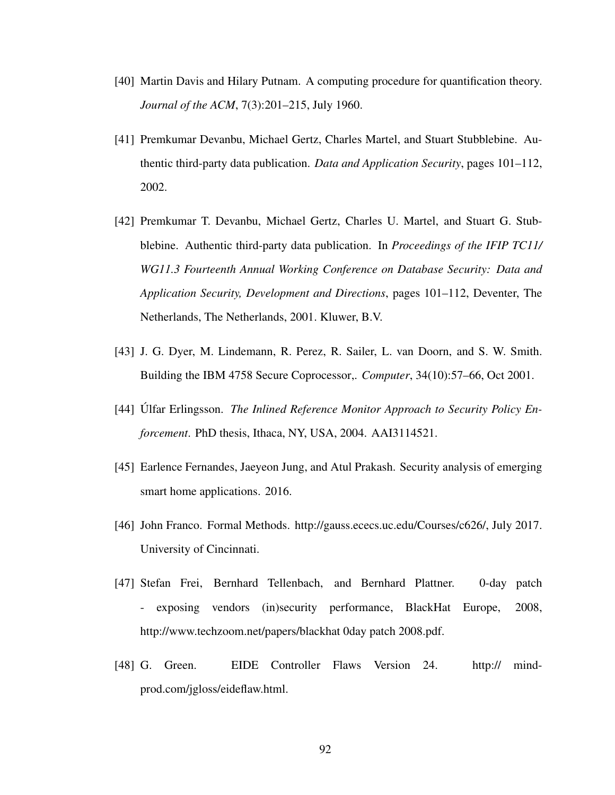- <span id="page-105-2"></span>[40] Martin Davis and Hilary Putnam. A computing procedure for quantification theory. *Journal of the ACM*, 7(3):201–215, July 1960.
- <span id="page-105-1"></span>[41] Premkumar Devanbu, Michael Gertz, Charles Martel, and Stuart Stubblebine. Authentic third-party data publication. *Data and Application Security*, pages 101–112, 2002.
- <span id="page-105-4"></span>[42] Premkumar T. Devanbu, Michael Gertz, Charles U. Martel, and Stuart G. Stubblebine. Authentic third-party data publication. In *Proceedings of the IFIP TC11/ WG11.3 Fourteenth Annual Working Conference on Database Security: Data and Application Security, Development and Directions*, pages 101–112, Deventer, The Netherlands, The Netherlands, 2001. Kluwer, B.V.
- [43] J. G. Dyer, M. Lindemann, R. Perez, R. Sailer, L. van Doorn, and S. W. Smith. Building the IBM 4758 Secure Coprocessor,. *Computer*, 34(10):57–66, Oct 2001.
- <span id="page-105-5"></span>[44] Ulfar Erlingsson. *The Inlined Reference Monitor Approach to Security Policy Enforcement*. PhD thesis, Ithaca, NY, USA, 2004. AAI3114521.
- [45] Earlence Fernandes, Jaeyeon Jung, and Atul Prakash. Security analysis of emerging smart home applications. 2016.
- <span id="page-105-3"></span>[46] John Franco. Formal Methods. http://gauss.ececs.uc.edu/Courses/c626/, July 2017. University of Cincinnati.
- [47] Stefan Frei, Bernhard Tellenbach, and Bernhard Plattner. 0-day patch - exposing vendors (in)security performance, BlackHat Europe, 2008, http://www.techzoom.net/papers/blackhat 0day patch 2008.pdf.
- <span id="page-105-0"></span>[48] G. Green. EIDE Controller Flaws Version 24. http:// mindprod.com/jgloss/eideflaw.html.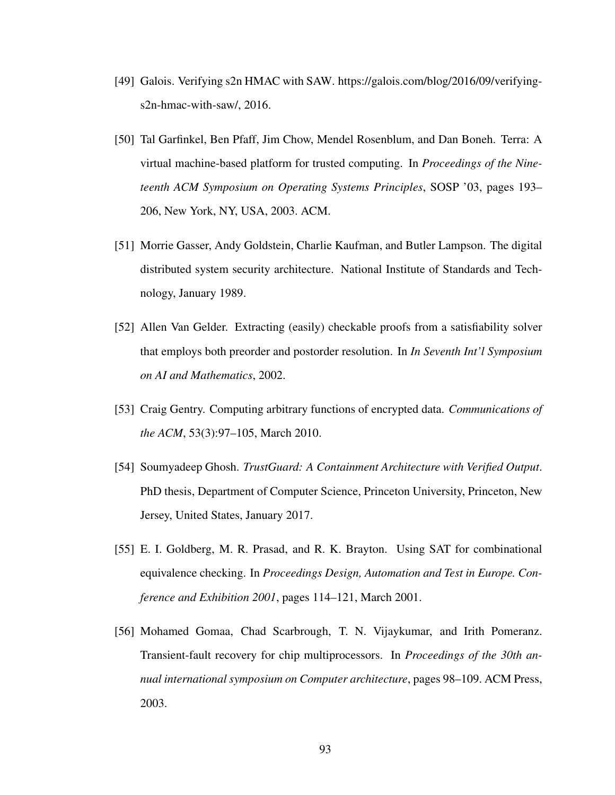- <span id="page-106-3"></span>[49] Galois. Verifying s2n HMAC with SAW. https://galois.com/blog/2016/09/verifyings2n-hmac-with-saw/, 2016.
- [50] Tal Garfinkel, Ben Pfaff, Jim Chow, Mendel Rosenblum, and Dan Boneh. Terra: A virtual machine-based platform for trusted computing. In *Proceedings of the Nineteenth ACM Symposium on Operating Systems Principles*, SOSP '03, pages 193– 206, New York, NY, USA, 2003. ACM.
- [51] Morrie Gasser, Andy Goldstein, Charlie Kaufman, and Butler Lampson. The digital distributed system security architecture. National Institute of Standards and Technology, January 1989.
- <span id="page-106-2"></span>[52] Allen Van Gelder. Extracting (easily) checkable proofs from a satisfiability solver that employs both preorder and postorder resolution. In *In Seventh Int'l Symposium on AI and Mathematics*, 2002.
- <span id="page-106-4"></span>[53] Craig Gentry. Computing arbitrary functions of encrypted data. *Communications of the ACM*, 53(3):97–105, March 2010.
- <span id="page-106-0"></span>[54] Soumyadeep Ghosh. *TrustGuard: A Containment Architecture with Verified Output*. PhD thesis, Department of Computer Science, Princeton University, Princeton, New Jersey, United States, January 2017.
- <span id="page-106-1"></span>[55] E. I. Goldberg, M. R. Prasad, and R. K. Brayton. Using SAT for combinational equivalence checking. In *Proceedings Design, Automation and Test in Europe. Conference and Exhibition 2001*, pages 114–121, March 2001.
- [56] Mohamed Gomaa, Chad Scarbrough, T. N. Vijaykumar, and Irith Pomeranz. Transient-fault recovery for chip multiprocessors. In *Proceedings of the 30th annual international symposium on Computer architecture*, pages 98–109. ACM Press, 2003.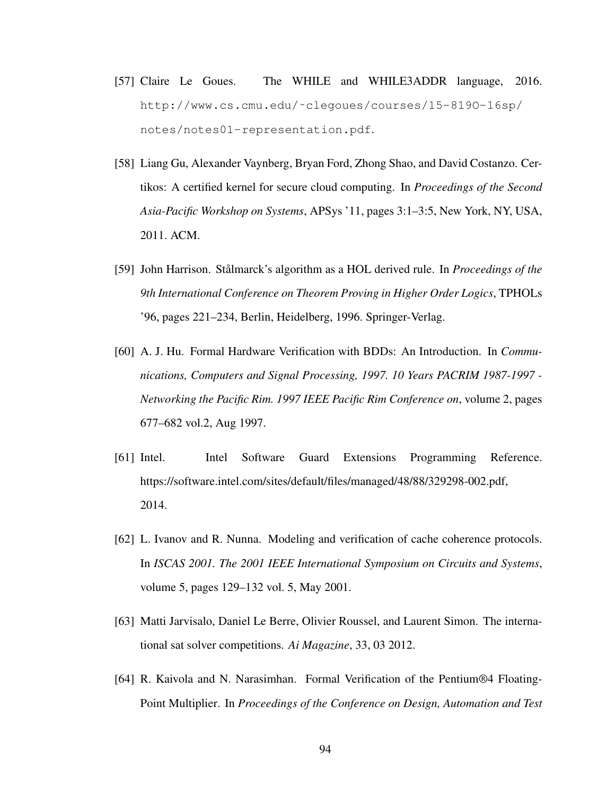- [57] Claire Le Goues. The WHILE and WHILE3ADDR language, 2016. [http://www.cs.cmu.edu/˜clegoues/courses/15-819O-16sp/](http://www.cs.cmu.edu/~clegoues/courses/15-819O-16sp/notes/notes01-representation.pdf) [notes/notes01-representation.pdf](http://www.cs.cmu.edu/~clegoues/courses/15-819O-16sp/notes/notes01-representation.pdf).
- [58] Liang Gu, Alexander Vaynberg, Bryan Ford, Zhong Shao, and David Costanzo. Certikos: A certified kernel for secure cloud computing. In *Proceedings of the Second Asia-Pacific Workshop on Systems*, APSys '11, pages 3:1–3:5, New York, NY, USA, 2011. ACM.
- <span id="page-107-2"></span>[59] John Harrison. Stålmarck's algorithm as a HOL derived rule. In *Proceedings of the 9th International Conference on Theorem Proving in Higher Order Logics*, TPHOLs '96, pages 221–234, Berlin, Heidelberg, 1996. Springer-Verlag.
- [60] A. J. Hu. Formal Hardware Verification with BDDs: An Introduction. In *Communications, Computers and Signal Processing, 1997. 10 Years PACRIM 1987-1997 - Networking the Pacific Rim. 1997 IEEE Pacific Rim Conference on*, volume 2, pages 677–682 vol.2, Aug 1997.
- [61] Intel. Intel Software Guard Extensions Programming Reference. https://software.intel.com/sites/default/files/managed/48/88/329298-002.pdf, 2014.
- <span id="page-107-0"></span>[62] L. Ivanov and R. Nunna. Modeling and verification of cache coherence protocols. In *ISCAS 2001. The 2001 IEEE International Symposium on Circuits and Systems*, volume 5, pages 129–132 vol. 5, May 2001.
- <span id="page-107-1"></span>[63] Matti Jarvisalo, Daniel Le Berre, Olivier Roussel, and Laurent Simon. The international sat solver competitions. *Ai Magazine*, 33, 03 2012.
- [64] R. Kaivola and N. Narasimhan. Formal Verification of the Pentium®4 Floating-Point Multiplier. In *Proceedings of the Conference on Design, Automation and Test*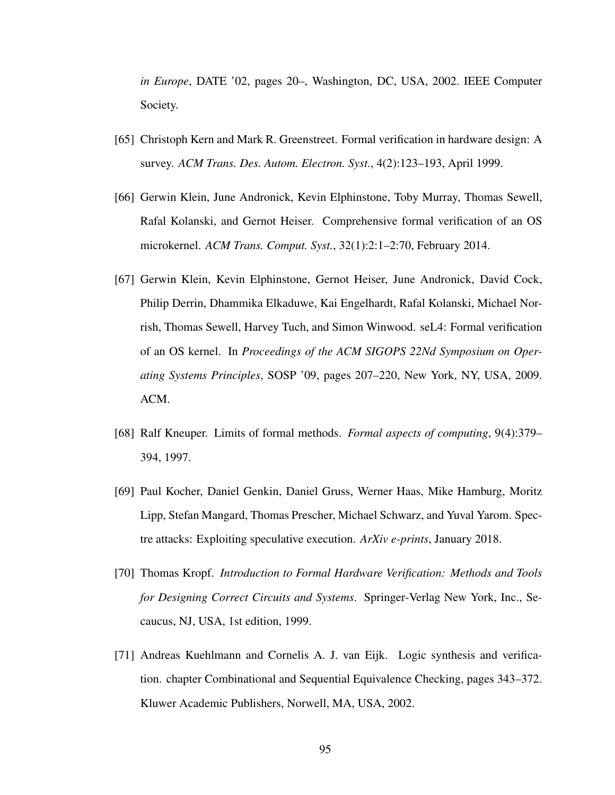*in Europe*, DATE '02, pages 20–, Washington, DC, USA, 2002. IEEE Computer Society.

- [65] Christoph Kern and Mark R. Greenstreet. Formal verification in hardware design: A survey. *ACM Trans. Des. Autom. Electron. Syst.*, 4(2):123–193, April 1999.
- [66] Gerwin Klein, June Andronick, Kevin Elphinstone, Toby Murray, Thomas Sewell, Rafal Kolanski, and Gernot Heiser. Comprehensive formal verification of an OS microkernel. *ACM Trans. Comput. Syst.*, 32(1):2:1–2:70, February 2014.
- [67] Gerwin Klein, Kevin Elphinstone, Gernot Heiser, June Andronick, David Cock, Philip Derrin, Dhammika Elkaduwe, Kai Engelhardt, Rafal Kolanski, Michael Norrish, Thomas Sewell, Harvey Tuch, and Simon Winwood. seL4: Formal verification of an OS kernel. In *Proceedings of the ACM SIGOPS 22Nd Symposium on Operating Systems Principles*, SOSP '09, pages 207–220, New York, NY, USA, 2009. ACM.
- [68] Ralf Kneuper. Limits of formal methods. *Formal aspects of computing*, 9(4):379– 394, 1997.
- [69] Paul Kocher, Daniel Genkin, Daniel Gruss, Werner Haas, Mike Hamburg, Moritz Lipp, Stefan Mangard, Thomas Prescher, Michael Schwarz, and Yuval Yarom. Spectre attacks: Exploiting speculative execution. *ArXiv e-prints*, January 2018.
- [70] Thomas Kropf. *Introduction to Formal Hardware Verification: Methods and Tools for Designing Correct Circuits and Systems*. Springer-Verlag New York, Inc., Secaucus, NJ, USA, 1st edition, 1999.
- [71] Andreas Kuehlmann and Cornelis A. J. van Eijk. Logic synthesis and verification. chapter Combinational and Sequential Equivalence Checking, pages 343–372. Kluwer Academic Publishers, Norwell, MA, USA, 2002.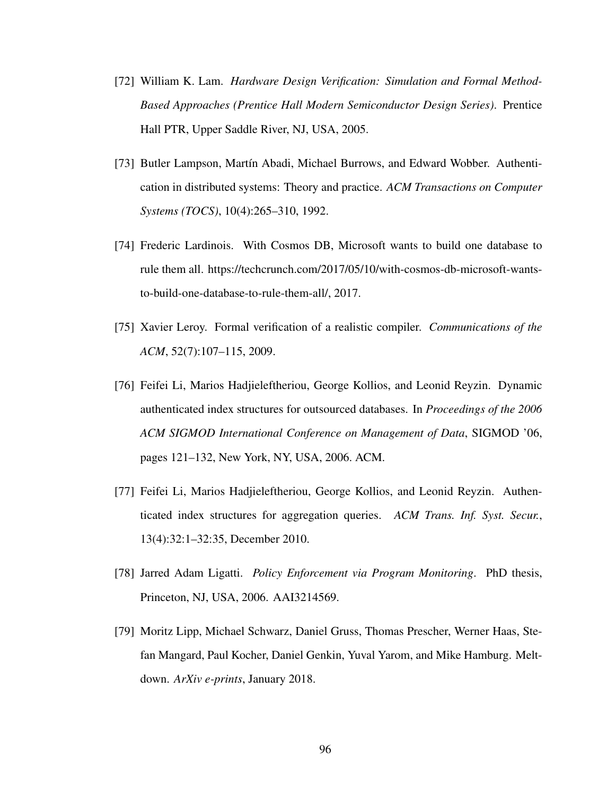- [72] William K. Lam. *Hardware Design Verification: Simulation and Formal Method-Based Approaches (Prentice Hall Modern Semiconductor Design Series)*. Prentice Hall PTR, Upper Saddle River, NJ, USA, 2005.
- [73] Butler Lampson, Martín Abadi, Michael Burrows, and Edward Wobber. Authentication in distributed systems: Theory and practice. *ACM Transactions on Computer Systems (TOCS)*, 10(4):265–310, 1992.
- [74] Frederic Lardinois. With Cosmos DB, Microsoft wants to build one database to rule them all. https://techcrunch.com/2017/05/10/with-cosmos-db-microsoft-wantsto-build-one-database-to-rule-them-all/, 2017.
- [75] Xavier Leroy. Formal verification of a realistic compiler. *Communications of the ACM*, 52(7):107–115, 2009.
- [76] Feifei Li, Marios Hadjieleftheriou, George Kollios, and Leonid Reyzin. Dynamic authenticated index structures for outsourced databases. In *Proceedings of the 2006 ACM SIGMOD International Conference on Management of Data*, SIGMOD '06, pages 121–132, New York, NY, USA, 2006. ACM.
- [77] Feifei Li, Marios Hadjieleftheriou, George Kollios, and Leonid Reyzin. Authenticated index structures for aggregation queries. *ACM Trans. Inf. Syst. Secur.*, 13(4):32:1–32:35, December 2010.
- [78] Jarred Adam Ligatti. *Policy Enforcement via Program Monitoring*. PhD thesis, Princeton, NJ, USA, 2006. AAI3214569.
- [79] Moritz Lipp, Michael Schwarz, Daniel Gruss, Thomas Prescher, Werner Haas, Stefan Mangard, Paul Kocher, Daniel Genkin, Yuval Yarom, and Mike Hamburg. Meltdown. *ArXiv e-prints*, January 2018.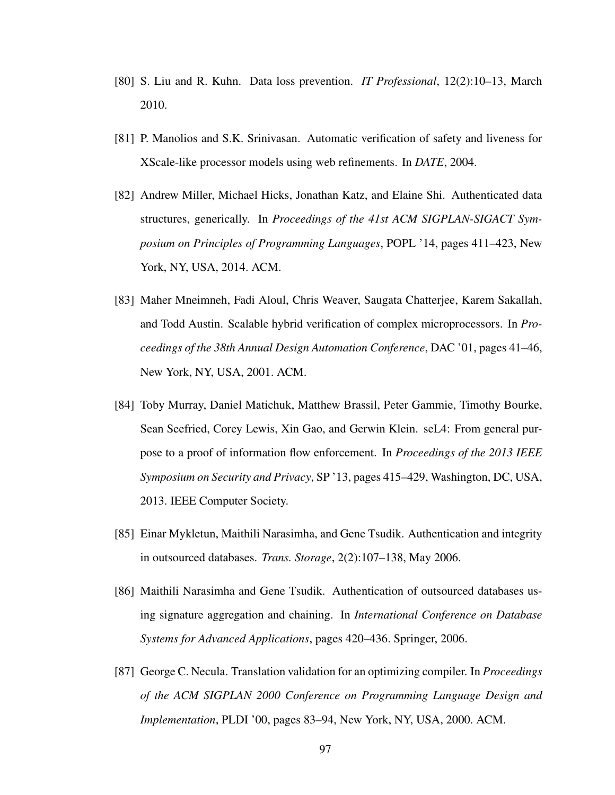- [80] S. Liu and R. Kuhn. Data loss prevention. *IT Professional*, 12(2):10–13, March 2010.
- [81] P. Manolios and S.K. Srinivasan. Automatic verification of safety and liveness for XScale-like processor models using web refinements. In *DATE*, 2004.
- [82] Andrew Miller, Michael Hicks, Jonathan Katz, and Elaine Shi. Authenticated data structures, generically. In *Proceedings of the 41st ACM SIGPLAN-SIGACT Symposium on Principles of Programming Languages*, POPL '14, pages 411–423, New York, NY, USA, 2014. ACM.
- [83] Maher Mneimneh, Fadi Aloul, Chris Weaver, Saugata Chatterjee, Karem Sakallah, and Todd Austin. Scalable hybrid verification of complex microprocessors. In *Proceedings of the 38th Annual Design Automation Conference*, DAC '01, pages 41–46, New York, NY, USA, 2001. ACM.
- [84] Toby Murray, Daniel Matichuk, Matthew Brassil, Peter Gammie, Timothy Bourke, Sean Seefried, Corey Lewis, Xin Gao, and Gerwin Klein. seL4: From general purpose to a proof of information flow enforcement. In *Proceedings of the 2013 IEEE Symposium on Security and Privacy*, SP '13, pages 415–429, Washington, DC, USA, 2013. IEEE Computer Society.
- [85] Einar Mykletun, Maithili Narasimha, and Gene Tsudik. Authentication and integrity in outsourced databases. *Trans. Storage*, 2(2):107–138, May 2006.
- [86] Maithili Narasimha and Gene Tsudik. Authentication of outsourced databases using signature aggregation and chaining. In *International Conference on Database Systems for Advanced Applications*, pages 420–436. Springer, 2006.
- [87] George C. Necula. Translation validation for an optimizing compiler. In *Proceedings of the ACM SIGPLAN 2000 Conference on Programming Language Design and Implementation*, PLDI '00, pages 83–94, New York, NY, USA, 2000. ACM.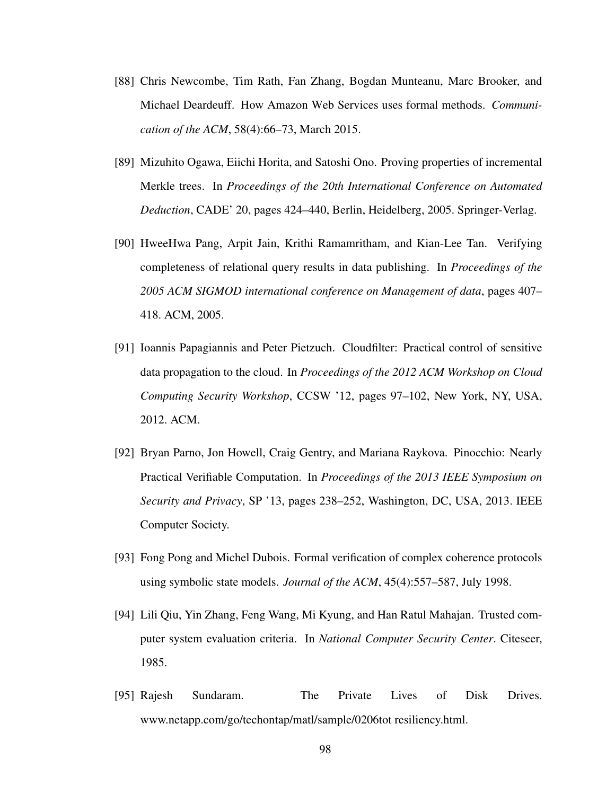- [88] Chris Newcombe, Tim Rath, Fan Zhang, Bogdan Munteanu, Marc Brooker, and Michael Deardeuff. How Amazon Web Services uses formal methods. *Communication of the ACM*, 58(4):66–73, March 2015.
- [89] Mizuhito Ogawa, Eiichi Horita, and Satoshi Ono. Proving properties of incremental Merkle trees. In *Proceedings of the 20th International Conference on Automated Deduction*, CADE' 20, pages 424–440, Berlin, Heidelberg, 2005. Springer-Verlag.
- [90] HweeHwa Pang, Arpit Jain, Krithi Ramamritham, and Kian-Lee Tan. Verifying completeness of relational query results in data publishing. In *Proceedings of the 2005 ACM SIGMOD international conference on Management of data*, pages 407– 418. ACM, 2005.
- [91] Ioannis Papagiannis and Peter Pietzuch. Cloudfilter: Practical control of sensitive data propagation to the cloud. In *Proceedings of the 2012 ACM Workshop on Cloud Computing Security Workshop*, CCSW '12, pages 97–102, New York, NY, USA, 2012. ACM.
- [92] Bryan Parno, Jon Howell, Craig Gentry, and Mariana Raykova. Pinocchio: Nearly Practical Verifiable Computation. In *Proceedings of the 2013 IEEE Symposium on Security and Privacy*, SP '13, pages 238–252, Washington, DC, USA, 2013. IEEE Computer Society.
- [93] Fong Pong and Michel Dubois. Formal verification of complex coherence protocols using symbolic state models. *Journal of the ACM*, 45(4):557–587, July 1998.
- [94] Lili Qiu, Yin Zhang, Feng Wang, Mi Kyung, and Han Ratul Mahajan. Trusted computer system evaluation criteria. In *National Computer Security Center*. Citeseer, 1985.
- [95] Rajesh Sundaram. The Private Lives of Disk Drives. www.netapp.com/go/techontap/matl/sample/0206tot resiliency.html.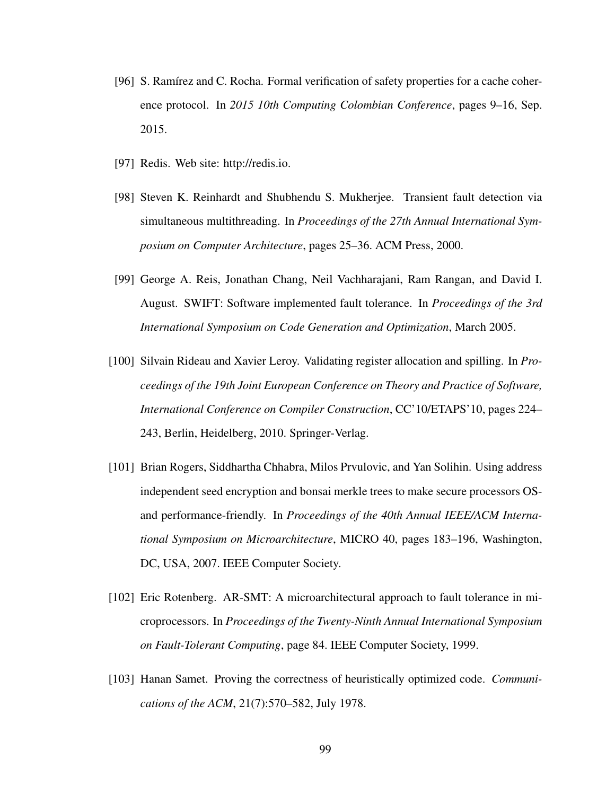- [96] S. Ramírez and C. Rocha. Formal verification of safety properties for a cache coherence protocol. In *2015 10th Computing Colombian Conference*, pages 9–16, Sep. 2015.
- [97] Redis. Web site: http://redis.io.
- [98] Steven K. Reinhardt and Shubhendu S. Mukherjee. Transient fault detection via simultaneous multithreading. In *Proceedings of the 27th Annual International Symposium on Computer Architecture*, pages 25–36. ACM Press, 2000.
- [99] George A. Reis, Jonathan Chang, Neil Vachharajani, Ram Rangan, and David I. August. SWIFT: Software implemented fault tolerance. In *Proceedings of the 3rd International Symposium on Code Generation and Optimization*, March 2005.
- [100] Silvain Rideau and Xavier Leroy. Validating register allocation and spilling. In *Proceedings of the 19th Joint European Conference on Theory and Practice of Software, International Conference on Compiler Construction*, CC'10/ETAPS'10, pages 224– 243, Berlin, Heidelberg, 2010. Springer-Verlag.
- [101] Brian Rogers, Siddhartha Chhabra, Milos Prvulovic, and Yan Solihin. Using address independent seed encryption and bonsai merkle trees to make secure processors OSand performance-friendly. In *Proceedings of the 40th Annual IEEE/ACM International Symposium on Microarchitecture*, MICRO 40, pages 183–196, Washington, DC, USA, 2007. IEEE Computer Society.
- [102] Eric Rotenberg. AR-SMT: A microarchitectural approach to fault tolerance in microprocessors. In *Proceedings of the Twenty-Ninth Annual International Symposium on Fault-Tolerant Computing*, page 84. IEEE Computer Society, 1999.
- [103] Hanan Samet. Proving the correctness of heuristically optimized code. *Communications of the ACM*, 21(7):570–582, July 1978.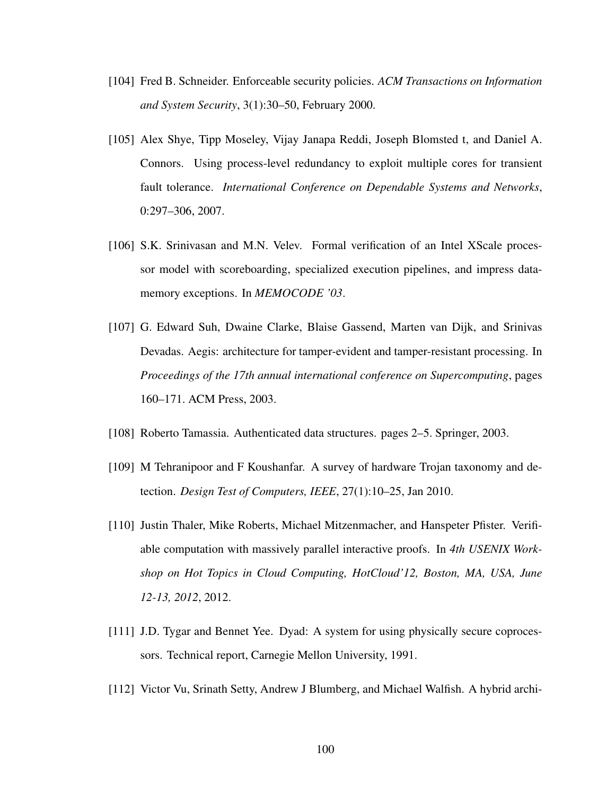- [104] Fred B. Schneider. Enforceable security policies. *ACM Transactions on Information and System Security*, 3(1):30–50, February 2000.
- [105] Alex Shye, Tipp Moseley, Vijay Janapa Reddi, Joseph Blomsted t, and Daniel A. Connors. Using process-level redundancy to exploit multiple cores for transient fault tolerance. *International Conference on Dependable Systems and Networks*, 0:297–306, 2007.
- [106] S.K. Srinivasan and M.N. Velev. Formal verification of an Intel XScale processor model with scoreboarding, specialized execution pipelines, and impress datamemory exceptions. In *MEMOCODE '03*.
- [107] G. Edward Suh, Dwaine Clarke, Blaise Gassend, Marten van Dijk, and Srinivas Devadas. Aegis: architecture for tamper-evident and tamper-resistant processing. In *Proceedings of the 17th annual international conference on Supercomputing*, pages 160–171. ACM Press, 2003.
- [108] Roberto Tamassia. Authenticated data structures. pages 2–5. Springer, 2003.
- [109] M Tehranipoor and F Koushanfar. A survey of hardware Trojan taxonomy and detection. *Design Test of Computers, IEEE*, 27(1):10–25, Jan 2010.
- [110] Justin Thaler, Mike Roberts, Michael Mitzenmacher, and Hanspeter Pfister. Verifiable computation with massively parallel interactive proofs. In *4th USENIX Workshop on Hot Topics in Cloud Computing, HotCloud'12, Boston, MA, USA, June 12-13, 2012*, 2012.
- [111] J.D. Tygar and Bennet Yee. Dyad: A system for using physically secure coprocessors. Technical report, Carnegie Mellon University, 1991.
- [112] Victor Vu, Srinath Setty, Andrew J Blumberg, and Michael Walfish. A hybrid archi-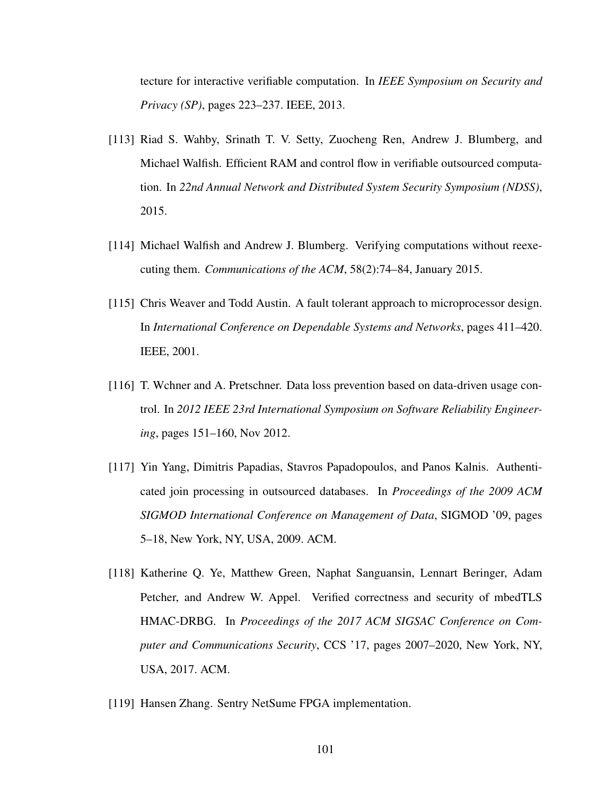tecture for interactive verifiable computation. In *IEEE Symposium on Security and Privacy (SP)*, pages 223–237. IEEE, 2013.

- [113] Riad S. Wahby, Srinath T. V. Setty, Zuocheng Ren, Andrew J. Blumberg, and Michael Walfish. Efficient RAM and control flow in verifiable outsourced computation. In *22nd Annual Network and Distributed System Security Symposium (NDSS)*, 2015.
- [114] Michael Walfish and Andrew J. Blumberg. Verifying computations without reexecuting them. *Communications of the ACM*, 58(2):74–84, January 2015.
- [115] Chris Weaver and Todd Austin. A fault tolerant approach to microprocessor design. In *International Conference on Dependable Systems and Networks*, pages 411–420. IEEE, 2001.
- [116] T. Wchner and A. Pretschner. Data loss prevention based on data-driven usage control. In *2012 IEEE 23rd International Symposium on Software Reliability Engineering*, pages 151–160, Nov 2012.
- [117] Yin Yang, Dimitris Papadias, Stavros Papadopoulos, and Panos Kalnis. Authenticated join processing in outsourced databases. In *Proceedings of the 2009 ACM SIGMOD International Conference on Management of Data*, SIGMOD '09, pages 5–18, New York, NY, USA, 2009. ACM.
- [118] Katherine Q. Ye, Matthew Green, Naphat Sanguansin, Lennart Beringer, Adam Petcher, and Andrew W. Appel. Verified correctness and security of mbedTLS HMAC-DRBG. In *Proceedings of the 2017 ACM SIGSAC Conference on Computer and Communications Security*, CCS '17, pages 2007–2020, New York, NY, USA, 2017. ACM.
- [119] Hansen Zhang. Sentry NetSume FPGA implementation.